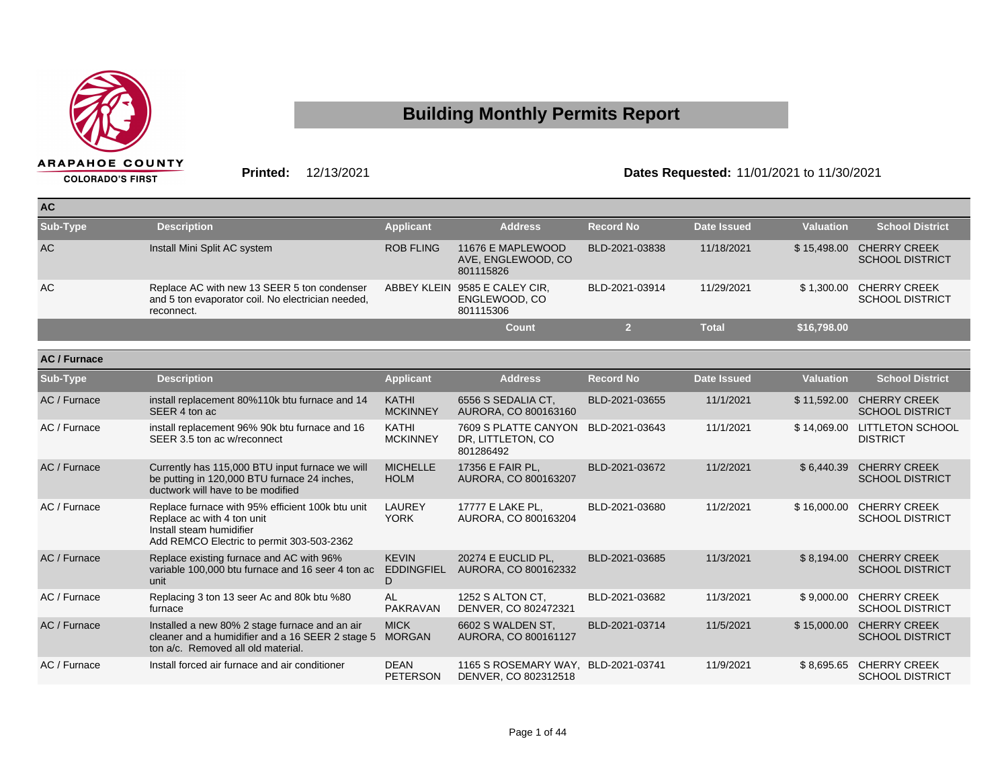

## **Building Monthly Permits Report**

**Printed:** 12/13/2021 **Dates Requested:** 11/01/2021 to 11/30/2021

| <b>AC</b> |                                                                                                                |                  |                                                             |                  |                    |                  |                                               |
|-----------|----------------------------------------------------------------------------------------------------------------|------------------|-------------------------------------------------------------|------------------|--------------------|------------------|-----------------------------------------------|
| Sub-Type  | <b>Description</b>                                                                                             | <b>Applicant</b> | <b>Address</b>                                              | <b>Record No</b> | <b>Date Issued</b> | <b>Valuation</b> | <b>School District</b>                        |
| <b>AC</b> | Install Mini Split AC system                                                                                   | <b>ROB FLING</b> | 11676 E MAPLEWOOD<br>AVE, ENGLEWOOD, CO<br>801115826        | BLD-2021-03838   | 11/18/2021         | \$15,498,00      | <b>CHERRY CREEK</b><br><b>SCHOOL DISTRICT</b> |
| AC        | Replace AC with new 13 SEER 5 ton condenser<br>and 5 ton evaporator coil. No electrician needed,<br>reconnect. |                  | ABBEY KLEIN 9585 E CALEY CIR,<br>ENGLEWOOD, CO<br>801115306 | BLD-2021-03914   | 11/29/2021         | \$1.300.00       | <b>CHERRY CREEK</b><br><b>SCHOOL DISTRICT</b> |
|           |                                                                                                                |                  | Count                                                       |                  | Total              | \$16,798.00      |                                               |

| AC / Furnace    |                                                                                                                                                         |                                        |                                                        |                  |             |                  |                                               |
|-----------------|---------------------------------------------------------------------------------------------------------------------------------------------------------|----------------------------------------|--------------------------------------------------------|------------------|-------------|------------------|-----------------------------------------------|
| <b>Sub-Type</b> | <b>Description</b>                                                                                                                                      | <b>Applicant</b>                       | <b>Address</b>                                         | <b>Record No</b> | Date Issued | <b>Valuation</b> | <b>School District</b>                        |
| AC / Furnace    | install replacement 80%110k btu furnace and 14<br>SEER 4 ton ac                                                                                         | <b>KATHI</b><br><b>MCKINNEY</b>        | 6556 S SEDALIA CT.<br>AURORA, CO 800163160             | BLD-2021-03655   | 11/1/2021   | \$11,592.00      | <b>CHERRY CREEK</b><br><b>SCHOOL DISTRICT</b> |
| AC / Furnace    | install replacement 96% 90k btu furnace and 16<br>SEER 3.5 ton ac w/reconnect                                                                           | <b>KATHI</b><br><b>MCKINNEY</b>        | 7609 S PLATTE CANYON<br>DR, LITTLETON, CO<br>801286492 | BLD-2021-03643   | 11/1/2021   | \$14,069.00      | <b>LITTLETON SCHOOL</b><br><b>DISTRICT</b>    |
| AC / Furnace    | Currently has 115,000 BTU input furnace we will<br>be putting in 120,000 BTU furnace 24 inches,<br>ductwork will have to be modified                    | <b>MICHELLE</b><br><b>HOLM</b>         | 17356 E FAIR PL,<br>AURORA, CO 800163207               | BLD-2021-03672   | 11/2/2021   | \$6,440.39       | <b>CHERRY CREEK</b><br><b>SCHOOL DISTRICT</b> |
| AC / Furnace    | Replace furnace with 95% efficient 100k btu unit<br>Replace ac with 4 ton unit<br>Install steam humidifier<br>Add REMCO Electric to permit 303-503-2362 | LAUREY<br><b>YORK</b>                  | 17777 E LAKE PL,<br>AURORA, CO 800163204               | BLD-2021-03680   | 11/2/2021   | \$16,000.00      | <b>CHERRY CREEK</b><br><b>SCHOOL DISTRICT</b> |
| AC / Furnace    | Replace existing furnace and AC with 96%<br>variable 100,000 btu furnace and 16 seer 4 ton ac<br>unit                                                   | <b>KEVIN</b><br><b>EDDINGFIEL</b><br>D | 20274 E EUCLID PL.<br>AURORA, CO 800162332             | BLD-2021-03685   | 11/3/2021   | \$8,194.00       | <b>CHERRY CREEK</b><br><b>SCHOOL DISTRICT</b> |
| AC / Furnace    | Replacing 3 ton 13 seer Ac and 80k btu %80<br>furnace                                                                                                   | AL<br><b>PAKRAVAN</b>                  | 1252 S ALTON CT.<br>DENVER, CO 802472321               | BLD-2021-03682   | 11/3/2021   | \$9,000.00       | <b>CHERRY CREEK</b><br><b>SCHOOL DISTRICT</b> |
| AC / Furnace    | Installed a new 80% 2 stage furnace and an air<br>cleaner and a humidifier and a 16 SEER 2 stage 5<br>ton a/c. Removed all old material.                | <b>MICK</b><br><b>MORGAN</b>           | 6602 S WALDEN ST,<br>AURORA, CO 800161127              | BLD-2021-03714   | 11/5/2021   | \$15,000.00      | <b>CHERRY CREEK</b><br><b>SCHOOL DISTRICT</b> |
| AC / Furnace    | Install forced air furnace and air conditioner                                                                                                          | <b>DEAN</b><br><b>PETERSON</b>         | 1165 S ROSEMARY WAY,<br>DENVER, CO 802312518           | BLD-2021-03741   | 11/9/2021   | \$8,695.65       | <b>CHERRY CREEK</b><br><b>SCHOOL DISTRICT</b> |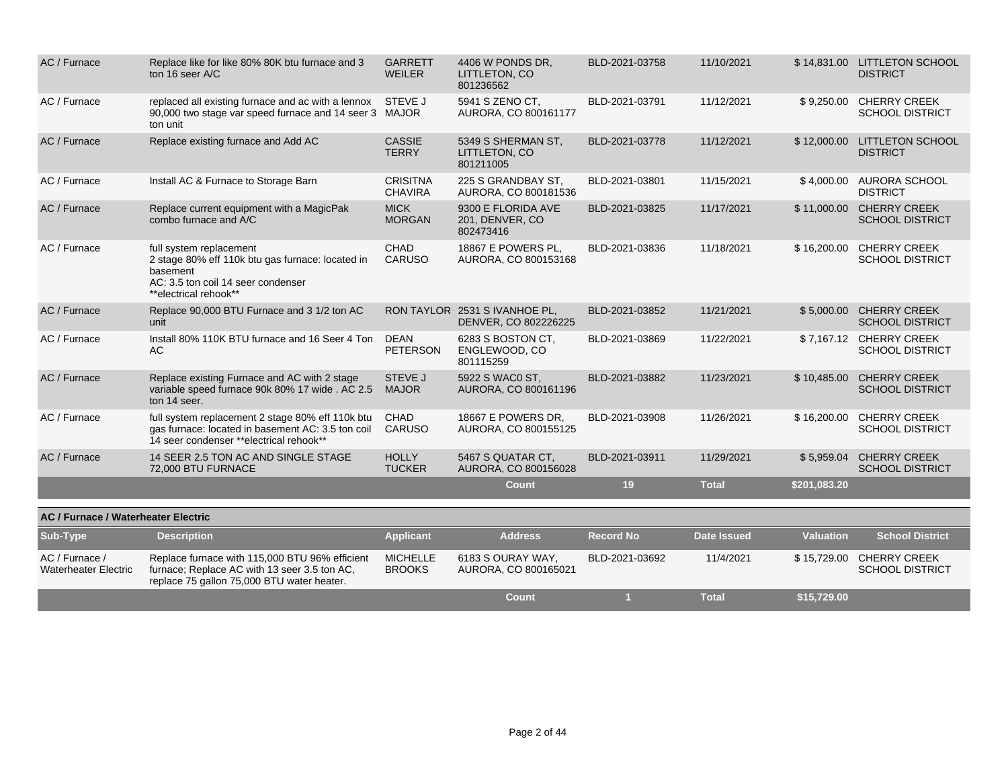| AC / Furnace                                  | Replace like for like 80% 80K btu furnace and 3<br>ton 16 seer A/C                                                                                     | <b>GARRETT</b><br>WEILER          | 4406 W PONDS DR,<br>LITTLETON, CO<br>801236562        | BLD-2021-03758   | 11/10/2021         |                  | \$14,831.00 LITTLETON SCHOOL<br><b>DISTRICT</b> |
|-----------------------------------------------|--------------------------------------------------------------------------------------------------------------------------------------------------------|-----------------------------------|-------------------------------------------------------|------------------|--------------------|------------------|-------------------------------------------------|
| AC / Furnace                                  | replaced all existing furnace and ac with a lennox<br>90,000 two stage var speed furnace and 14 seer 3 MAJOR<br>ton unit                               | STEVE J                           | 5941 S ZENO CT.<br>AURORA, CO 800161177               | BLD-2021-03791   | 11/12/2021         | \$9,250.00       | <b>CHERRY CREEK</b><br><b>SCHOOL DISTRICT</b>   |
| AC / Furnace                                  | Replace existing furnace and Add AC                                                                                                                    | <b>CASSIE</b><br><b>TERRY</b>     | 5349 S SHERMAN ST,<br>LITTLETON, CO<br>801211005      | BLD-2021-03778   | 11/12/2021         |                  | \$12,000.00 LITTLETON SCHOOL<br><b>DISTRICT</b> |
| AC / Furnace                                  | Install AC & Furnace to Storage Barn                                                                                                                   | <b>CRISITNA</b><br><b>CHAVIRA</b> | 225 S GRANDBAY ST.<br>AURORA, CO 800181536            | BLD-2021-03801   | 11/15/2021         | \$4,000.00       | AURORA SCHOOL<br><b>DISTRICT</b>                |
| AC / Furnace                                  | Replace current equipment with a MagicPak<br>combo furnace and A/C                                                                                     | <b>MICK</b><br><b>MORGAN</b>      | 9300 E FLORIDA AVE<br>201, DENVER, CO<br>802473416    | BLD-2021-03825   | 11/17/2021         | \$11,000.00      | <b>CHERRY CREEK</b><br><b>SCHOOL DISTRICT</b>   |
| AC / Furnace                                  | full system replacement<br>2 stage 80% eff 110k btu gas furnace: located in<br>basement<br>AC: 3.5 ton coil 14 seer condenser<br>**electrical rehook** | <b>CHAD</b><br><b>CARUSO</b>      | 18867 E POWERS PL.<br>AURORA, CO 800153168            | BLD-2021-03836   | 11/18/2021         | \$16,200.00      | <b>CHERRY CREEK</b><br><b>SCHOOL DISTRICT</b>   |
| AC / Furnace                                  | Replace 90,000 BTU Furnace and 3 1/2 ton AC<br>unit                                                                                                    |                                   | RON TAYLOR 2531 S IVANHOE PL.<br>DENVER, CO 802226225 | BLD-2021-03852   | 11/21/2021         | \$5.000.00       | <b>CHERRY CREEK</b><br><b>SCHOOL DISTRICT</b>   |
| AC / Furnace                                  | Install 80% 110K BTU furnace and 16 Seer 4 Ton<br>AC                                                                                                   | <b>DEAN</b><br><b>PETERSON</b>    | 6283 S BOSTON CT,<br>ENGLEWOOD, CO<br>801115259       | BLD-2021-03869   | 11/22/2021         | \$7,167.12       | <b>CHERRY CREEK</b><br><b>SCHOOL DISTRICT</b>   |
| AC / Furnace                                  | Replace existing Furnace and AC with 2 stage<br>variable speed furnace 90k 80% 17 wide . AC 2.5<br>ton 14 seer.                                        | <b>STEVE J</b><br><b>MAJOR</b>    | 5922 S WAC0 ST,<br>AURORA, CO 800161196               | BLD-2021-03882   | 11/23/2021         | \$10,485.00      | <b>CHERRY CREEK</b><br><b>SCHOOL DISTRICT</b>   |
| AC / Furnace                                  | full system replacement 2 stage 80% eff 110k btu<br>gas furnace: located in basement AC: 3.5 ton coil<br>14 seer condenser **electrical rehook**       | <b>CHAD</b><br><b>CARUSO</b>      | 18667 E POWERS DR.<br>AURORA, CO 800155125            | BLD-2021-03908   | 11/26/2021         | \$16,200.00      | <b>CHERRY CREEK</b><br><b>SCHOOL DISTRICT</b>   |
| AC / Furnace                                  | 14 SEER 2.5 TON AC AND SINGLE STAGE<br>72,000 BTU FURNACE                                                                                              | <b>HOLLY</b><br><b>TUCKER</b>     | 5467 S QUATAR CT.<br>AURORA, CO 800156028             | BLD-2021-03911   | 11/29/2021         | \$5,959.04       | <b>CHERRY CREEK</b><br><b>SCHOOL DISTRICT</b>   |
|                                               |                                                                                                                                                        |                                   | Count                                                 | 19               | <b>Total</b>       | \$201,083.20     |                                                 |
| <b>AC / Furnace / Waterheater Electric</b>    |                                                                                                                                                        |                                   |                                                       |                  |                    |                  |                                                 |
| Sub-Type                                      | <b>Description</b>                                                                                                                                     | <b>Applicant</b>                  | <b>Address</b>                                        | <b>Record No</b> | <b>Date Issued</b> | <b>Valuation</b> | <b>School District</b>                          |
| AC / Furnace /<br><b>Waterheater Electric</b> | Replace furnace with 115,000 BTU 96% efficient<br>furnace; Replace AC with 13 seer 3.5 ton AC,<br>replace 75 gallon 75,000 BTU water heater.           | <b>MICHELLE</b><br><b>BROOKS</b>  | 6183 S OURAY WAY.<br>AURORA, CO 800165021             | BLD-2021-03692   | 11/4/2021          | \$15,729.00      | <b>CHERRY CREEK</b><br><b>SCHOOL DISTRICT</b>   |
|                                               |                                                                                                                                                        |                                   | <b>Count</b>                                          | -1               | <b>Total</b>       | \$15,729.00      |                                                 |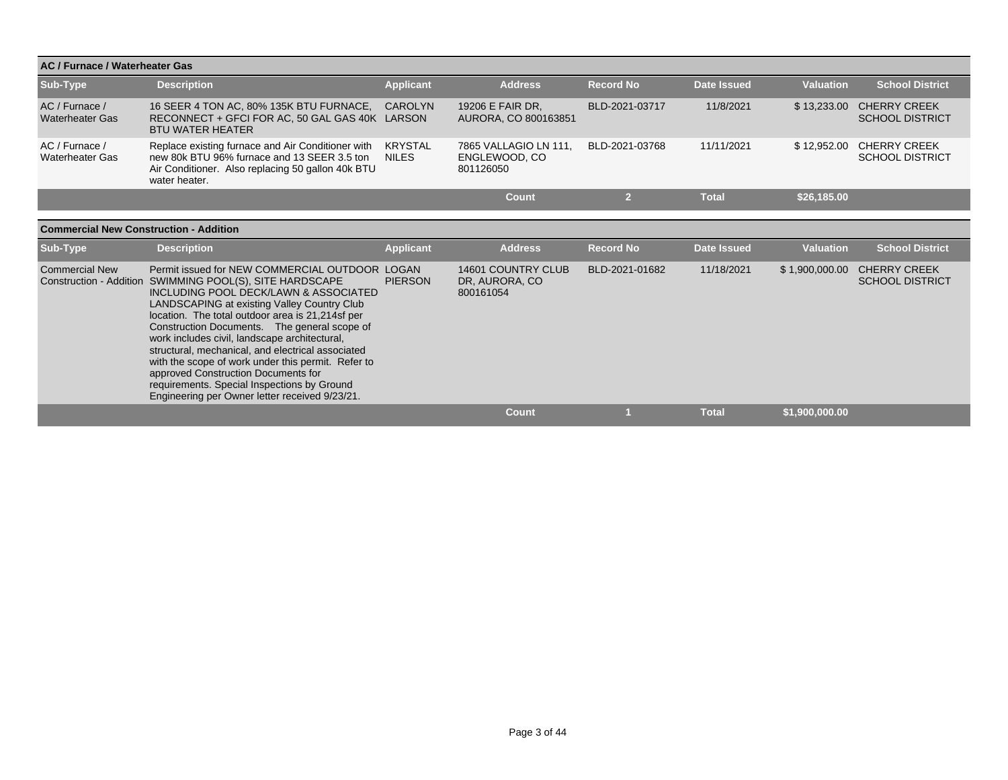| AC / Furnace / Waterheater Gas                |                                                                                                                                                                                                                                                                                                                                                                                                                                                                                                                                                                                                            |                                |                                                     |                  |                    |                  |                                               |
|-----------------------------------------------|------------------------------------------------------------------------------------------------------------------------------------------------------------------------------------------------------------------------------------------------------------------------------------------------------------------------------------------------------------------------------------------------------------------------------------------------------------------------------------------------------------------------------------------------------------------------------------------------------------|--------------------------------|-----------------------------------------------------|------------------|--------------------|------------------|-----------------------------------------------|
| Sub-Type                                      | <b>Description</b>                                                                                                                                                                                                                                                                                                                                                                                                                                                                                                                                                                                         | <b>Applicant</b>               | <b>Address</b>                                      | <b>Record No</b> | <b>Date Issued</b> | <b>Valuation</b> | <b>School District</b>                        |
| AC / Furnace /<br><b>Waterheater Gas</b>      | 16 SEER 4 TON AC, 80% 135K BTU FURNACE,<br>RECONNECT + GFCI FOR AC, 50 GAL GAS 40K LARSON<br><b>BTU WATER HEATER</b>                                                                                                                                                                                                                                                                                                                                                                                                                                                                                       | <b>CAROLYN</b>                 | 19206 E FAIR DR.<br>AURORA, CO 800163851            | BLD-2021-03717   | 11/8/2021          | \$13,233.00      | <b>CHERRY CREEK</b><br><b>SCHOOL DISTRICT</b> |
| AC / Furnace /<br><b>Waterheater Gas</b>      | Replace existing furnace and Air Conditioner with<br>new 80k BTU 96% furnace and 13 SEER 3.5 ton<br>Air Conditioner. Also replacing 50 gallon 40k BTU<br>water heater.                                                                                                                                                                                                                                                                                                                                                                                                                                     | <b>KRYSTAL</b><br><b>NILES</b> | 7865 VALLAGIO LN 111.<br>ENGLEWOOD, CO<br>801126050 | BLD-2021-03768   | 11/11/2021         | \$12,952.00      | <b>CHERRY CREEK</b><br><b>SCHOOL DISTRICT</b> |
|                                               |                                                                                                                                                                                                                                                                                                                                                                                                                                                                                                                                                                                                            |                                | <b>Count</b>                                        | $\overline{2}$   | <b>Total</b>       | \$26,185.00      |                                               |
|                                               |                                                                                                                                                                                                                                                                                                                                                                                                                                                                                                                                                                                                            |                                |                                                     |                  |                    |                  |                                               |
| <b>Commercial New Construction - Addition</b> |                                                                                                                                                                                                                                                                                                                                                                                                                                                                                                                                                                                                            |                                |                                                     |                  |                    |                  |                                               |
| Sub-Type                                      | <b>Description</b>                                                                                                                                                                                                                                                                                                                                                                                                                                                                                                                                                                                         | <b>Applicant</b>               | <b>Address</b>                                      | <b>Record No</b> | <b>Date Issued</b> | <b>Valuation</b> | <b>School District</b>                        |
| <b>Commercial New</b>                         | Permit issued for NEW COMMERCIAL OUTDOOR LOGAN<br>Construction - Addition SWIMMING POOL(S), SITE HARDSCAPE<br>INCLUDING POOL DECK/LAWN & ASSOCIATED<br>LANDSCAPING at existing Valley Country Club<br>location. The total outdoor area is 21,214sf per<br>Construction Documents. The general scope of<br>work includes civil, landscape architectural,<br>structural, mechanical, and electrical associated<br>with the scope of work under this permit. Refer to<br>approved Construction Documents for<br>requirements. Special Inspections by Ground<br>Engineering per Owner letter received 9/23/21. | <b>PIERSON</b>                 | 14601 COUNTRY CLUB<br>DR, AURORA, CO<br>800161054   | BLD-2021-01682   | 11/18/2021         | \$1,900,000.00   | <b>CHERRY CREEK</b><br><b>SCHOOL DISTRICT</b> |
|                                               |                                                                                                                                                                                                                                                                                                                                                                                                                                                                                                                                                                                                            |                                | Count                                               |                  | <b>Total</b>       | \$1.900.000.00   |                                               |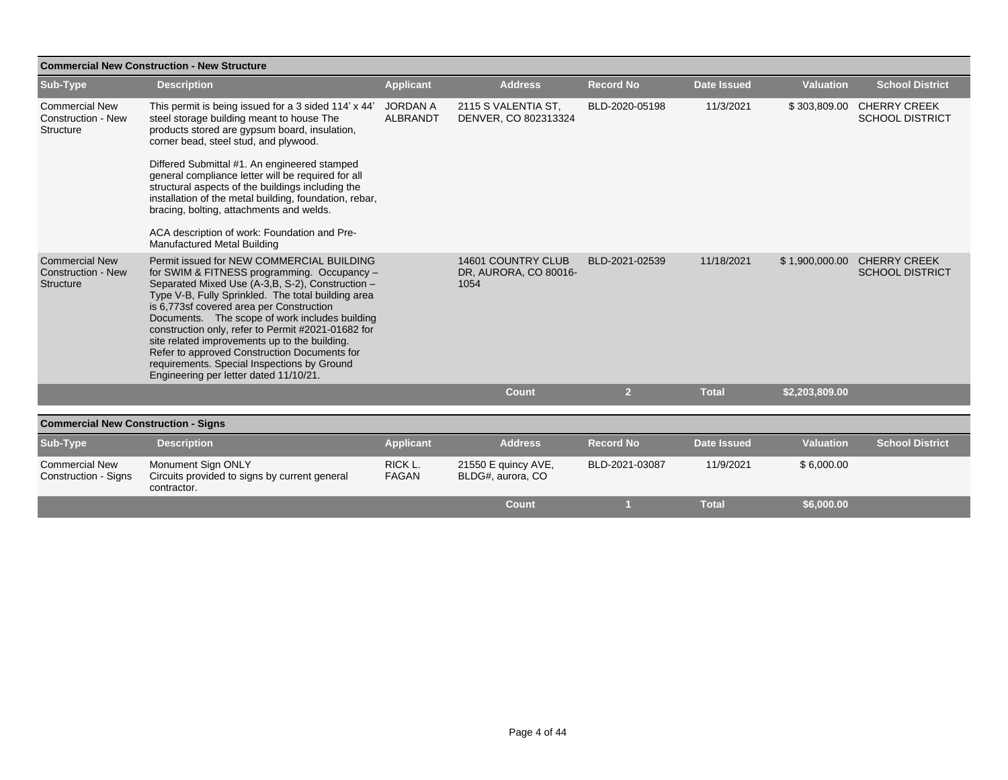| <b>Commercial New Construction - New Structure</b>              |                                                                                                                                                                                                                                                                                                                                                                                                                                                                                                                                                   |                                    |                                                     |                  |                    |                  |                                               |  |  |  |
|-----------------------------------------------------------------|---------------------------------------------------------------------------------------------------------------------------------------------------------------------------------------------------------------------------------------------------------------------------------------------------------------------------------------------------------------------------------------------------------------------------------------------------------------------------------------------------------------------------------------------------|------------------------------------|-----------------------------------------------------|------------------|--------------------|------------------|-----------------------------------------------|--|--|--|
| Sub-Type                                                        | <b>Description</b>                                                                                                                                                                                                                                                                                                                                                                                                                                                                                                                                | <b>Applicant</b>                   | <b>Address</b>                                      | <b>Record No</b> | <b>Date Issued</b> | <b>Valuation</b> | <b>School District</b>                        |  |  |  |
| <b>Commercial New</b><br><b>Construction - New</b><br>Structure | This permit is being issued for a 3 sided 114' x 44'<br>steel storage building meant to house The<br>products stored are gypsum board, insulation,<br>corner bead, steel stud, and plywood.                                                                                                                                                                                                                                                                                                                                                       | <b>JORDAN A</b><br><b>ALBRANDT</b> | 2115 S VALENTIA ST,<br>DENVER, CO 802313324         | BLD-2020-05198   | 11/3/2021          | \$303,809.00     | <b>CHERRY CREEK</b><br><b>SCHOOL DISTRICT</b> |  |  |  |
|                                                                 | Differed Submittal #1. An engineered stamped<br>general compliance letter will be required for all<br>structural aspects of the buildings including the<br>installation of the metal building, foundation, rebar,<br>bracing, bolting, attachments and welds.<br>ACA description of work: Foundation and Pre-<br>Manufactured Metal Building                                                                                                                                                                                                      |                                    |                                                     |                  |                    |                  |                                               |  |  |  |
| <b>Commercial New</b><br><b>Construction - New</b><br>Structure | Permit issued for NEW COMMERCIAL BUILDING<br>for SWIM & FITNESS programming. Occupancy -<br>Separated Mixed Use (A-3, B, S-2), Construction -<br>Type V-B, Fully Sprinkled. The total building area<br>is 6,773sf covered area per Construction<br>Documents. The scope of work includes building<br>construction only, refer to Permit #2021-01682 for<br>site related improvements up to the building.<br>Refer to approved Construction Documents for<br>requirements. Special Inspections by Ground<br>Engineering per letter dated 11/10/21. |                                    | 14601 COUNTRY CLUB<br>DR, AURORA, CO 80016-<br>1054 | BLD-2021-02539   | 11/18/2021         | \$1,900,000.00   | <b>CHERRY CREEK</b><br><b>SCHOOL DISTRICT</b> |  |  |  |
|                                                                 |                                                                                                                                                                                                                                                                                                                                                                                                                                                                                                                                                   |                                    | <b>Count</b>                                        | $\overline{2}$   | <b>Total</b>       | \$2,203,809.00   |                                               |  |  |  |
|                                                                 |                                                                                                                                                                                                                                                                                                                                                                                                                                                                                                                                                   |                                    |                                                     |                  |                    |                  |                                               |  |  |  |
| <b>Commercial New Construction - Signs</b>                      |                                                                                                                                                                                                                                                                                                                                                                                                                                                                                                                                                   |                                    |                                                     |                  |                    |                  |                                               |  |  |  |
| Sub-Type                                                        | <b>Description</b>                                                                                                                                                                                                                                                                                                                                                                                                                                                                                                                                | <b>Applicant</b>                   | <b>Address</b>                                      | <b>Record No</b> | <b>Date Issued</b> | <b>Valuation</b> | <b>School District</b>                        |  |  |  |
| <b>Commercial New</b><br><b>Construction - Signs</b>            | Monument Sign ONLY<br>Circuits provided to signs by current general<br>contractor.                                                                                                                                                                                                                                                                                                                                                                                                                                                                | RICK L.<br><b>FAGAN</b>            | 21550 E quincy AVE,<br>BLDG#, aurora, CO            | BLD-2021-03087   | 11/9/2021          | \$6,000.00       |                                               |  |  |  |
|                                                                 |                                                                                                                                                                                                                                                                                                                                                                                                                                                                                                                                                   |                                    | Count                                               |                  | <b>Total</b>       | \$6,000.00       |                                               |  |  |  |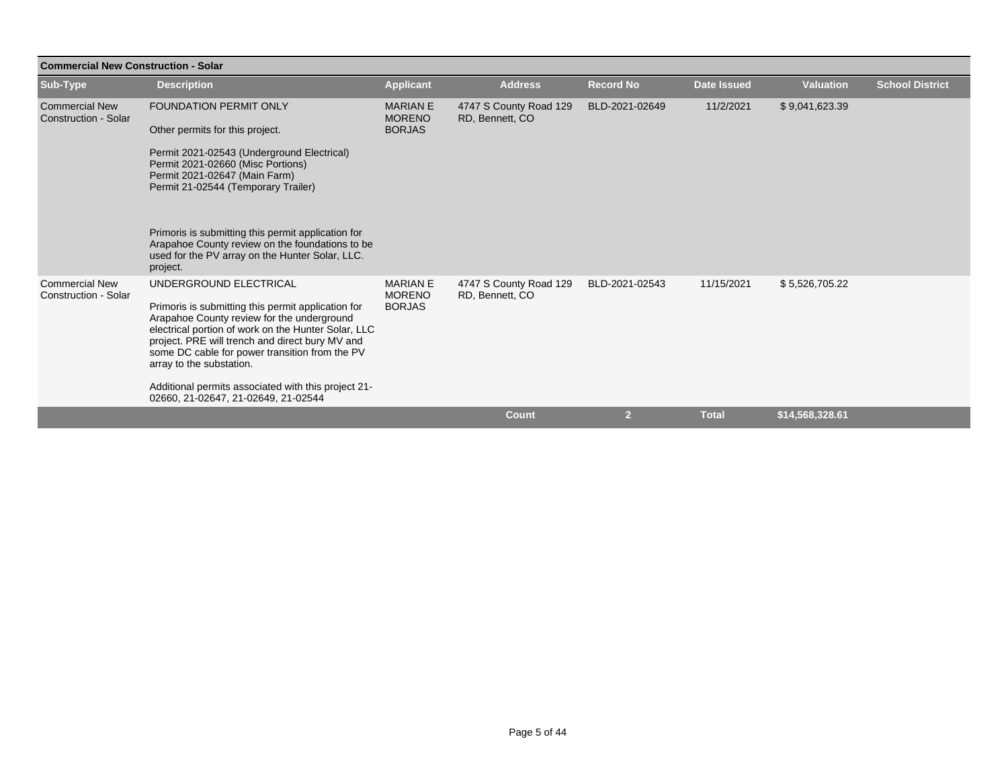| <b>Commercial New Construction - Solar</b>    |                                                                                                                                                                                                                                                                                                                    |                                                   |                                           |                  |                    |                  |                        |  |  |
|-----------------------------------------------|--------------------------------------------------------------------------------------------------------------------------------------------------------------------------------------------------------------------------------------------------------------------------------------------------------------------|---------------------------------------------------|-------------------------------------------|------------------|--------------------|------------------|------------------------|--|--|
| Sub-Type                                      | <b>Description</b>                                                                                                                                                                                                                                                                                                 | <b>Applicant</b>                                  | <b>Address</b>                            | <b>Record No</b> | <b>Date Issued</b> | <b>Valuation</b> | <b>School District</b> |  |  |
| <b>Commercial New</b><br>Construction - Solar | <b>FOUNDATION PERMIT ONLY</b>                                                                                                                                                                                                                                                                                      | <b>MARIAN E</b><br><b>MORENO</b>                  | 4747 S County Road 129<br>RD, Bennett, CO | BLD-2021-02649   | 11/2/2021          | \$9,041,623.39   |                        |  |  |
|                                               | Other permits for this project.                                                                                                                                                                                                                                                                                    | <b>BORJAS</b>                                     |                                           |                  |                    |                  |                        |  |  |
|                                               | Permit 2021-02543 (Underground Electrical)<br>Permit 2021-02660 (Misc Portions)<br>Permit 2021-02647 (Main Farm)<br>Permit 21-02544 (Temporary Trailer)                                                                                                                                                            |                                                   |                                           |                  |                    |                  |                        |  |  |
|                                               | Primoris is submitting this permit application for<br>Arapahoe County review on the foundations to be<br>used for the PV array on the Hunter Solar, LLC.<br>project.                                                                                                                                               |                                                   |                                           |                  |                    |                  |                        |  |  |
| <b>Commercial New</b><br>Construction - Solar | UNDERGROUND ELECTRICAL<br>Primoris is submitting this permit application for<br>Arapahoe County review for the underground<br>electrical portion of work on the Hunter Solar, LLC<br>project. PRE will trench and direct bury MV and<br>some DC cable for power transition from the PV<br>array to the substation. | <b>MARIAN E</b><br><b>MORENO</b><br><b>BORJAS</b> | 4747 S County Road 129<br>RD, Bennett, CO | BLD-2021-02543   | 11/15/2021         | \$5,526,705.22   |                        |  |  |
|                                               | Additional permits associated with this project 21-<br>02660, 21-02647, 21-02649, 21-02544                                                                                                                                                                                                                         |                                                   |                                           |                  |                    |                  |                        |  |  |
|                                               |                                                                                                                                                                                                                                                                                                                    |                                                   | <b>Count</b>                              | $\overline{2}$   | <b>Total</b>       | \$14,568,328.61  |                        |  |  |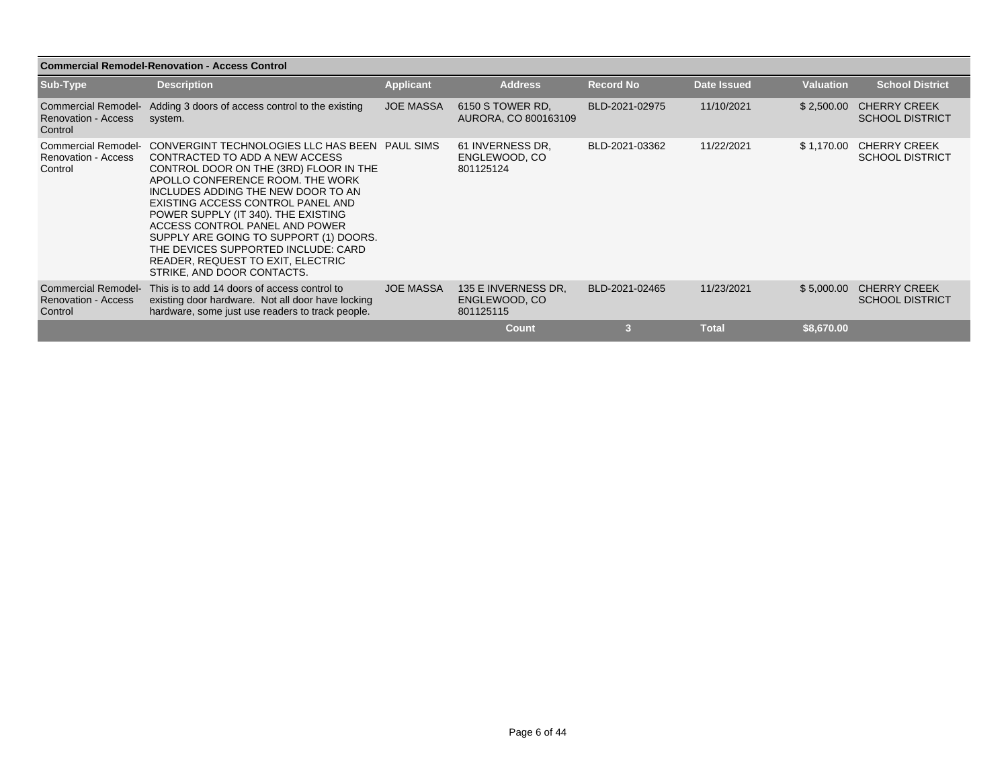| <b>Commercial Remodel-Renovation - Access Control</b>               |                                                                                                                                                                                                                                                                                                                                                                                                                                                                                            |                  |                                                   |                  |                    |                  |                                               |  |  |  |
|---------------------------------------------------------------------|--------------------------------------------------------------------------------------------------------------------------------------------------------------------------------------------------------------------------------------------------------------------------------------------------------------------------------------------------------------------------------------------------------------------------------------------------------------------------------------------|------------------|---------------------------------------------------|------------------|--------------------|------------------|-----------------------------------------------|--|--|--|
| Sub-Type                                                            | <b>Description</b>                                                                                                                                                                                                                                                                                                                                                                                                                                                                         | <b>Applicant</b> | <b>Address</b>                                    | <b>Record No</b> | <b>Date Issued</b> | <b>Valuation</b> | <b>School District</b>                        |  |  |  |
| <b>Commercial Remodel-</b><br><b>Renovation - Access</b><br>Control | Adding 3 doors of access control to the existing<br>system.                                                                                                                                                                                                                                                                                                                                                                                                                                | <b>JOE MASSA</b> | 6150 S TOWER RD.<br>AURORA, CO 800163109          | BLD-2021-02975   | 11/10/2021         | \$2,500.00       | <b>CHERRY CREEK</b><br><b>SCHOOL DISTRICT</b> |  |  |  |
| <b>Renovation - Access</b><br>Control                               | Commercial Remodel- CONVERGINT TECHNOLOGIES LLC HAS BEEN PAUL SIMS<br>CONTRACTED TO ADD A NEW ACCESS<br>CONTROL DOOR ON THE (3RD) FLOOR IN THE<br>APOLLO CONFERENCE ROOM. THE WORK<br>INCLUDES ADDING THE NEW DOOR TO AN<br>EXISTING ACCESS CONTROL PANEL AND<br>POWER SUPPLY (IT 340). THE EXISTING<br>ACCESS CONTROL PANEL AND POWER<br>SUPPLY ARE GOING TO SUPPORT (1) DOORS.<br>THE DEVICES SUPPORTED INCLUDE: CARD<br>READER, REQUEST TO EXIT, ELECTRIC<br>STRIKE, AND DOOR CONTACTS. |                  | 61 INVERNESS DR.<br>ENGLEWOOD, CO<br>801125124    | BLD-2021-03362   | 11/22/2021         | \$1,170.00       | <b>CHERRY CREEK</b><br><b>SCHOOL DISTRICT</b> |  |  |  |
| <b>Commercial Remodel-</b><br><b>Renovation - Access</b><br>Control | This is to add 14 doors of access control to<br>existing door hardware. Not all door have locking<br>hardware, some just use readers to track people.                                                                                                                                                                                                                                                                                                                                      | <b>JOE MASSA</b> | 135 E INVERNESS DR.<br>ENGLEWOOD, CO<br>801125115 | BLD-2021-02465   | 11/23/2021         | \$5,000.00       | <b>CHERRY CREEK</b><br><b>SCHOOL DISTRICT</b> |  |  |  |
|                                                                     |                                                                                                                                                                                                                                                                                                                                                                                                                                                                                            |                  | <b>Count</b>                                      | 3                | <b>Total</b>       | \$8,670.00       |                                               |  |  |  |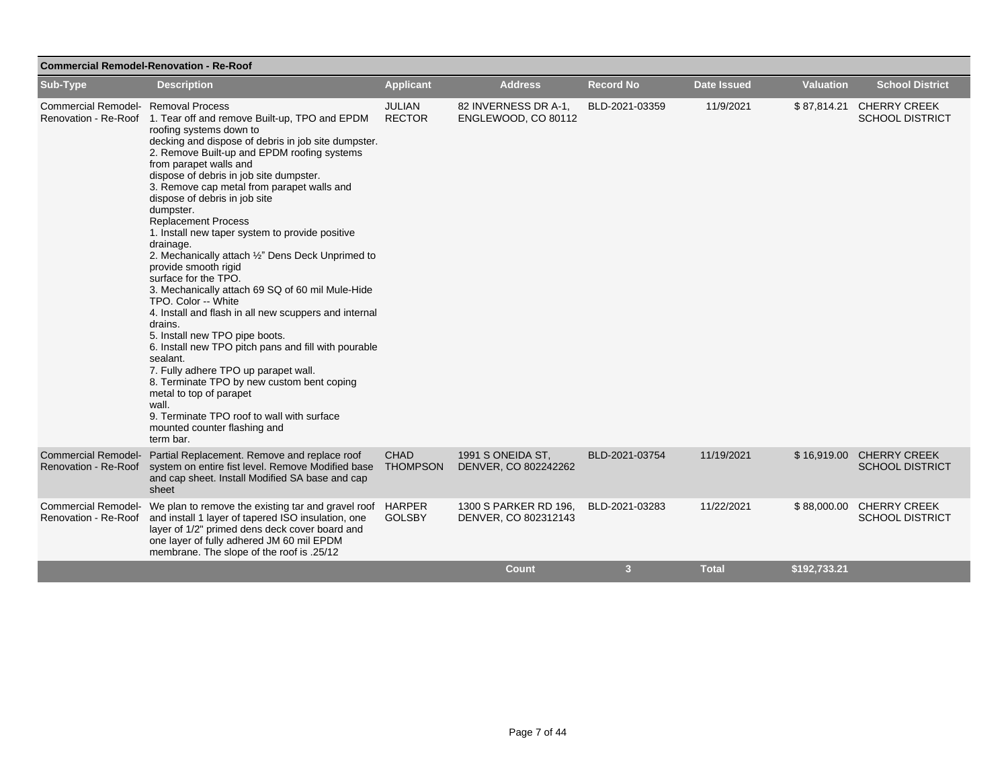| <b>Commercial Remodel-Renovation - Re-Roof</b>     |                                                                                                                                                                                                                                                                                                                                                                                                                                                                                                                                                                                                                                                                                                                                                                                                                                                                                                                                                                                                                                                   |                                |                                               |                  |                    |                  |                                                    |  |  |
|----------------------------------------------------|---------------------------------------------------------------------------------------------------------------------------------------------------------------------------------------------------------------------------------------------------------------------------------------------------------------------------------------------------------------------------------------------------------------------------------------------------------------------------------------------------------------------------------------------------------------------------------------------------------------------------------------------------------------------------------------------------------------------------------------------------------------------------------------------------------------------------------------------------------------------------------------------------------------------------------------------------------------------------------------------------------------------------------------------------|--------------------------------|-----------------------------------------------|------------------|--------------------|------------------|----------------------------------------------------|--|--|
| Sub-Type                                           | <b>Description</b>                                                                                                                                                                                                                                                                                                                                                                                                                                                                                                                                                                                                                                                                                                                                                                                                                                                                                                                                                                                                                                | <b>Applicant</b>               | <b>Address</b>                                | <b>Record No</b> | <b>Date Issued</b> | <b>Valuation</b> | <b>School District</b>                             |  |  |
| Commercial Remodel- Removal Process                | Renovation - Re-Roof 1. Tear off and remove Built-up, TPO and EPDM<br>roofing systems down to<br>decking and dispose of debris in job site dumpster.<br>2. Remove Built-up and EPDM roofing systems<br>from parapet walls and<br>dispose of debris in job site dumpster.<br>3. Remove cap metal from parapet walls and<br>dispose of debris in job site<br>dumpster.<br><b>Replacement Process</b><br>1. Install new taper system to provide positive<br>drainage.<br>2. Mechanically attach 1/2" Dens Deck Unprimed to<br>provide smooth rigid<br>surface for the TPO.<br>3. Mechanically attach 69 SQ of 60 mil Mule-Hide<br>TPO. Color -- White<br>4. Install and flash in all new scuppers and internal<br>drains.<br>5. Install new TPO pipe boots.<br>6. Install new TPO pitch pans and fill with pourable<br>sealant.<br>7. Fully adhere TPO up parapet wall.<br>8. Terminate TPO by new custom bent coping<br>metal to top of parapet<br>wall.<br>9. Terminate TPO roof to wall with surface<br>mounted counter flashing and<br>term bar. | <b>JULIAN</b><br><b>RECTOR</b> | 82 INVERNESS DR A-1,<br>ENGLEWOOD, CO 80112   | BLD-2021-03359   | 11/9/2021          |                  | \$87,814.21 CHERRY CREEK<br><b>SCHOOL DISTRICT</b> |  |  |
| <b>Commercial Remodel-</b><br>Renovation - Re-Roof | Partial Replacement. Remove and replace roof<br>system on entire fist level. Remove Modified base<br>and cap sheet. Install Modified SA base and cap<br>sheet                                                                                                                                                                                                                                                                                                                                                                                                                                                                                                                                                                                                                                                                                                                                                                                                                                                                                     | <b>CHAD</b><br><b>THOMPSON</b> | 1991 S ONEIDA ST,<br>DENVER, CO 802242262     | BLD-2021-03754   | 11/19/2021         |                  | \$16,919.00 CHERRY CREEK<br><b>SCHOOL DISTRICT</b> |  |  |
| <b>Commercial Remodel-</b><br>Renovation - Re-Roof | We plan to remove the existing tar and gravel roof<br>and install 1 layer of tapered ISO insulation, one<br>layer of 1/2" primed dens deck cover board and<br>one layer of fully adhered JM 60 mil EPDM<br>membrane. The slope of the roof is .25/12                                                                                                                                                                                                                                                                                                                                                                                                                                                                                                                                                                                                                                                                                                                                                                                              | <b>HARPER</b><br><b>GOLSBY</b> | 1300 S PARKER RD 196,<br>DENVER, CO 802312143 | BLD-2021-03283   | 11/22/2021         | \$88,000.00      | <b>CHERRY CREEK</b><br><b>SCHOOL DISTRICT</b>      |  |  |
|                                                    |                                                                                                                                                                                                                                                                                                                                                                                                                                                                                                                                                                                                                                                                                                                                                                                                                                                                                                                                                                                                                                                   |                                | <b>Count</b>                                  | 3                | <b>Total</b>       | \$192,733.21     |                                                    |  |  |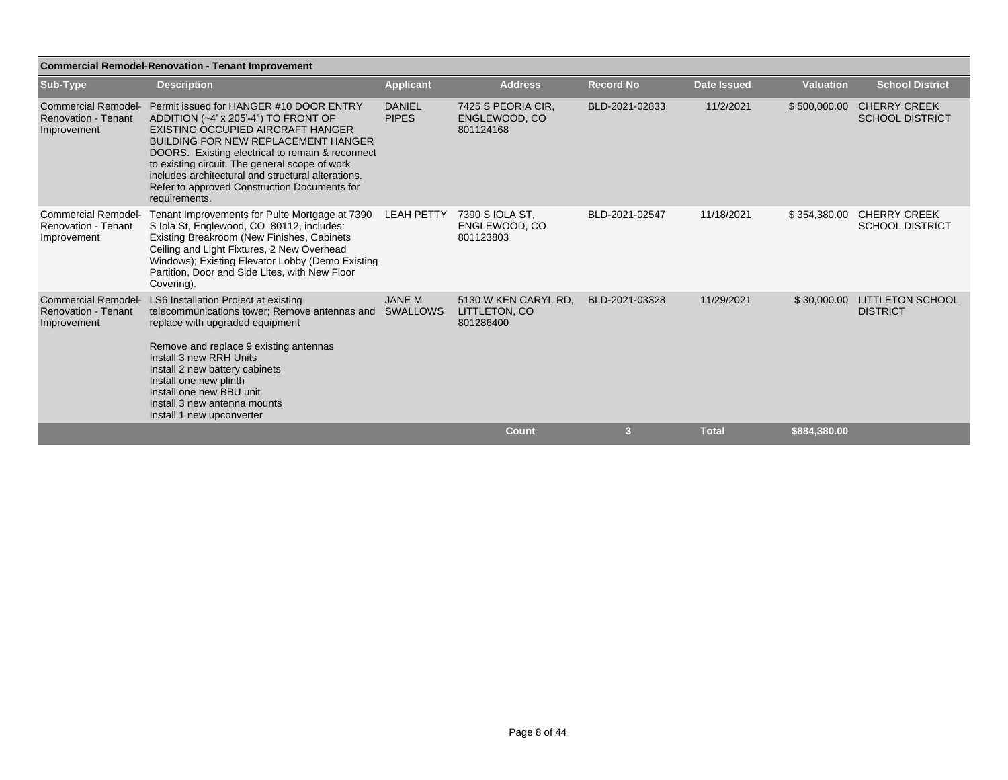| <b>Commercial Remodel-Renovation - Tenant Improvement</b>               |                                                                                                                                                                                                                                                                                                                                                                                                 |                               |                                                    |                  |                    |                  |                                               |  |  |
|-------------------------------------------------------------------------|-------------------------------------------------------------------------------------------------------------------------------------------------------------------------------------------------------------------------------------------------------------------------------------------------------------------------------------------------------------------------------------------------|-------------------------------|----------------------------------------------------|------------------|--------------------|------------------|-----------------------------------------------|--|--|
| Sub-Type                                                                | <b>Description</b>                                                                                                                                                                                                                                                                                                                                                                              | <b>Applicant</b>              | <b>Address</b>                                     | <b>Record No</b> | <b>Date Issued</b> | <b>Valuation</b> | <b>School District</b>                        |  |  |
| <b>Commercial Remodel-</b><br><b>Renovation - Tenant</b><br>Improvement | Permit issued for HANGER #10 DOOR ENTRY<br>ADDITION (~4' x 205'-4") TO FRONT OF<br>EXISTING OCCUPIED AIRCRAFT HANGER<br><b>BUILDING FOR NEW REPLACEMENT HANGER</b><br>DOORS. Existing electrical to remain & reconnect<br>to existing circuit. The general scope of work<br>includes architectural and structural alterations.<br>Refer to approved Construction Documents for<br>requirements. | <b>DANIEL</b><br><b>PIPES</b> | 7425 S PEORIA CIR.<br>ENGLEWOOD, CO<br>801124168   | BLD-2021-02833   | 11/2/2021          | \$500,000.00     | <b>CHERRY CREEK</b><br><b>SCHOOL DISTRICT</b> |  |  |
| <b>Commercial Remodel-</b><br><b>Renovation - Tenant</b><br>Improvement | Tenant Improvements for Pulte Mortgage at 7390<br>S Iola St, Englewood, CO 80112, includes:<br>Existing Breakroom (New Finishes, Cabinets<br>Ceiling and Light Fixtures, 2 New Overhead<br>Windows); Existing Elevator Lobby (Demo Existing<br>Partition, Door and Side Lites, with New Floor<br>Covering).                                                                                     | <b>LEAH PETTY</b>             | 7390 S IOLA ST.<br>ENGLEWOOD, CO<br>801123803      | BLD-2021-02547   | 11/18/2021         | \$354,380.00     | <b>CHERRY CREEK</b><br><b>SCHOOL DISTRICT</b> |  |  |
| <b>Commercial Remodel-</b><br><b>Renovation - Tenant</b><br>Improvement | LS6 Installation Project at existing<br>telecommunications tower; Remove antennas and<br>replace with upgraded equipment<br>Remove and replace 9 existing antennas<br>Install 3 new RRH Units<br>Install 2 new battery cabinets<br>Install one new plinth<br>Install one new BBU unit<br>Install 3 new antenna mounts<br>Install 1 new upconverter                                              | <b>JANE M</b><br>SWALLOWS     | 5130 W KEN CARYL RD.<br>LITTLETON, CO<br>801286400 | BLD-2021-03328   | 11/29/2021         | \$30,000.00      | <b>LITTLETON SCHOOL</b><br><b>DISTRICT</b>    |  |  |
|                                                                         |                                                                                                                                                                                                                                                                                                                                                                                                 |                               | <b>Count</b>                                       | 3                | <b>Total</b>       | \$884,380.00     |                                               |  |  |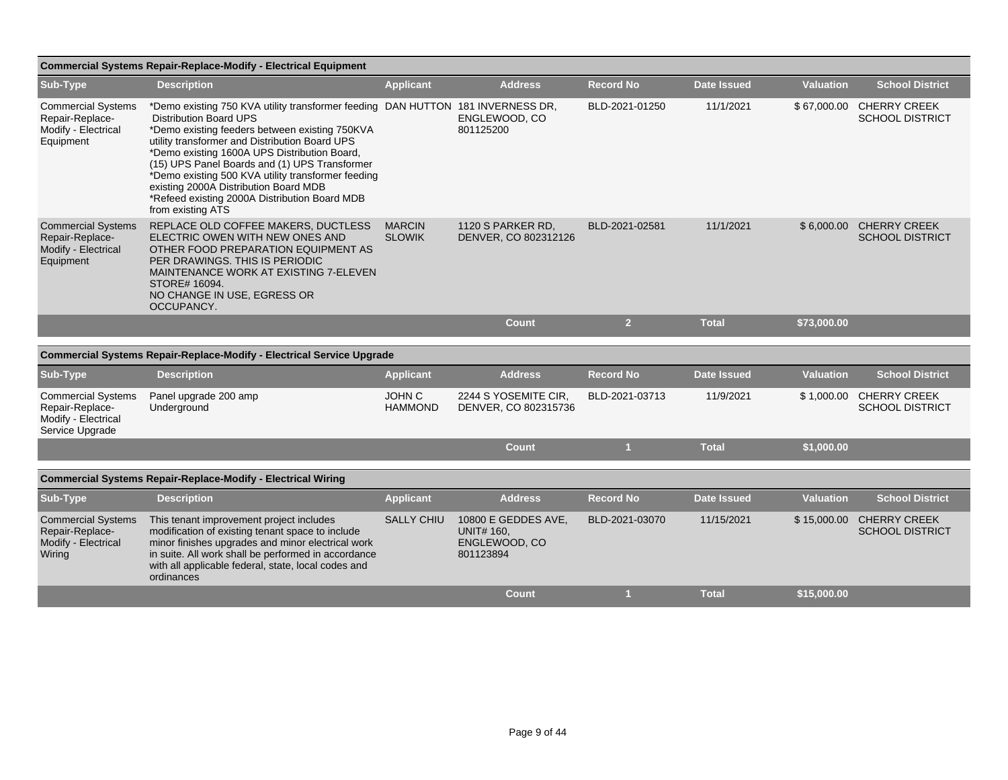| <b>Commercial Systems Repair-Replace-Modify - Electrical Equipment</b>                 |                                                                                                                                                                                                                                                                                                                                                                                                                                                                                            |                                |                                                                        |                  |                    |                  |                                               |  |  |  |
|----------------------------------------------------------------------------------------|--------------------------------------------------------------------------------------------------------------------------------------------------------------------------------------------------------------------------------------------------------------------------------------------------------------------------------------------------------------------------------------------------------------------------------------------------------------------------------------------|--------------------------------|------------------------------------------------------------------------|------------------|--------------------|------------------|-----------------------------------------------|--|--|--|
| Sub-Type                                                                               | <b>Description</b>                                                                                                                                                                                                                                                                                                                                                                                                                                                                         | <b>Applicant</b>               | <b>Address</b>                                                         | <b>Record No</b> | <b>Date Issued</b> | <b>Valuation</b> | <b>School District</b>                        |  |  |  |
| <b>Commercial Systems</b><br>Repair-Replace-<br>Modify - Electrical<br>Equipment       | *Demo existing 750 KVA utility transformer feeding DAN HUTTON 181 INVERNESS DR,<br><b>Distribution Board UPS</b><br>*Demo existing feeders between existing 750KVA<br>utility transformer and Distribution Board UPS<br>*Demo existing 1600A UPS Distribution Board,<br>(15) UPS Panel Boards and (1) UPS Transformer<br>*Demo existing 500 KVA utility transformer feeding<br>existing 2000A Distribution Board MDB<br>*Refeed existing 2000A Distribution Board MDB<br>from existing ATS |                                | ENGLEWOOD, CO<br>801125200                                             | BLD-2021-01250   | 11/1/2021          | \$67,000.00      | <b>CHERRY CREEK</b><br><b>SCHOOL DISTRICT</b> |  |  |  |
| <b>Commercial Systems</b><br>Repair-Replace-<br>Modify - Electrical<br>Equipment       | REPLACE OLD COFFEE MAKERS, DUCTLESS<br>ELECTRIC OWEN WITH NEW ONES AND<br>OTHER FOOD PREPARATION EQUIPMENT AS<br>PER DRAWINGS. THIS IS PERIODIC<br>MAINTENANCE WORK AT EXISTING 7-ELEVEN<br>STORE# 16094.<br>NO CHANGE IN USE, EGRESS OR<br>OCCUPANCY.                                                                                                                                                                                                                                     | <b>MARCIN</b><br><b>SLOWIK</b> | 1120 S PARKER RD,<br>DENVER, CO 802312126                              | BLD-2021-02581   | 11/1/2021          | \$6,000.00       | <b>CHERRY CREEK</b><br><b>SCHOOL DISTRICT</b> |  |  |  |
|                                                                                        |                                                                                                                                                                                                                                                                                                                                                                                                                                                                                            |                                | <b>Count</b>                                                           | $\overline{2}$   | <b>Total</b>       | \$73,000.00      |                                               |  |  |  |
|                                                                                        |                                                                                                                                                                                                                                                                                                                                                                                                                                                                                            |                                |                                                                        |                  |                    |                  |                                               |  |  |  |
|                                                                                        | <b>Commercial Systems Repair-Replace-Modify - Electrical Service Upgrade</b>                                                                                                                                                                                                                                                                                                                                                                                                               |                                |                                                                        |                  |                    |                  |                                               |  |  |  |
| Sub-Type                                                                               | <b>Description</b>                                                                                                                                                                                                                                                                                                                                                                                                                                                                         | <b>Applicant</b>               | <b>Address</b>                                                         | <b>Record No</b> | <b>Date Issued</b> | <b>Valuation</b> | <b>School District</b>                        |  |  |  |
| <b>Commercial Systems</b><br>Repair-Replace-<br>Modify - Electrical<br>Service Upgrade | Panel upgrade 200 amp<br>Underground                                                                                                                                                                                                                                                                                                                                                                                                                                                       | JOHN C<br><b>HAMMOND</b>       | 2244 S YOSEMITE CIR,<br>DENVER, CO 802315736                           | BLD-2021-03713   | 11/9/2021          | \$1,000.00       | <b>CHERRY CREEK</b><br><b>SCHOOL DISTRICT</b> |  |  |  |
|                                                                                        |                                                                                                                                                                                                                                                                                                                                                                                                                                                                                            |                                | <b>Count</b>                                                           | $\blacksquare$   | <b>Total</b>       | \$1,000.00       |                                               |  |  |  |
|                                                                                        | <b>Commercial Systems Repair-Replace-Modify - Electrical Wiring</b>                                                                                                                                                                                                                                                                                                                                                                                                                        |                                |                                                                        |                  |                    |                  |                                               |  |  |  |
|                                                                                        |                                                                                                                                                                                                                                                                                                                                                                                                                                                                                            |                                |                                                                        |                  |                    |                  |                                               |  |  |  |
| Sub-Type                                                                               | <b>Description</b>                                                                                                                                                                                                                                                                                                                                                                                                                                                                         | <b>Applicant</b>               | <b>Address</b>                                                         | <b>Record No</b> | <b>Date Issued</b> | <b>Valuation</b> | <b>School District</b>                        |  |  |  |
| <b>Commercial Systems</b><br>Repair-Replace-<br>Modify - Electrical<br>Wiring          | This tenant improvement project includes<br>modification of existing tenant space to include<br>minor finishes upgrades and minor electrical work<br>in suite. All work shall be performed in accordance<br>with all applicable federal, state, local codes and                                                                                                                                                                                                                            | <b>SALLY CHIU</b>              | 10800 E GEDDES AVE,<br><b>UNIT# 160,</b><br>ENGLEWOOD, CO<br>801123894 | BLD-2021-03070   | 11/15/2021         | \$15,000.00      | <b>CHERRY CREEK</b><br><b>SCHOOL DISTRICT</b> |  |  |  |

ordinances

**Count 1 Total \$15,000.00**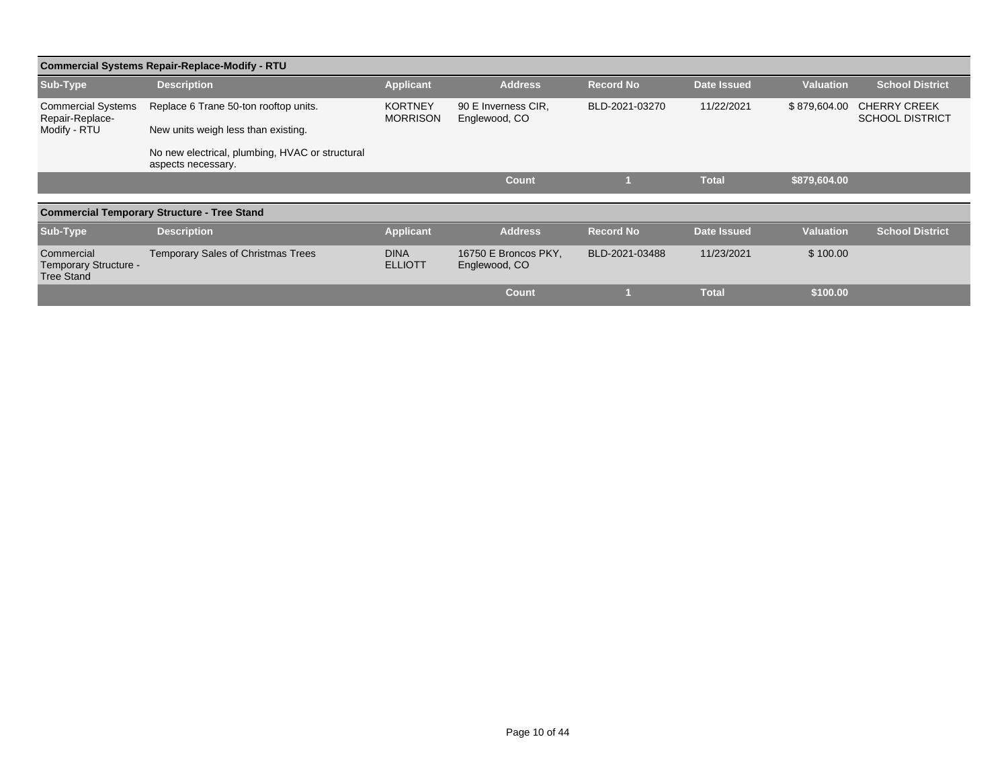| <b>Commercial Systems Repair-Replace-Modify - RTU</b>    |                                                                       |                                   |                                       |                  |                    |                  |                                               |  |  |  |
|----------------------------------------------------------|-----------------------------------------------------------------------|-----------------------------------|---------------------------------------|------------------|--------------------|------------------|-----------------------------------------------|--|--|--|
| Sub-Type                                                 | <b>Description</b>                                                    | <b>Applicant</b>                  | <b>Address</b>                        | <b>Record No</b> | <b>Date Issued</b> | <b>Valuation</b> | <b>School District</b>                        |  |  |  |
| <b>Commercial Systems</b><br>Repair-Replace-             | Replace 6 Trane 50-ton rooftop units.                                 | <b>KORTNEY</b><br><b>MORRISON</b> | 90 E Inverness CIR,<br>Englewood, CO  | BLD-2021-03270   | 11/22/2021         | \$879,604.00     | <b>CHERRY CREEK</b><br><b>SCHOOL DISTRICT</b> |  |  |  |
| Modify - RTU                                             | New units weigh less than existing.                                   |                                   |                                       |                  |                    |                  |                                               |  |  |  |
|                                                          | No new electrical, plumbing, HVAC or structural<br>aspects necessary. |                                   |                                       |                  |                    |                  |                                               |  |  |  |
|                                                          |                                                                       |                                   | <b>Count</b>                          |                  | <b>Total</b>       | \$879,604.00     |                                               |  |  |  |
|                                                          | <b>Commercial Temporary Structure - Tree Stand</b>                    |                                   |                                       |                  |                    |                  |                                               |  |  |  |
|                                                          |                                                                       |                                   |                                       |                  |                    |                  |                                               |  |  |  |
| Sub-Type                                                 | <b>Description</b>                                                    | <b>Applicant</b>                  | <b>Address</b>                        | <b>Record No</b> | <b>Date Issued</b> | <b>Valuation</b> | <b>School District</b>                        |  |  |  |
| Commercial<br>Temporary Structure -<br><b>Tree Stand</b> | <b>Temporary Sales of Christmas Trees</b>                             | <b>DINA</b><br><b>ELLIOTT</b>     | 16750 E Broncos PKY,<br>Englewood, CO | BLD-2021-03488   | 11/23/2021         | \$100.00         |                                               |  |  |  |
|                                                          |                                                                       |                                   | <b>Count</b>                          |                  | <b>Total</b>       | \$100.00         |                                               |  |  |  |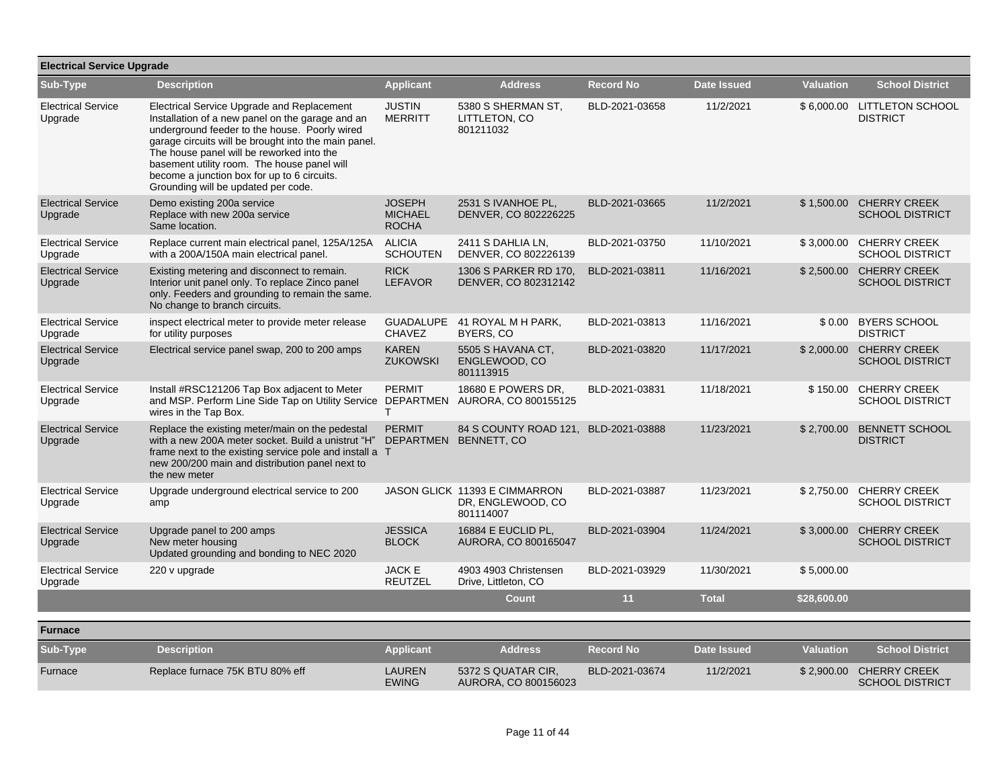| <b>Electrical Service Upgrade</b>    |                                                                                                                                                                                                                                                                                                                                                                                           |                                                 |                                                                 |                  |                    |                  |                                                   |  |  |
|--------------------------------------|-------------------------------------------------------------------------------------------------------------------------------------------------------------------------------------------------------------------------------------------------------------------------------------------------------------------------------------------------------------------------------------------|-------------------------------------------------|-----------------------------------------------------------------|------------------|--------------------|------------------|---------------------------------------------------|--|--|
| Sub-Type                             | <b>Description</b>                                                                                                                                                                                                                                                                                                                                                                        | <b>Applicant</b>                                | <b>Address</b>                                                  | <b>Record No</b> | <b>Date Issued</b> | <b>Valuation</b> | <b>School District</b>                            |  |  |
| <b>Electrical Service</b><br>Upgrade | Electrical Service Upgrade and Replacement<br>Installation of a new panel on the garage and an<br>underground feeder to the house. Poorly wired<br>garage circuits will be brought into the main panel.<br>The house panel will be reworked into the<br>basement utility room. The house panel will<br>become a junction box for up to 6 circuits.<br>Grounding will be updated per code. | <b>JUSTIN</b><br>MERRITT                        | 5380 S SHERMAN ST,<br>LITTLETON, CO<br>801211032                | BLD-2021-03658   | 11/2/2021          | \$6,000.00       | <b>LITTLETON SCHOOL</b><br><b>DISTRICT</b>        |  |  |
| <b>Electrical Service</b><br>Upgrade | Demo existing 200a service<br>Replace with new 200a service<br>Same location.                                                                                                                                                                                                                                                                                                             | <b>JOSEPH</b><br><b>MICHAEL</b><br><b>ROCHA</b> | 2531 S IVANHOE PL,<br>DENVER, CO 802226225                      | BLD-2021-03665   | 11/2/2021          |                  | \$1,500.00 CHERRY CREEK<br><b>SCHOOL DISTRICT</b> |  |  |
| <b>Electrical Service</b><br>Upgrade | Replace current main electrical panel, 125A/125A<br>with a 200A/150A main electrical panel.                                                                                                                                                                                                                                                                                               | <b>ALICIA</b><br><b>SCHOUTEN</b>                | 2411 S DAHLIA LN,<br>DENVER, CO 802226139                       | BLD-2021-03750   | 11/10/2021         | \$3,000.00       | <b>CHERRY CREEK</b><br><b>SCHOOL DISTRICT</b>     |  |  |
| <b>Electrical Service</b><br>Upgrade | Existing metering and disconnect to remain.<br>Interior unit panel only. To replace Zinco panel<br>only. Feeders and grounding to remain the same.<br>No change to branch circuits.                                                                                                                                                                                                       | <b>RICK</b><br><b>LEFAVOR</b>                   | 1306 S PARKER RD 170,<br>DENVER, CO 802312142                   | BLD-2021-03811   | 11/16/2021         | \$2,500.00       | <b>CHERRY CREEK</b><br><b>SCHOOL DISTRICT</b>     |  |  |
| <b>Electrical Service</b><br>Upgrade | inspect electrical meter to provide meter release<br>for utility purposes                                                                                                                                                                                                                                                                                                                 | <b>GUADALUPE</b><br><b>CHAVEZ</b>               | 41 ROYAL M H PARK,<br>BYERS, CO                                 | BLD-2021-03813   | 11/16/2021         |                  | \$0.00 BYERS SCHOOL<br><b>DISTRICT</b>            |  |  |
| <b>Electrical Service</b><br>Upgrade | Electrical service panel swap, 200 to 200 amps                                                                                                                                                                                                                                                                                                                                            | <b>KAREN</b><br><b>ZUKOWSKI</b>                 | 5505 S HAVANA CT.<br>ENGLEWOOD, CO<br>801113915                 | BLD-2021-03820   | 11/17/2021         | \$2,000.00       | <b>CHERRY CREEK</b><br><b>SCHOOL DISTRICT</b>     |  |  |
| <b>Electrical Service</b><br>Upgrade | Install #RSC121206 Tap Box adjacent to Meter<br>and MSP. Perform Line Side Tap on Utility Service DEPARTMEN<br>wires in the Tap Box.                                                                                                                                                                                                                                                      | <b>PERMIT</b><br>T                              | 18680 E POWERS DR,<br>AURORA, CO 800155125                      | BLD-2021-03831   | 11/18/2021         |                  | \$150.00 CHERRY CREEK<br><b>SCHOOL DISTRICT</b>   |  |  |
| <b>Electrical Service</b><br>Upgrade | Replace the existing meter/main on the pedestal<br>with a new 200A meter socket. Build a unistrut "H"<br>frame next to the existing service pole and install a T<br>new 200/200 main and distribution panel next to<br>the new meter                                                                                                                                                      | <b>PERMIT</b>                                   | 84 S COUNTY ROAD 121, BLD-2021-03888<br>DEPARTMEN BENNETT, CO   |                  | 11/23/2021         | \$2,700.00       | <b>BENNETT SCHOOL</b><br><b>DISTRICT</b>          |  |  |
| <b>Electrical Service</b><br>Upgrade | Upgrade underground electrical service to 200<br>amp                                                                                                                                                                                                                                                                                                                                      |                                                 | JASON GLICK 11393 E CIMMARRON<br>DR, ENGLEWOOD, CO<br>801114007 | BLD-2021-03887   | 11/23/2021         | \$2,750.00       | <b>CHERRY CREEK</b><br><b>SCHOOL DISTRICT</b>     |  |  |
| <b>Electrical Service</b><br>Upgrade | Upgrade panel to 200 amps<br>New meter housing<br>Updated grounding and bonding to NEC 2020                                                                                                                                                                                                                                                                                               | <b>JESSICA</b><br><b>BLOCK</b>                  | 16884 E EUCLID PL,<br>AURORA, CO 800165047                      | BLD-2021-03904   | 11/24/2021         | \$3,000.00       | <b>CHERRY CREEK</b><br><b>SCHOOL DISTRICT</b>     |  |  |
| <b>Electrical Service</b><br>Upgrade | 220 v upgrade                                                                                                                                                                                                                                                                                                                                                                             | <b>JACK E</b><br><b>REUTZEL</b>                 | 4903 4903 Christensen<br>Drive, Littleton, CO                   | BLD-2021-03929   | 11/30/2021         | \$5,000.00       |                                                   |  |  |
|                                      |                                                                                                                                                                                                                                                                                                                                                                                           |                                                 | <b>Count</b>                                                    | 11               | <b>Total</b>       | \$28,600.00      |                                                   |  |  |
| <b>Furnace</b>                       |                                                                                                                                                                                                                                                                                                                                                                                           |                                                 |                                                                 |                  |                    |                  |                                                   |  |  |
| Sub-Type                             | <b>Description</b>                                                                                                                                                                                                                                                                                                                                                                        | <b>Applicant</b>                                | <b>Address</b>                                                  | <b>Record No</b> | <b>Date Issued</b> | <b>Valuation</b> | <b>School District</b>                            |  |  |
| Furnace                              | Replace furnace 75K BTU 80% eff                                                                                                                                                                                                                                                                                                                                                           | <b>LAUREN</b><br><b>EWING</b>                   | 5372 S QUATAR CIR,<br>AURORA, CO 800156023                      | BLD-2021-03674   | 11/2/2021          |                  | \$2,900.00 CHERRY CREEK<br><b>SCHOOL DISTRICT</b> |  |  |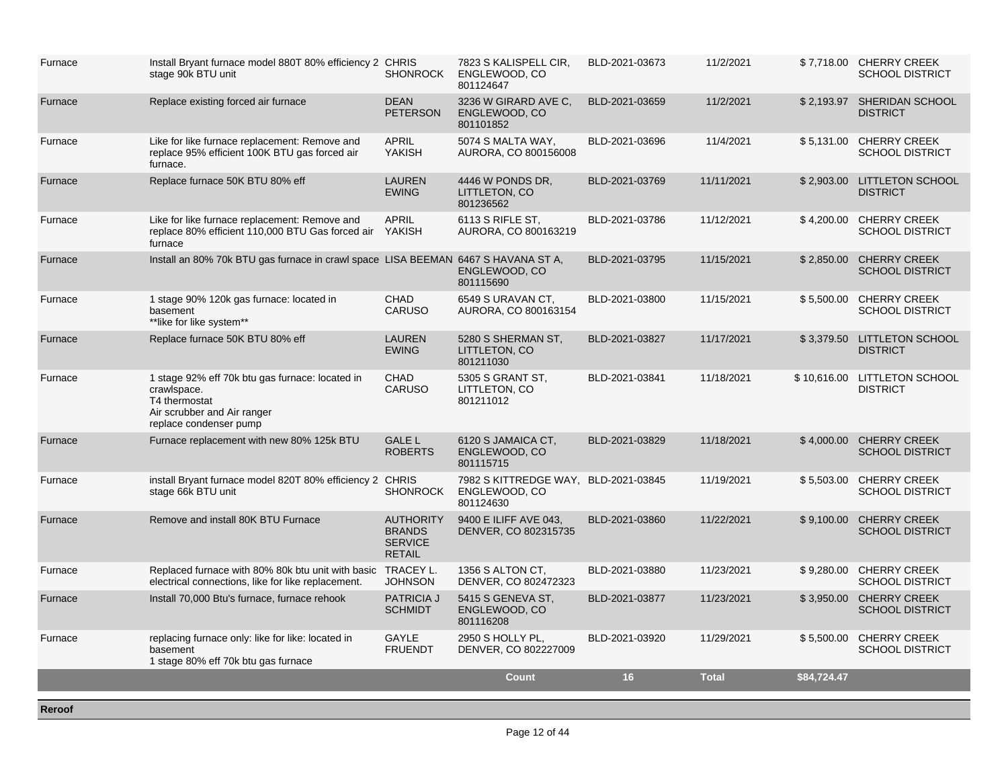| Furnace | Install Bryant furnace model 880T 80% efficiency 2 CHRIS<br>stage 90k BTU unit                                                           | <b>SHONROCK</b>                                                      | 7823 S KALISPELL CIR,<br>ENGLEWOOD, CO<br>801124647                | BLD-2021-03673 | 11/2/2021    |             | \$7,718.00 CHERRY CREEK<br><b>SCHOOL DISTRICT</b> |
|---------|------------------------------------------------------------------------------------------------------------------------------------------|----------------------------------------------------------------------|--------------------------------------------------------------------|----------------|--------------|-------------|---------------------------------------------------|
| Furnace | Replace existing forced air furnace                                                                                                      | <b>DEAN</b><br><b>PETERSON</b>                                       | 3236 W GIRARD AVE C.<br>ENGLEWOOD, CO<br>801101852                 | BLD-2021-03659 | 11/2/2021    |             | \$2,193.97 SHERIDAN SCHOOL<br><b>DISTRICT</b>     |
| Furnace | Like for like furnace replacement: Remove and<br>replace 95% efficient 100K BTU gas forced air<br>furnace.                               | <b>APRIL</b><br>YAKISH                                               | 5074 S MALTA WAY,<br>AURORA, CO 800156008                          | BLD-2021-03696 | 11/4/2021    |             | \$5,131.00 CHERRY CREEK<br><b>SCHOOL DISTRICT</b> |
| Furnace | Replace furnace 50K BTU 80% eff                                                                                                          | <b>LAUREN</b><br><b>EWING</b>                                        | 4446 W PONDS DR,<br>LITTLETON, CO<br>801236562                     | BLD-2021-03769 | 11/11/2021   | \$2,903.00  | <b>LITTLETON SCHOOL</b><br><b>DISTRICT</b>        |
| Furnace | Like for like furnace replacement: Remove and<br>replace 80% efficient 110,000 BTU Gas forced air YAKISH<br>furnace                      | <b>APRIL</b>                                                         | 6113 S RIFLE ST.<br>AURORA, CO 800163219                           | BLD-2021-03786 | 11/12/2021   | \$4,200.00  | <b>CHERRY CREEK</b><br><b>SCHOOL DISTRICT</b>     |
| Furnace | Install an 80% 70k BTU gas furnace in crawl space LISA BEEMAN 6467 S HAVANA ST A,                                                        |                                                                      | ENGLEWOOD, CO<br>801115690                                         | BLD-2021-03795 | 11/15/2021   |             | \$2.850.00 CHERRY CREEK<br><b>SCHOOL DISTRICT</b> |
| Furnace | 1 stage 90% 120k gas furnace: located in<br>basement<br>**like for like system**                                                         | CHAD<br><b>CARUSO</b>                                                | 6549 S URAVAN CT.<br>AURORA, CO 800163154                          | BLD-2021-03800 | 11/15/2021   | \$5,500.00  | <b>CHERRY CREEK</b><br><b>SCHOOL DISTRICT</b>     |
| Furnace | Replace furnace 50K BTU 80% eff                                                                                                          | <b>LAUREN</b><br><b>EWING</b>                                        | 5280 S SHERMAN ST,<br>LITTLETON, CO<br>801211030                   | BLD-2021-03827 | 11/17/2021   | \$3,379.50  | <b>LITTLETON SCHOOL</b><br><b>DISTRICT</b>        |
| Furnace | 1 stage 92% eff 70k btu gas furnace: located in<br>crawlspace.<br>T4 thermostat<br>Air scrubber and Air ranger<br>replace condenser pump | <b>CHAD</b><br><b>CARUSO</b>                                         | 5305 S GRANT ST,<br>LITTLETON, CO<br>801211012                     | BLD-2021-03841 | 11/18/2021   | \$10,616.00 | <b>LITTLETON SCHOOL</b><br><b>DISTRICT</b>        |
| Furnace | Furnace replacement with new 80% 125k BTU                                                                                                | <b>GALE L</b><br><b>ROBERTS</b>                                      | 6120 S JAMAICA CT,<br>ENGLEWOOD, CO<br>801115715                   | BLD-2021-03829 | 11/18/2021   | \$4,000.00  | <b>CHERRY CREEK</b><br><b>SCHOOL DISTRICT</b>     |
| Furnace | install Bryant furnace model 820T 80% efficiency 2 CHRIS<br>stage 66k BTU unit                                                           | <b>SHONROCK</b>                                                      | 7982 S KITTREDGE WAY, BLD-2021-03845<br>ENGLEWOOD, CO<br>801124630 |                | 11/19/2021   | \$5,503.00  | <b>CHERRY CREEK</b><br><b>SCHOOL DISTRICT</b>     |
| Furnace | Remove and install 80K BTU Furnace                                                                                                       | <b>AUTHORITY</b><br><b>BRANDS</b><br><b>SERVICE</b><br><b>RETAIL</b> | 9400 E ILIFF AVE 043,<br>DENVER, CO 802315735                      | BLD-2021-03860 | 11/22/2021   | \$9,100.00  | <b>CHERRY CREEK</b><br><b>SCHOOL DISTRICT</b>     |
| Furnace | Replaced furnace with 80% 80k btu unit with basic TRACEY L.<br>electrical connections, like for like replacement.                        | <b>JOHNSON</b>                                                       | 1356 S ALTON CT,<br>DENVER, CO 802472323                           | BLD-2021-03880 | 11/23/2021   | \$9,280.00  | <b>CHERRY CREEK</b><br><b>SCHOOL DISTRICT</b>     |
| Furnace | Install 70,000 Btu's furnace, furnace rehook                                                                                             | <b>PATRICIA J</b><br><b>SCHMIDT</b>                                  | 5415 S GENEVA ST,<br>ENGLEWOOD, CO<br>801116208                    | BLD-2021-03877 | 11/23/2021   | \$3,950.00  | <b>CHERRY CREEK</b><br><b>SCHOOL DISTRICT</b>     |
| Furnace | replacing furnace only: like for like: located in<br>basement<br>1 stage 80% eff 70k btu gas furnace                                     | GAYLE<br><b>FRUENDT</b>                                              | 2950 S HOLLY PL.<br>DENVER, CO 802227009                           | BLD-2021-03920 | 11/29/2021   | \$5,500.00  | <b>CHERRY CREEK</b><br><b>SCHOOL DISTRICT</b>     |
|         |                                                                                                                                          |                                                                      | <b>Count</b>                                                       | 16             | <b>Total</b> | \$84,724.47 |                                                   |
| Reroof  |                                                                                                                                          |                                                                      |                                                                    |                |              |             |                                                   |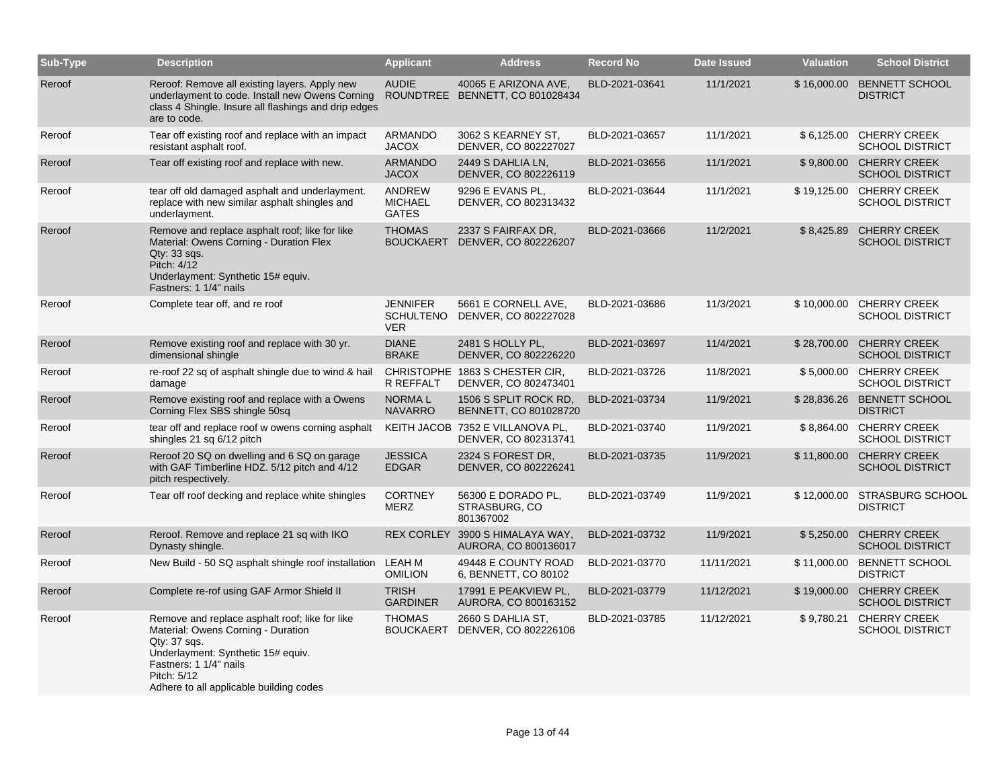| Sub-Type | <b>Description</b>                                                                                                                                                                                                               | <b>Applicant</b>                                  | <b>Address</b>                                          | <b>Record No</b> | <b>Date Issued</b> | Valuation   | <b>School District</b>                             |
|----------|----------------------------------------------------------------------------------------------------------------------------------------------------------------------------------------------------------------------------------|---------------------------------------------------|---------------------------------------------------------|------------------|--------------------|-------------|----------------------------------------------------|
| Reroof   | Reroof: Remove all existing layers. Apply new<br>underlayment to code. Install new Owens Corning<br>class 4 Shingle. Insure all flashings and drip edges<br>are to code.                                                         | <b>AUDIE</b>                                      | 40065 E ARIZONA AVE,<br>ROUNDTREE BENNETT, CO 801028434 | BLD-2021-03641   | 11/1/2021          | \$16,000.00 | <b>BENNETT SCHOOL</b><br><b>DISTRICT</b>           |
| Reroof   | Tear off existing roof and replace with an impact<br>resistant asphalt roof.                                                                                                                                                     | ARMANDO<br><b>JACOX</b>                           | 3062 S KEARNEY ST,<br>DENVER, CO 802227027              | BLD-2021-03657   | 11/1/2021          | \$6,125.00  | <b>CHERRY CREEK</b><br><b>SCHOOL DISTRICT</b>      |
| Reroof   | Tear off existing roof and replace with new.                                                                                                                                                                                     | <b>ARMANDO</b><br><b>JACOX</b>                    | 2449 S DAHLIA LN.<br>DENVER, CO 802226119               | BLD-2021-03656   | 11/1/2021          | \$9,800.00  | <b>CHERRY CREEK</b><br><b>SCHOOL DISTRICT</b>      |
| Reroof   | tear off old damaged asphalt and underlayment.<br>replace with new similar asphalt shingles and<br>underlayment.                                                                                                                 | ANDREW<br><b>MICHAEL</b><br><b>GATES</b>          | 9296 E EVANS PL.<br>DENVER, CO 802313432                | BLD-2021-03644   | 11/1/2021          | \$19,125.00 | <b>CHERRY CREEK</b><br><b>SCHOOL DISTRICT</b>      |
| Reroof   | Remove and replace asphalt roof; like for like<br>Material: Owens Corning - Duration Flex<br>Qty: 33 sqs.<br>Pitch: 4/12<br>Underlayment: Synthetic 15# equiv.<br>Fastners: 1 1/4" nails                                         | <b>THOMAS</b><br><b>BOUCKAERT</b>                 | 2337 S FAIRFAX DR,<br>DENVER, CO 802226207              | BLD-2021-03666   | 11/2/2021          | \$8,425.89  | <b>CHERRY CREEK</b><br><b>SCHOOL DISTRICT</b>      |
| Reroof   | Complete tear off, and re roof                                                                                                                                                                                                   | <b>JENNIFER</b><br><b>SCHULTENO</b><br><b>VER</b> | 5661 E CORNELL AVE,<br>DENVER, CO 802227028             | BLD-2021-03686   | 11/3/2021          |             | \$10,000.00 CHERRY CREEK<br><b>SCHOOL DISTRICT</b> |
| Reroof   | Remove existing roof and replace with 30 yr.<br>dimensional shingle                                                                                                                                                              | <b>DIANE</b><br><b>BRAKE</b>                      | 2481 S HOLLY PL,<br>DENVER, CO 802226220                | BLD-2021-03697   | 11/4/2021          | \$28,700.00 | <b>CHERRY CREEK</b><br><b>SCHOOL DISTRICT</b>      |
| Reroof   | re-roof 22 sq of asphalt shingle due to wind & hail<br>damage                                                                                                                                                                    | R REFFALT                                         | CHRISTOPHE 1863 S CHESTER CIR,<br>DENVER, CO 802473401  | BLD-2021-03726   | 11/8/2021          |             | \$5,000.00 CHERRY CREEK<br><b>SCHOOL DISTRICT</b>  |
| Reroof   | Remove existing roof and replace with a Owens<br>Corning Flex SBS shingle 50sq                                                                                                                                                   | <b>NORMAL</b><br><b>NAVARRO</b>                   | 1506 S SPLIT ROCK RD,<br>BENNETT, CO 801028720          | BLD-2021-03734   | 11/9/2021          | \$28,836.26 | <b>BENNETT SCHOOL</b><br><b>DISTRICT</b>           |
| Reroof   | tear off and replace roof w owens corning asphalt<br>shingles 21 sq 6/12 pitch                                                                                                                                                   | <b>KEITH JACOB</b>                                | 7352 E VILLANOVA PL.<br>DENVER, CO 802313741            | BLD-2021-03740   | 11/9/2021          | \$8.864.00  | <b>CHERRY CREEK</b><br><b>SCHOOL DISTRICT</b>      |
| Reroof   | Reroof 20 SQ on dwelling and 6 SQ on garage<br>with GAF Timberline HDZ. 5/12 pitch and 4/12<br>pitch respectively.                                                                                                               | <b>JESSICA</b><br><b>EDGAR</b>                    | 2324 S FOREST DR.<br>DENVER, CO 802226241               | BLD-2021-03735   | 11/9/2021          | \$11,800.00 | <b>CHERRY CREEK</b><br><b>SCHOOL DISTRICT</b>      |
| Reroof   | Tear off roof decking and replace white shingles                                                                                                                                                                                 | <b>CORTNEY</b><br>MERZ                            | 56300 E DORADO PL,<br>STRASBURG, CO<br>801367002        | BLD-2021-03749   | 11/9/2021          |             | \$12,000.00 STRASBURG SCHOOL<br><b>DISTRICT</b>    |
| Reroof   | Reroof. Remove and replace 21 sq with IKO<br>Dynasty shingle.                                                                                                                                                                    | <b>REX CORLEY</b>                                 | 3900 S HIMALAYA WAY,<br>AURORA, CO 800136017            | BLD-2021-03732   | 11/9/2021          | \$5,250.00  | <b>CHERRY CREEK</b><br><b>SCHOOL DISTRICT</b>      |
| Reroof   | New Build - 50 SQ asphalt shingle roof installation                                                                                                                                                                              | LEAH M<br><b>OMILION</b>                          | 49448 E COUNTY ROAD<br>6, BENNETT, CO 80102             | BLD-2021-03770   | 11/11/2021         | \$11,000.00 | <b>BENNETT SCHOOL</b><br><b>DISTRICT</b>           |
| Reroof   | Complete re-rof using GAF Armor Shield II                                                                                                                                                                                        | <b>TRISH</b><br><b>GARDINER</b>                   | 17991 E PEAKVIEW PL,<br>AURORA, CO 800163152            | BLD-2021-03779   | 11/12/2021         | \$19,000.00 | <b>CHERRY CREEK</b><br><b>SCHOOL DISTRICT</b>      |
| Reroof   | Remove and replace asphalt roof; like for like<br>Material: Owens Corning - Duration<br>$Qty: 37$ sqs.<br>Underlayment: Synthetic 15# equiv.<br>Fastners: 1 1/4" nails<br>Pitch: 5/12<br>Adhere to all applicable building codes | <b>THOMAS</b><br><b>BOUCKAERT</b>                 | 2660 S DAHLIA ST,<br>DENVER, CO 802226106               | BLD-2021-03785   | 11/12/2021         | \$9,780.21  | <b>CHERRY CREEK</b><br><b>SCHOOL DISTRICT</b>      |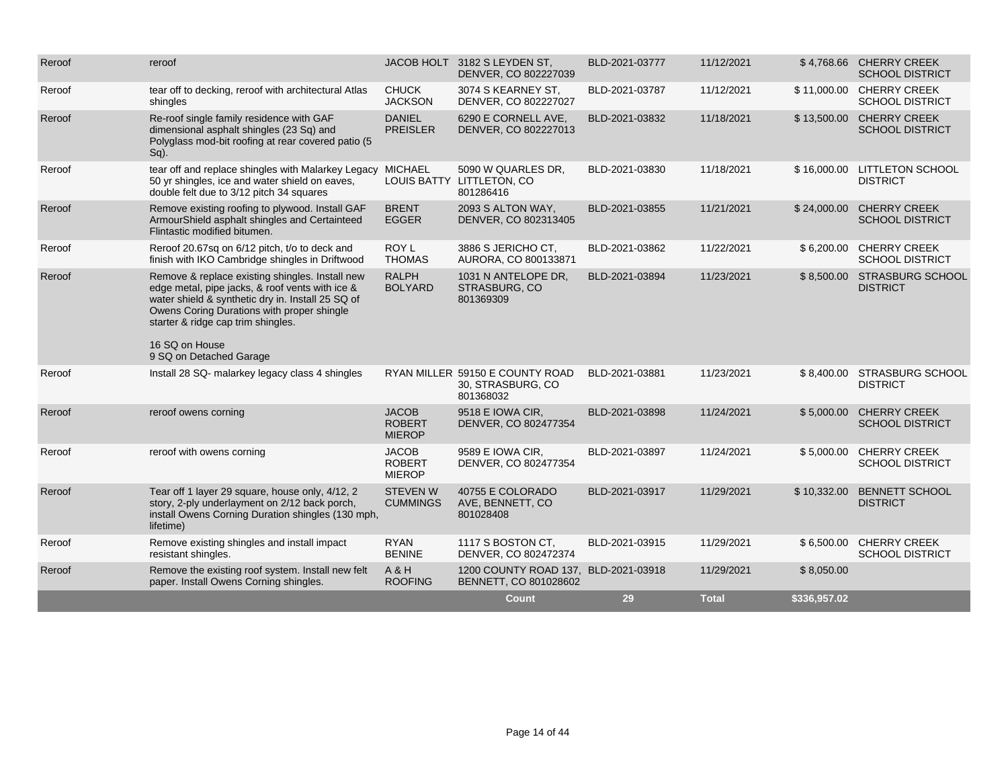| Reroof | reroof                                                                                                                                                                                                                                                                                   |                                                | JACOB HOLT 3182 S LEYDEN ST,<br>DENVER, CO 802227039              | BLD-2021-03777 | 11/12/2021   |              | \$4,768.66 CHERRY CREEK<br><b>SCHOOL DISTRICT</b>  |
|--------|------------------------------------------------------------------------------------------------------------------------------------------------------------------------------------------------------------------------------------------------------------------------------------------|------------------------------------------------|-------------------------------------------------------------------|----------------|--------------|--------------|----------------------------------------------------|
| Reroof | tear off to decking, reroof with architectural Atlas<br>shingles                                                                                                                                                                                                                         | <b>CHUCK</b><br><b>JACKSON</b>                 | 3074 S KEARNEY ST.<br>DENVER, CO 802227027                        | BLD-2021-03787 | 11/12/2021   |              | \$11,000.00 CHERRY CREEK<br><b>SCHOOL DISTRICT</b> |
| Reroof | Re-roof single family residence with GAF<br>dimensional asphalt shingles (23 Sq) and<br>Polyglass mod-bit roofing at rear covered patio (5<br>$Sq)$ .                                                                                                                                    | <b>DANIEL</b><br><b>PREISLER</b>               | 6290 E CORNELL AVE,<br>DENVER, CO 802227013                       | BLD-2021-03832 | 11/18/2021   | \$13,500.00  | <b>CHERRY CREEK</b><br><b>SCHOOL DISTRICT</b>      |
| Reroof | tear off and replace shingles with Malarkey Legacy<br>50 yr shingles, ice and water shield on eaves,<br>double felt due to 3/12 pitch 34 squares                                                                                                                                         | <b>MICHAEL</b><br><b>LOUIS BATTY</b>           | 5090 W QUARLES DR.<br>LITTLETON, CO<br>801286416                  | BLD-2021-03830 | 11/18/2021   | \$16,000.00  | <b>LITTLETON SCHOOL</b><br><b>DISTRICT</b>         |
| Reroof | Remove existing roofing to plywood. Install GAF<br>ArmourShield asphalt shingles and Certainteed<br>Flintastic modified bitumen.                                                                                                                                                         | <b>BRENT</b><br><b>EGGER</b>                   | 2093 S ALTON WAY.<br>DENVER, CO 802313405                         | BLD-2021-03855 | 11/21/2021   | \$24,000.00  | <b>CHERRY CREEK</b><br><b>SCHOOL DISTRICT</b>      |
| Reroof | Reroof 20.67sq on 6/12 pitch, t/o to deck and<br>finish with IKO Cambridge shingles in Driftwood                                                                                                                                                                                         | ROY L<br><b>THOMAS</b>                         | 3886 S JERICHO CT,<br>AURORA, CO 800133871                        | BLD-2021-03862 | 11/22/2021   | \$6,200.00   | <b>CHERRY CREEK</b><br><b>SCHOOL DISTRICT</b>      |
| Reroof | Remove & replace existing shingles. Install new<br>edge metal, pipe jacks, & roof vents with ice &<br>water shield & synthetic dry in. Install 25 SQ of<br>Owens Coring Durations with proper shingle<br>starter & ridge cap trim shingles.<br>16 SQ on House<br>9 SQ on Detached Garage | <b>RALPH</b><br><b>BOLYARD</b>                 | 1031 N ANTELOPE DR,<br>STRASBURG, CO<br>801369309                 | BLD-2021-03894 | 11/23/2021   | \$8,500.00   | STRASBURG SCHOOL<br><b>DISTRICT</b>                |
| Reroof | Install 28 SQ- malarkey legacy class 4 shingles                                                                                                                                                                                                                                          |                                                | RYAN MILLER 59150 E COUNTY ROAD<br>30, STRASBURG, CO<br>801368032 | BLD-2021-03881 | 11/23/2021   |              | \$8,400.00 STRASBURG SCHOOL<br><b>DISTRICT</b>     |
| Reroof | reroof owens corning                                                                                                                                                                                                                                                                     | <b>JACOB</b><br><b>ROBERT</b><br><b>MIEROP</b> | 9518 E IOWA CIR,<br>DENVER, CO 802477354                          | BLD-2021-03898 | 11/24/2021   | \$5,000.00   | <b>CHERRY CREEK</b><br><b>SCHOOL DISTRICT</b>      |
| Reroof | reroof with owens corning                                                                                                                                                                                                                                                                | <b>JACOB</b><br><b>ROBERT</b><br><b>MIEROP</b> | 9589 E IOWA CIR,<br>DENVER, CO 802477354                          | BLD-2021-03897 | 11/24/2021   | \$5,000.00   | <b>CHERRY CREEK</b><br><b>SCHOOL DISTRICT</b>      |
| Reroof | Tear off 1 layer 29 square, house only, 4/12, 2<br>story, 2-ply underlayment on 2/12 back porch,<br>install Owens Corning Duration shingles (130 mph,<br>lifetime)                                                                                                                       | <b>STEVEN W</b><br><b>CUMMINGS</b>             | 40755 E COLORADO<br>AVE, BENNETT, CO<br>801028408                 | BLD-2021-03917 | 11/29/2021   | \$10,332.00  | <b>BENNETT SCHOOL</b><br><b>DISTRICT</b>           |
| Reroof | Remove existing shingles and install impact<br>resistant shingles.                                                                                                                                                                                                                       | <b>RYAN</b><br><b>BENINE</b>                   | 1117 S BOSTON CT.<br>DENVER, CO 802472374                         | BLD-2021-03915 | 11/29/2021   | \$6,500.00   | <b>CHERRY CREEK</b><br><b>SCHOOL DISTRICT</b>      |
| Reroof | Remove the existing roof system. Install new felt<br>paper. Install Owens Corning shingles.                                                                                                                                                                                              | A & H<br><b>ROOFING</b>                        | 1200 COUNTY ROAD 137, BLD-2021-03918<br>BENNETT, CO 801028602     |                | 11/29/2021   | \$8,050.00   |                                                    |
|        |                                                                                                                                                                                                                                                                                          |                                                | <b>Count</b>                                                      | 29             | <b>Total</b> | \$336,957.02 |                                                    |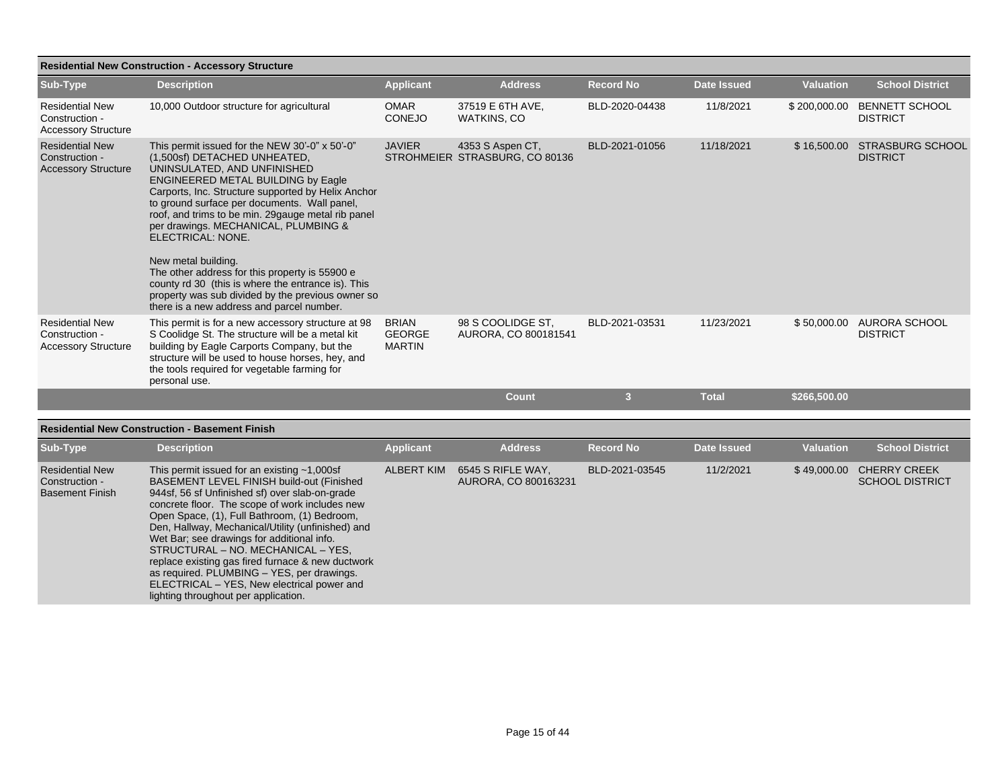|                                                                        | <b>Residential New Construction - Accessory Structure</b>                                                                                                                                                                                                                                                                                                                                                                                                                                                                                                                                                             |                                                |                                                    |                  |                    |                  |                                            |
|------------------------------------------------------------------------|-----------------------------------------------------------------------------------------------------------------------------------------------------------------------------------------------------------------------------------------------------------------------------------------------------------------------------------------------------------------------------------------------------------------------------------------------------------------------------------------------------------------------------------------------------------------------------------------------------------------------|------------------------------------------------|----------------------------------------------------|------------------|--------------------|------------------|--------------------------------------------|
| Sub-Type                                                               | <b>Description</b>                                                                                                                                                                                                                                                                                                                                                                                                                                                                                                                                                                                                    | <b>Applicant</b>                               | <b>Address</b>                                     | <b>Record No</b> | <b>Date Issued</b> | <b>Valuation</b> | <b>School District</b>                     |
| <b>Residential New</b><br>Construction -<br><b>Accessory Structure</b> | 10,000 Outdoor structure for agricultural                                                                                                                                                                                                                                                                                                                                                                                                                                                                                                                                                                             | <b>OMAR</b><br><b>CONEJO</b>                   | 37519 E 6TH AVE,<br>WATKINS, CO                    | BLD-2020-04438   | 11/8/2021          | \$200,000.00     | <b>BENNETT SCHOOL</b><br><b>DISTRICT</b>   |
| <b>Residential New</b><br>Construction -<br><b>Accessory Structure</b> | This permit issued for the NEW 30'-0" x 50'-0"<br>(1,500sf) DETACHED UNHEATED,<br>UNINSULATED, AND UNFINISHED<br><b>ENGINEERED METAL BUILDING by Eagle</b><br>Carports, Inc. Structure supported by Helix Anchor<br>to ground surface per documents. Wall panel,<br>roof, and trims to be min. 29gauge metal rib panel<br>per drawings. MECHANICAL, PLUMBING &<br>ELECTRICAL: NONE.<br>New metal building.<br>The other address for this property is 55900 e.<br>county rd 30 (this is where the entrance is). This<br>property was sub divided by the previous owner so<br>there is a new address and parcel number. | <b>JAVIER</b>                                  | 4353 S Aspen CT,<br>STROHMEIER STRASBURG, CO 80136 | BLD-2021-01056   | 11/18/2021         | \$16,500.00      | <b>STRASBURG SCHOOL</b><br><b>DISTRICT</b> |
| <b>Residential New</b><br>Construction -<br><b>Accessory Structure</b> | This permit is for a new accessory structure at 98<br>S Coolidge St. The structure will be a metal kit<br>building by Eagle Carports Company, but the<br>structure will be used to house horses, hey, and<br>the tools required for vegetable farming for<br>personal use.                                                                                                                                                                                                                                                                                                                                            | <b>BRIAN</b><br><b>GEORGE</b><br><b>MARTIN</b> | 98 S COOLIDGE ST.<br>AURORA, CO 800181541          | BLD-2021-03531   | 11/23/2021         | \$50,000.00      | AURORA SCHOOL<br><b>DISTRICT</b>           |
|                                                                        |                                                                                                                                                                                                                                                                                                                                                                                                                                                                                                                                                                                                                       |                                                | Count                                              | 3                | <b>Total</b>       | \$266,500.00     |                                            |

## **Residential New Construction - Basement Finish**

| Sub-Type                                                           | <b>Description</b>                                                                                                                                                                                                                                                                                                                                                                                                                                                                                                                                                                | <b>Applicant</b>  | <b>Address</b>                            | <b>Record No</b> | Date Issued | <b>Valuation</b> | <b>School District</b>                        |
|--------------------------------------------------------------------|-----------------------------------------------------------------------------------------------------------------------------------------------------------------------------------------------------------------------------------------------------------------------------------------------------------------------------------------------------------------------------------------------------------------------------------------------------------------------------------------------------------------------------------------------------------------------------------|-------------------|-------------------------------------------|------------------|-------------|------------------|-----------------------------------------------|
| <b>Residential New</b><br>Construction -<br><b>Basement Finish</b> | This permit issued for an existing $~1,000$ sf<br>BASEMENT LEVEL FINISH build-out (Finished<br>944sf, 56 sf Unfinished sf) over slab-on-grade<br>concrete floor. The scope of work includes new<br>Open Space, (1), Full Bathroom, (1) Bedroom,<br>Den, Hallway, Mechanical/Utility (unfinished) and<br>Wet Bar; see drawings for additional info.<br>STRUCTURAL – NO. MECHANICAL – YES.<br>replace existing gas fired furnace & new ductwork<br>as required. PLUMBING - YES, per drawings.<br>ELECTRICAL - YES, New electrical power and<br>lighting throughout per application. | <b>ALBERT KIM</b> | 6545 S RIFLE WAY,<br>AURORA, CO 800163231 | BLD-2021-03545   | 11/2/2021   | \$49,000.00      | <b>CHERRY CREEK</b><br><b>SCHOOL DISTRICT</b> |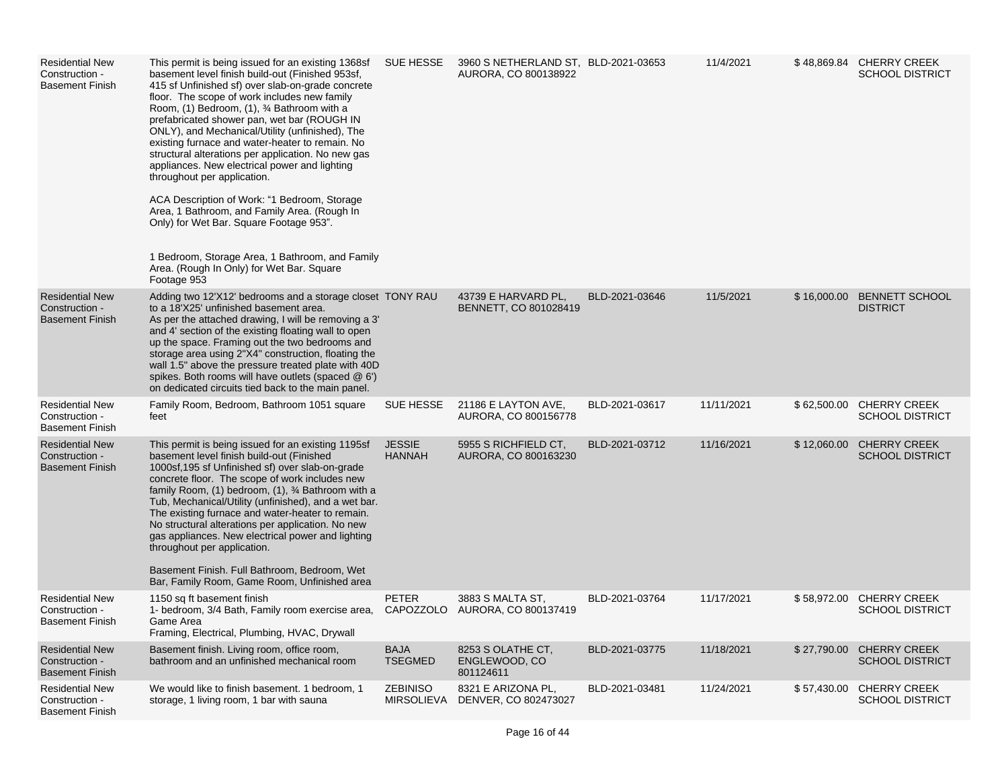| <b>Residential New</b><br>Construction -<br><b>Basement Finish</b> | This permit is being issued for an existing 1368sf<br>basement level finish build-out (Finished 953sf,<br>415 sf Unfinished sf) over slab-on-grade concrete<br>floor. The scope of work includes new family<br>Room, (1) Bedroom, (1), 3⁄4 Bathroom with a<br>prefabricated shower pan, wet bar (ROUGH IN<br>ONLY), and Mechanical/Utility (unfinished), The<br>existing furnace and water-heater to remain. No<br>structural alterations per application. No new gas<br>appliances. New electrical power and lighting<br>throughout per application.<br>ACA Description of Work: "1 Bedroom, Storage<br>Area, 1 Bathroom, and Family Area. (Rough In<br>Only) for Wet Bar. Square Footage 953".<br>1 Bedroom, Storage Area, 1 Bathroom, and Family<br>Area. (Rough In Only) for Wet Bar. Square<br>Footage 953 | SUE HESSE                      | 3960 S NETHERLAND ST, BLD-2021-03653<br>AURORA, CO 800138922 |                | 11/4/2021  |             | \$48,869.84 CHERRY CREEK<br><b>SCHOOL DISTRICT</b> |
|--------------------------------------------------------------------|-----------------------------------------------------------------------------------------------------------------------------------------------------------------------------------------------------------------------------------------------------------------------------------------------------------------------------------------------------------------------------------------------------------------------------------------------------------------------------------------------------------------------------------------------------------------------------------------------------------------------------------------------------------------------------------------------------------------------------------------------------------------------------------------------------------------|--------------------------------|--------------------------------------------------------------|----------------|------------|-------------|----------------------------------------------------|
| <b>Residential New</b><br>Construction -<br><b>Basement Finish</b> | Adding two 12'X12' bedrooms and a storage closet TONY RAU<br>to a 18'X25' unfinished basement area.<br>As per the attached drawing, I will be removing a 3'<br>and 4' section of the existing floating wall to open<br>up the space. Framing out the two bedrooms and<br>storage area using 2"X4" construction, floating the<br>wall 1.5" above the pressure treated plate with 40D<br>spikes. Both rooms will have outlets (spaced @ 6')<br>on dedicated circuits tied back to the main panel.                                                                                                                                                                                                                                                                                                                 |                                | 43739 E HARVARD PL,<br>BENNETT, CO 801028419                 | BLD-2021-03646 | 11/5/2021  | \$16,000.00 | <b>BENNETT SCHOOL</b><br><b>DISTRICT</b>           |
| <b>Residential New</b><br>Construction -<br><b>Basement Finish</b> | Family Room, Bedroom, Bathroom 1051 square<br>feet                                                                                                                                                                                                                                                                                                                                                                                                                                                                                                                                                                                                                                                                                                                                                              | SUE HESSE                      | 21186 E LAYTON AVE,<br>AURORA, CO 800156778                  | BLD-2021-03617 | 11/11/2021 |             | \$62,500.00 CHERRY CREEK<br><b>SCHOOL DISTRICT</b> |
| <b>Residential New</b><br>Construction -<br><b>Basement Finish</b> | This permit is being issued for an existing 1195sf<br>basement level finish build-out (Finished<br>1000sf, 195 sf Unfinished sf) over slab-on-grade<br>concrete floor. The scope of work includes new<br>family Room, $(1)$ bedroom, $(1)$ , $\frac{3}{4}$ Bathroom with a<br>Tub, Mechanical/Utility (unfinished), and a wet bar.<br>The existing furnace and water-heater to remain.<br>No structural alterations per application. No new<br>gas appliances. New electrical power and lighting<br>throughout per application.<br>Basement Finish. Full Bathroom, Bedroom, Wet<br>Bar, Family Room, Game Room, Unfinished area                                                                                                                                                                                 | <b>JESSIE</b><br><b>HANNAH</b> | 5955 S RICHFIELD CT.<br>AURORA, CO 800163230                 | BLD-2021-03712 | 11/16/2021 | \$12,060.00 | <b>CHERRY CREEK</b><br><b>SCHOOL DISTRICT</b>      |
| <b>Residential New</b><br>Construction -<br><b>Basement Finish</b> | 1150 sq ft basement finish<br>1- bedroom, 3/4 Bath, Family room exercise area,<br>Game Area<br>Framing, Electrical, Plumbing, HVAC, Drywall                                                                                                                                                                                                                                                                                                                                                                                                                                                                                                                                                                                                                                                                     | <b>PETER</b>                   | 3883 S MALTA ST,<br>CAPOZZOLO AURORA, CO 800137419           | BLD-2021-03764 | 11/17/2021 |             | \$58,972.00 CHERRY CREEK<br><b>SCHOOL DISTRICT</b> |
| <b>Residential New</b><br>Construction -<br><b>Basement Finish</b> | Basement finish. Living room, office room,<br>bathroom and an unfinished mechanical room                                                                                                                                                                                                                                                                                                                                                                                                                                                                                                                                                                                                                                                                                                                        | <b>BAJA</b><br><b>TSEGMED</b>  | 8253 S OLATHE CT,<br>ENGLEWOOD, CO<br>801124611              | BLD-2021-03775 | 11/18/2021 | \$27,790.00 | <b>CHERRY CREEK</b><br><b>SCHOOL DISTRICT</b>      |
| <b>Residential New</b><br>Construction -<br><b>Basement Finish</b> | We would like to finish basement. 1 bedroom, 1<br>storage, 1 living room, 1 bar with sauna                                                                                                                                                                                                                                                                                                                                                                                                                                                                                                                                                                                                                                                                                                                      | <b>ZEBINISO</b>                | 8321 E ARIZONA PL.<br>MIRSOLIEVA DENVER, CO 802473027        | BLD-2021-03481 | 11/24/2021 | \$57,430.00 | <b>CHERRY CREEK</b><br><b>SCHOOL DISTRICT</b>      |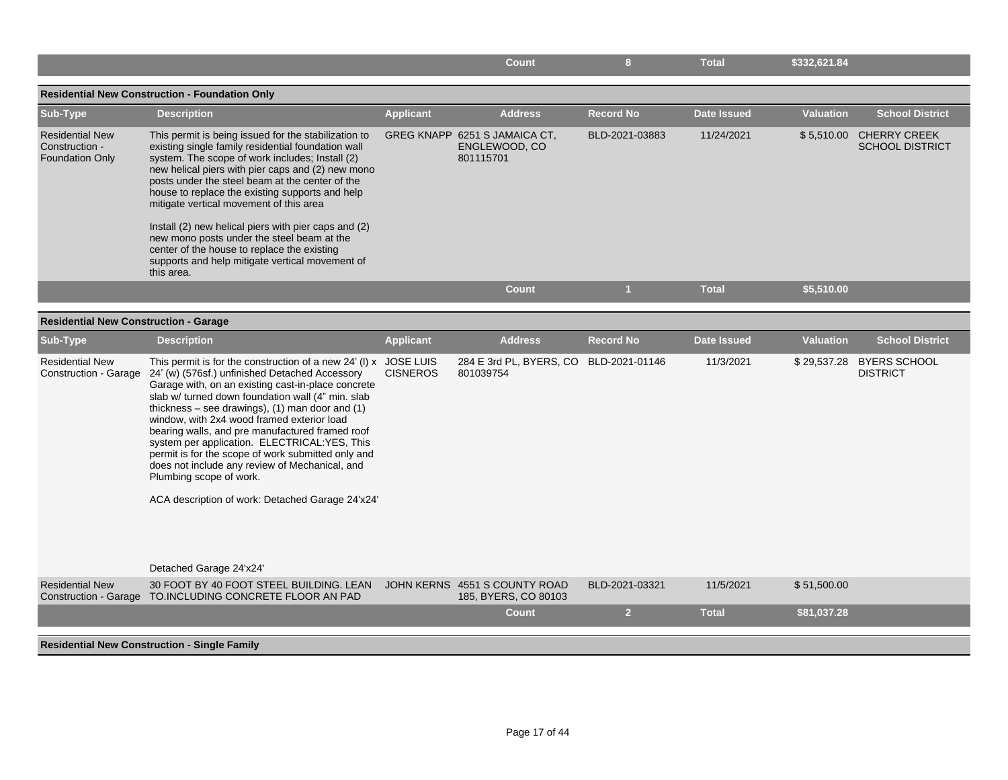|                                                                    |                                                                                                                                                                                                                                                                                                                                                                                                                                                                                                                                                                                                                              |                  | <b>Count</b>                                                | 8                | <b>Total</b>       | \$332,621.84     |                                                   |
|--------------------------------------------------------------------|------------------------------------------------------------------------------------------------------------------------------------------------------------------------------------------------------------------------------------------------------------------------------------------------------------------------------------------------------------------------------------------------------------------------------------------------------------------------------------------------------------------------------------------------------------------------------------------------------------------------------|------------------|-------------------------------------------------------------|------------------|--------------------|------------------|---------------------------------------------------|
|                                                                    | <b>Residential New Construction - Foundation Only</b>                                                                                                                                                                                                                                                                                                                                                                                                                                                                                                                                                                        |                  |                                                             |                  |                    |                  |                                                   |
| Sub-Type                                                           | <b>Description</b>                                                                                                                                                                                                                                                                                                                                                                                                                                                                                                                                                                                                           | <b>Applicant</b> | <b>Address</b>                                              | <b>Record No</b> | Date Issued        | <b>Valuation</b> | <b>School District</b>                            |
| <b>Residential New</b><br>Construction -<br><b>Foundation Only</b> | This permit is being issued for the stabilization to<br>existing single family residential foundation wall<br>system. The scope of work includes; Install (2)<br>new helical piers with pier caps and (2) new mono<br>posts under the steel beam at the center of the<br>house to replace the existing supports and help<br>mitigate vertical movement of this area                                                                                                                                                                                                                                                          |                  | GREG KNAPP 6251 S JAMAICA CT,<br>ENGLEWOOD, CO<br>801115701 | BLD-2021-03883   | 11/24/2021         |                  | \$5,510.00 CHERRY CREEK<br><b>SCHOOL DISTRICT</b> |
|                                                                    | Install (2) new helical piers with pier caps and (2)<br>new mono posts under the steel beam at the<br>center of the house to replace the existing<br>supports and help mitigate vertical movement of<br>this area.                                                                                                                                                                                                                                                                                                                                                                                                           |                  |                                                             |                  |                    |                  |                                                   |
|                                                                    |                                                                                                                                                                                                                                                                                                                                                                                                                                                                                                                                                                                                                              |                  | <b>Count</b>                                                | 1                | <b>Total</b>       | \$5,510.00       |                                                   |
| <b>Residential New Construction - Garage</b>                       |                                                                                                                                                                                                                                                                                                                                                                                                                                                                                                                                                                                                                              |                  |                                                             |                  |                    |                  |                                                   |
| Sub-Type                                                           | <b>Description</b>                                                                                                                                                                                                                                                                                                                                                                                                                                                                                                                                                                                                           | <b>Applicant</b> | <b>Address</b>                                              | <b>Record No</b> | <b>Date Issued</b> | <b>Valuation</b> | <b>School District</b>                            |
| <b>Residential New</b><br>Construction - Garage                    | This permit is for the construction of a new $24'$ (I) x JOSE LUIS<br>24' (w) (576sf.) unfinished Detached Accessory<br>Garage with, on an existing cast-in-place concrete<br>slab w/ turned down foundation wall (4" min. slab<br>thickness $-$ see drawings), (1) man door and (1)<br>window, with 2x4 wood framed exterior load<br>bearing walls, and pre manufactured framed roof<br>system per application. ELECTRICAL:YES, This<br>permit is for the scope of work submitted only and<br>does not include any review of Mechanical, and<br>Plumbing scope of work.<br>ACA description of work: Detached Garage 24'x24' | <b>CISNEROS</b>  | 284 E 3rd PL, BYERS, CO BLD-2021-01146<br>801039754         |                  | 11/3/2021          |                  | \$29,537.28 BYERS SCHOOL<br><b>DISTRICT</b>       |
|                                                                    | Detached Garage 24'x24'                                                                                                                                                                                                                                                                                                                                                                                                                                                                                                                                                                                                      |                  |                                                             |                  |                    |                  |                                                   |
| <b>Residential New</b>                                             | 30 FOOT BY 40 FOOT STEEL BUILDING. LEAN<br>Construction - Garage TO.INCLUDING CONCRETE FLOOR AN PAD                                                                                                                                                                                                                                                                                                                                                                                                                                                                                                                          |                  | JOHN KERNS 4551 S COUNTY ROAD<br>185, BYERS, CO 80103       | BLD-2021-03321   | 11/5/2021          | \$51,500.00      |                                                   |
|                                                                    |                                                                                                                                                                                                                                                                                                                                                                                                                                                                                                                                                                                                                              |                  | <b>Count</b>                                                | 2 <sup>2</sup>   | <b>Total</b>       | \$81,037.28      |                                                   |
|                                                                    | <b>Residential New Construction - Single Family</b>                                                                                                                                                                                                                                                                                                                                                                                                                                                                                                                                                                          |                  |                                                             |                  |                    |                  |                                                   |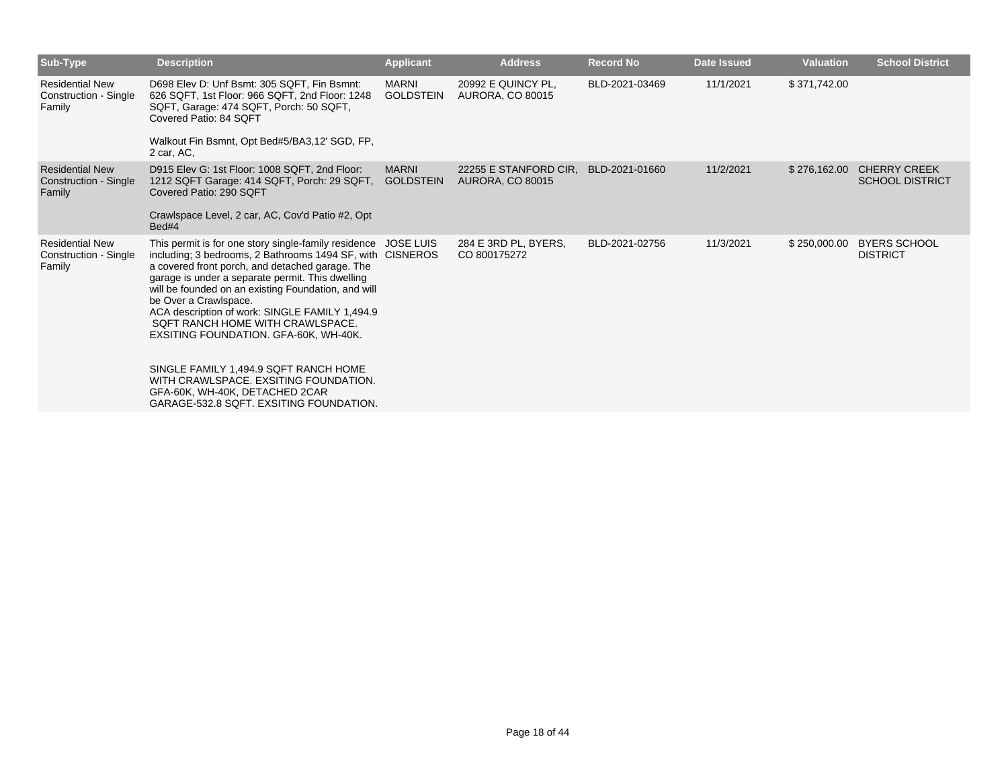| Sub-Type                                                         | <b>Description</b>                                                                                                                                                                                                                                                                                                                                                                                                                                                                                                                                                                                               | <b>Applicant</b>                 | <b>Address</b>                                   | <b>Record No</b> | <b>Date Issued</b> | <b>Valuation</b> | <b>School District</b>                        |
|------------------------------------------------------------------|------------------------------------------------------------------------------------------------------------------------------------------------------------------------------------------------------------------------------------------------------------------------------------------------------------------------------------------------------------------------------------------------------------------------------------------------------------------------------------------------------------------------------------------------------------------------------------------------------------------|----------------------------------|--------------------------------------------------|------------------|--------------------|------------------|-----------------------------------------------|
| <b>Residential New</b><br>Construction - Single<br>Family        | D698 Elev D: Unf Bsmt: 305 SQFT, Fin Bsmnt:<br>626 SQFT, 1st Floor: 966 SQFT, 2nd Floor: 1248<br>SQFT, Garage: 474 SQFT, Porch: 50 SQFT,<br>Covered Patio: 84 SOFT<br>Walkout Fin Bsmnt, Opt Bed#5/BA3,12' SGD, FP,<br>2 car, AC,                                                                                                                                                                                                                                                                                                                                                                                | <b>MARNI</b><br><b>GOLDSTEIN</b> | 20992 E QUINCY PL,<br><b>AURORA, CO 80015</b>    | BLD-2021-03469   | 11/1/2021          | \$371,742.00     |                                               |
| <b>Residential New</b><br><b>Construction - Single</b><br>Family | D915 Elev G: 1st Floor: 1008 SQFT, 2nd Floor:<br>1212 SQFT Garage: 414 SQFT, Porch: 29 SQFT,<br>Covered Patio: 290 SQFT<br>Crawlspace Level, 2 car, AC, Cov'd Patio #2, Opt<br>Bed#4                                                                                                                                                                                                                                                                                                                                                                                                                             | <b>MARNI</b><br><b>GOLDSTEIN</b> | 22255 E STANFORD CIR.<br><b>AURORA, CO 80015</b> | BLD-2021-01660   | 11/2/2021          | \$276,162.00     | <b>CHERRY CREEK</b><br><b>SCHOOL DISTRICT</b> |
| <b>Residential New</b><br>Construction - Single<br>Family        | This permit is for one story single-family residence JOSE LUIS<br>including; 3 bedrooms, 2 Bathrooms 1494 SF, with CISNEROS<br>a covered front porch, and detached garage. The<br>garage is under a separate permit. This dwelling<br>will be founded on an existing Foundation, and will<br>be Over a Crawlspace.<br>ACA description of work: SINGLE FAMILY 1,494.9<br>SQFT RANCH HOME WITH CRAWLSPACE.<br>EXSITING FOUNDATION. GFA-60K, WH-40K.<br>SINGLE FAMILY 1.494.9 SQFT RANCH HOME<br>WITH CRAWLSPACE, EXSITING FOUNDATION.<br>GFA-60K, WH-40K, DETACHED 2CAR<br>GARAGE-532.8 SQFT, EXSITING FOUNDATION. |                                  | 284 E 3RD PL, BYERS,<br>CO 800175272             | BLD-2021-02756   | 11/3/2021          | \$250,000.00     | <b>BYERS SCHOOL</b><br><b>DISTRICT</b>        |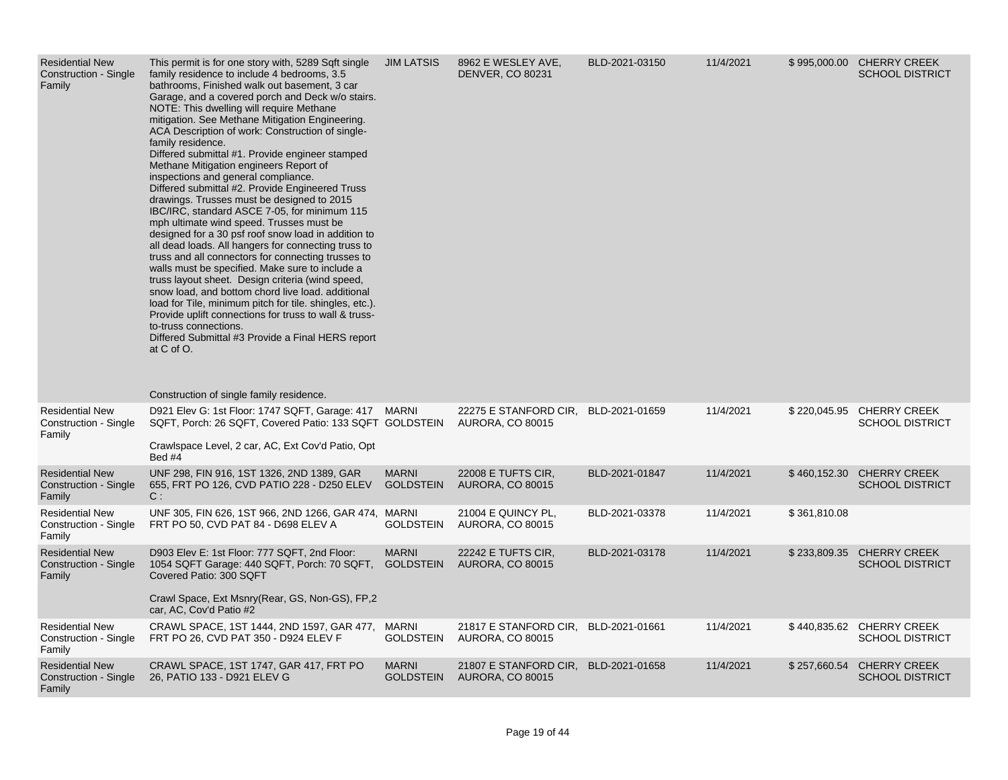| <b>Residential New</b><br>Construction - Single<br>Family        | This permit is for one story with, 5289 Sqft single<br>family residence to include 4 bedrooms, 3.5<br>bathrooms, Finished walk out basement, 3 car<br>Garage, and a covered porch and Deck w/o stairs.<br>NOTE: This dwelling will require Methane<br>mitigation. See Methane Mitigation Engineering.<br>ACA Description of work: Construction of single-<br>family residence.<br>Differed submittal #1. Provide engineer stamped<br>Methane Mitigation engineers Report of<br>inspections and general compliance.<br>Differed submittal #2. Provide Engineered Truss<br>drawings. Trusses must be designed to 2015<br>IBC/IRC, standard ASCE 7-05, for minimum 115<br>mph ultimate wind speed. Trusses must be<br>designed for a 30 psf roof snow load in addition to<br>all dead loads. All hangers for connecting truss to<br>truss and all connectors for connecting trusses to<br>walls must be specified. Make sure to include a<br>truss layout sheet. Design criteria (wind speed,<br>snow load, and bottom chord live load. additional<br>load for Tile, minimum pitch for tile. shingles, etc.).<br>Provide uplift connections for truss to wall & truss-<br>to-truss connections.<br>Differed Submittal #3 Provide a Final HERS report<br>at C of O.<br>Construction of single family residence. | <b>JIM LATSIS</b>                | 8962 E WESLEY AVE,<br><b>DENVER, CO 80231</b>                   | BLD-2021-03150 | 11/4/2021 |              | \$995,000.00 CHERRY CREEK<br><b>SCHOOL DISTRICT</b> |
|------------------------------------------------------------------|-------------------------------------------------------------------------------------------------------------------------------------------------------------------------------------------------------------------------------------------------------------------------------------------------------------------------------------------------------------------------------------------------------------------------------------------------------------------------------------------------------------------------------------------------------------------------------------------------------------------------------------------------------------------------------------------------------------------------------------------------------------------------------------------------------------------------------------------------------------------------------------------------------------------------------------------------------------------------------------------------------------------------------------------------------------------------------------------------------------------------------------------------------------------------------------------------------------------------------------------------------------------------------------------------------------|----------------------------------|-----------------------------------------------------------------|----------------|-----------|--------------|-----------------------------------------------------|
| <b>Residential New</b><br>Construction - Single<br>Family        | D921 Elev G: 1st Floor: 1747 SQFT, Garage: 417 MARNI<br>SQFT, Porch: 26 SQFT, Covered Patio: 133 SQFT GOLDSTEIN<br>Crawlspace Level, 2 car, AC, Ext Cov'd Patio, Opt<br>Bed #4                                                                                                                                                                                                                                                                                                                                                                                                                                                                                                                                                                                                                                                                                                                                                                                                                                                                                                                                                                                                                                                                                                                              |                                  | 22275 E STANFORD CIR,<br><b>AURORA, CO 80015</b>                | BLD-2021-01659 | 11/4/2021 | \$220,045.95 | <b>CHERRY CREEK</b><br><b>SCHOOL DISTRICT</b>       |
| <b>Residential New</b><br><b>Construction - Single</b><br>Family | UNF 298, FIN 916, 1ST 1326, 2ND 1389, GAR<br>655, FRT PO 126, CVD PATIO 228 - D250 ELEV<br>C:                                                                                                                                                                                                                                                                                                                                                                                                                                                                                                                                                                                                                                                                                                                                                                                                                                                                                                                                                                                                                                                                                                                                                                                                               | <b>MARNI</b><br><b>GOLDSTEIN</b> | 22008 E TUFTS CIR.<br><b>AURORA, CO 80015</b>                   | BLD-2021-01847 | 11/4/2021 | \$460,152.30 | <b>CHERRY CREEK</b><br><b>SCHOOL DISTRICT</b>       |
| <b>Residential New</b><br>Construction - Single<br>Family        | UNF 305, FIN 626, 1ST 966, 2ND 1266, GAR 474, MARNI<br>FRT PO 50, CVD PAT 84 - D698 ELEV A                                                                                                                                                                                                                                                                                                                                                                                                                                                                                                                                                                                                                                                                                                                                                                                                                                                                                                                                                                                                                                                                                                                                                                                                                  | <b>GOLDSTEIN</b>                 | 21004 E QUINCY PL,<br><b>AURORA, CO 80015</b>                   | BLD-2021-03378 | 11/4/2021 | \$361,810.08 |                                                     |
| <b>Residential New</b><br><b>Construction - Single</b><br>Family | D903 Elev E: 1st Floor: 777 SQFT, 2nd Floor:<br>1054 SQFT Garage: 440 SQFT, Porch: 70 SQFT, GOLDSTEIN<br>Covered Patio: 300 SQFT<br>Crawl Space, Ext Msnry (Rear, GS, Non-GS), FP, 2<br>car, AC, Cov'd Patio #2                                                                                                                                                                                                                                                                                                                                                                                                                                                                                                                                                                                                                                                                                                                                                                                                                                                                                                                                                                                                                                                                                             | <b>MARNI</b>                     | 22242 E TUFTS CIR,<br><b>AURORA, CO 80015</b>                   | BLD-2021-03178 | 11/4/2021 | \$233,809.35 | <b>CHERRY CREEK</b><br><b>SCHOOL DISTRICT</b>       |
| <b>Residential New</b><br>Construction - Single<br>Family        | CRAWL SPACE, 1ST 1444, 2ND 1597, GAR 477, MARNI<br>FRT PO 26, CVD PAT 350 - D924 ELEV F                                                                                                                                                                                                                                                                                                                                                                                                                                                                                                                                                                                                                                                                                                                                                                                                                                                                                                                                                                                                                                                                                                                                                                                                                     | <b>GOLDSTEIN</b>                 | 21817 E STANFORD CIR, BLD-2021-01661<br><b>AURORA, CO 80015</b> |                | 11/4/2021 |              | \$440,835.62 CHERRY CREEK<br><b>SCHOOL DISTRICT</b> |
| <b>Residential New</b><br>Construction - Single<br>Family        | CRAWL SPACE, 1ST 1747, GAR 417, FRT PO<br>26, PATIO 133 - D921 ELEV G                                                                                                                                                                                                                                                                                                                                                                                                                                                                                                                                                                                                                                                                                                                                                                                                                                                                                                                                                                                                                                                                                                                                                                                                                                       | <b>MARNI</b><br><b>GOLDSTEIN</b> | 21807 E STANFORD CIR,<br><b>AURORA, CO 80015</b>                | BLD-2021-01658 | 11/4/2021 | \$257,660.54 | <b>CHERRY CREEK</b><br><b>SCHOOL DISTRICT</b>       |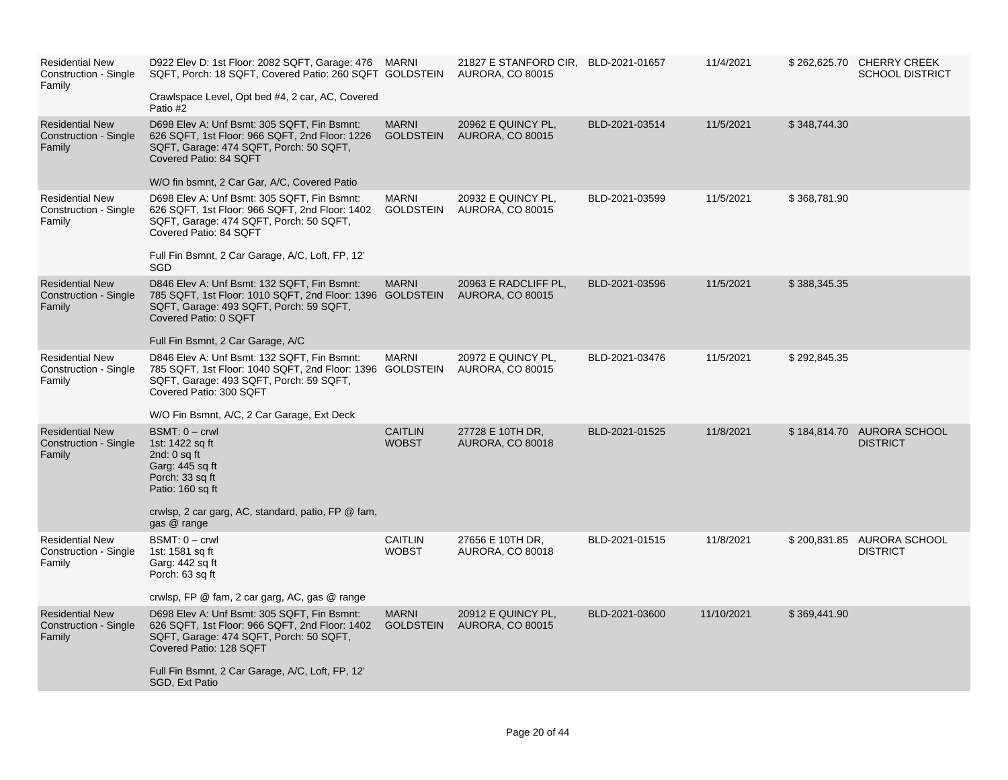| <b>Residential New</b><br>Construction - Single<br>Family        | D922 Elev D: 1st Floor: 2082 SQFT, Garage: 476 MARNI<br>SQFT, Porch: 18 SQFT, Covered Patio: 260 SQFT GOLDSTEIN<br>Crawlspace Level, Opt bed #4, 2 car, AC, Covered<br>Patio #2                                                           |                                  | 21827 E STANFORD CIR, BLD-2021-01657<br><b>AURORA, CO 80015</b> |                | 11/4/2021  |              | \$262,625.70 CHERRY CREEK<br><b>SCHOOL DISTRICT</b> |
|------------------------------------------------------------------|-------------------------------------------------------------------------------------------------------------------------------------------------------------------------------------------------------------------------------------------|----------------------------------|-----------------------------------------------------------------|----------------|------------|--------------|-----------------------------------------------------|
| <b>Residential New</b><br>Construction - Single<br>Family        | D698 Elev A: Unf Bsmt: 305 SQFT, Fin Bsmnt:<br>626 SQFT, 1st Floor: 966 SQFT, 2nd Floor: 1226<br>SQFT, Garage: 474 SQFT, Porch: 50 SQFT,<br>Covered Patio: 84 SQFT<br>W/O fin bsmnt, 2 Car Gar, A/C, Covered Patio                        | <b>MARNI</b><br><b>GOLDSTEIN</b> | 20962 E QUINCY PL,<br><b>AURORA, CO 80015</b>                   | BLD-2021-03514 | 11/5/2021  | \$348,744.30 |                                                     |
| <b>Residential New</b><br>Construction - Single<br>Family        | D698 Elev A: Unf Bsmt: 305 SQFT, Fin Bsmnt:<br>626 SQFT, 1st Floor: 966 SQFT, 2nd Floor: 1402<br>SQFT, Garage: 474 SQFT, Porch: 50 SQFT,<br>Covered Patio: 84 SQFT<br>Full Fin Bsmnt, 2 Car Garage, A/C, Loft, FP, 12'<br>SGD             | <b>MARNI</b><br><b>GOLDSTEIN</b> | 20932 E QUINCY PL,<br><b>AURORA, CO 80015</b>                   | BLD-2021-03599 | 11/5/2021  | \$368,781.90 |                                                     |
| <b>Residential New</b><br><b>Construction - Single</b><br>Family | D846 Elev A: Unf Bsmt: 132 SQFT, Fin Bsmnt:<br>785 SQFT, 1st Floor: 1010 SQFT, 2nd Floor: 1396 GOLDSTEIN<br>SQFT, Garage: 493 SQFT, Porch: 59 SQFT,<br>Covered Patio: 0 SQFT<br>Full Fin Bsmnt, 2 Car Garage, A/C                         | <b>MARNI</b>                     | 20963 E RADCLIFF PL,<br><b>AURORA, CO 80015</b>                 | BLD-2021-03596 | 11/5/2021  | \$388,345.35 |                                                     |
| <b>Residential New</b><br>Construction - Single<br>Family        | D846 Elev A: Unf Bsmt: 132 SQFT, Fin Bsmnt:<br>785 SQFT, 1st Floor: 1040 SQFT, 2nd Floor: 1396 GOLDSTEIN<br>SQFT, Garage: 493 SQFT, Porch: 59 SQFT,<br>Covered Patio: 300 SQFT<br>W/O Fin Bsmnt, A/C, 2 Car Garage, Ext Deck              | <b>MARNI</b>                     | 20972 E QUINCY PL,<br><b>AURORA, CO 80015</b>                   | BLD-2021-03476 | 11/5/2021  | \$292,845.35 |                                                     |
| <b>Residential New</b><br><b>Construction - Single</b><br>Family | $BSMT: 0 - crwl$<br>1st: 1422 sq ft<br>2nd: $0$ sq ft<br>Garg: 445 sq ft<br>Porch: 33 sq ft<br>Patio: 160 sq ft<br>crwlsp, 2 car garg, AC, standard, patio, FP @ fam,<br>gas @ range                                                      | <b>CAITLIN</b><br><b>WOBST</b>   | 27728 E 10TH DR,<br>AURORA, CO 80018                            | BLD-2021-01525 | 11/8/2021  |              | \$184,814.70 AURORA SCHOOL<br><b>DISTRICT</b>       |
| <b>Residential New</b><br>Construction - Single<br>Family        | $BSMT: 0 - crwl$<br>1st: 1581 sq ft<br>Garg: 442 sq ft<br>Porch: 63 sq ft<br>crwlsp, FP @ fam, 2 car garg, AC, gas @ range                                                                                                                | <b>CAITLIN</b><br><b>WOBST</b>   | 27656 E 10TH DR,<br>AURORA, CO 80018                            | BLD-2021-01515 | 11/8/2021  |              | \$200,831.85 AURORA SCHOOL<br><b>DISTRICT</b>       |
| <b>Residential New</b><br>Construction - Single<br>Family        | D698 Elev A: Unf Bsmt: 305 SQFT, Fin Bsmnt:<br>626 SQFT, 1st Floor: 966 SQFT, 2nd Floor: 1402<br>SQFT, Garage: 474 SQFT, Porch: 50 SQFT,<br>Covered Patio: 128 SQFT<br>Full Fin Bsmnt, 2 Car Garage, A/C, Loft, FP, 12'<br>SGD, Ext Patio | <b>MARNI</b><br><b>GOLDSTEIN</b> | 20912 E QUINCY PL,<br><b>AURORA, CO 80015</b>                   | BLD-2021-03600 | 11/10/2021 | \$369,441.90 |                                                     |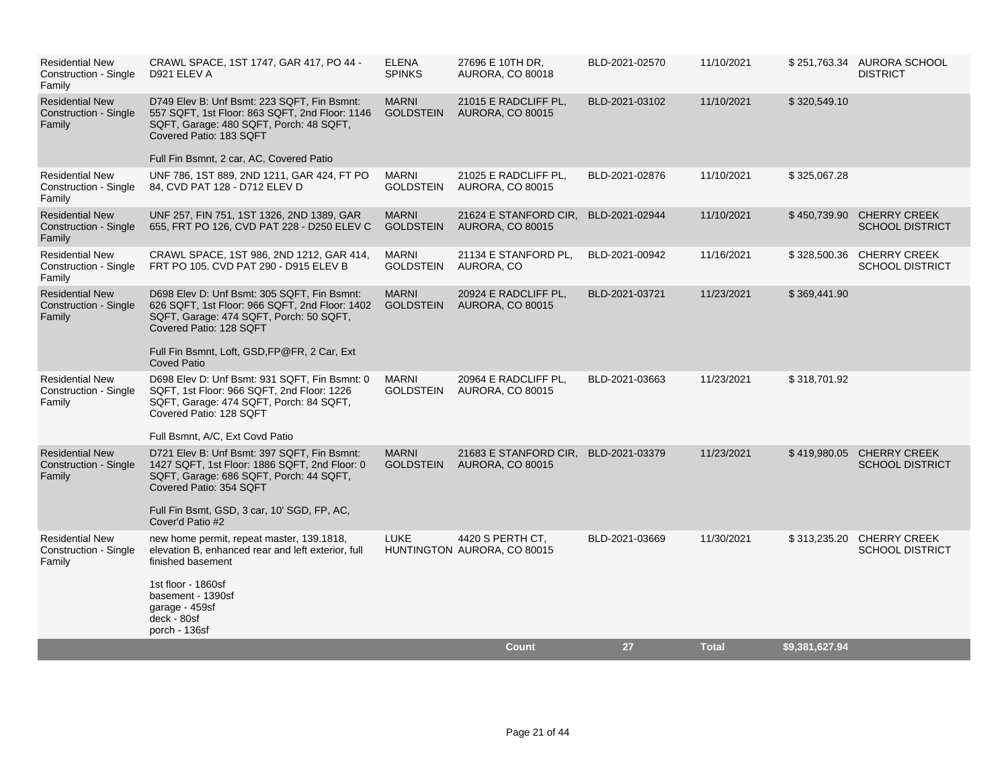| <b>Residential New</b><br>Construction - Single<br>Family        | CRAWL SPACE, 1ST 1747, GAR 417, PO 44 -<br>D921 ELEV A                                                                                                                                                                                | <b>ELENA</b><br><b>SPINKS</b>    | 27696 E 10TH DR.<br><b>AURORA, CO 80018</b>      | BLD-2021-02570 | 11/10/2021   |                | \$251,763.34 AURORA SCHOOL<br><b>DISTRICT</b>       |
|------------------------------------------------------------------|---------------------------------------------------------------------------------------------------------------------------------------------------------------------------------------------------------------------------------------|----------------------------------|--------------------------------------------------|----------------|--------------|----------------|-----------------------------------------------------|
| <b>Residential New</b><br>Construction - Single<br>Family        | D749 Elev B: Unf Bsmt: 223 SQFT, Fin Bsmnt:<br>557 SQFT, 1st Floor: 863 SQFT, 2nd Floor: 1146<br>SQFT, Garage: 480 SQFT, Porch: 48 SQFT,<br>Covered Patio: 183 SQFT<br>Full Fin Bsmnt, 2 car, AC, Covered Patio                       | <b>MARNI</b><br><b>GOLDSTEIN</b> | 21015 E RADCLIFF PL,<br><b>AURORA, CO 80015</b>  | BLD-2021-03102 | 11/10/2021   | \$320,549.10   |                                                     |
| <b>Residential New</b><br>Construction - Single                  | UNF 786, 1ST 889, 2ND 1211, GAR 424, FT PO<br>84, CVD PAT 128 - D712 ELEV D                                                                                                                                                           | <b>MARNI</b><br><b>GOLDSTEIN</b> | 21025 E RADCLIFF PL,<br>AURORA, CO 80015         | BLD-2021-02876 | 11/10/2021   | \$325,067.28   |                                                     |
| Family                                                           |                                                                                                                                                                                                                                       |                                  |                                                  |                |              |                |                                                     |
| <b>Residential New</b><br>Construction - Single<br>Family        | UNF 257, FIN 751, 1ST 1326, 2ND 1389, GAR<br>655, FRT PO 126, CVD PAT 228 - D250 ELEV C                                                                                                                                               | <b>MARNI</b><br><b>GOLDSTEIN</b> | 21624 E STANFORD CIR,<br><b>AURORA, CO 80015</b> | BLD-2021-02944 | 11/10/2021   |                | \$450,739.90 CHERRY CREEK<br><b>SCHOOL DISTRICT</b> |
| <b>Residential New</b><br>Construction - Single<br>Family        | CRAWL SPACE, 1ST 986, 2ND 1212, GAR 414,<br>FRT PO 105. CVD PAT 290 - D915 ELEV B                                                                                                                                                     | <b>MARNI</b><br><b>GOLDSTEIN</b> | 21134 E STANFORD PL,<br>AURORA, CO               | BLD-2021-00942 | 11/16/2021   |                | \$328,500.36 CHERRY CREEK<br><b>SCHOOL DISTRICT</b> |
| <b>Residential New</b><br><b>Construction - Single</b><br>Family | D698 Elev D: Unf Bsmt: 305 SQFT, Fin Bsmnt:<br>626 SQFT, 1st Floor: 966 SQFT, 2nd Floor: 1402<br>SQFT, Garage: 474 SQFT, Porch: 50 SQFT,<br>Covered Patio: 128 SQFT<br>Full Fin Bsmnt, Loft, GSD, FP@FR, 2 Car, Ext                   | <b>MARNI</b><br><b>GOLDSTEIN</b> | 20924 E RADCLIFF PL,<br><b>AURORA, CO 80015</b>  | BLD-2021-03721 | 11/23/2021   | \$369,441.90   |                                                     |
| <b>Residential New</b><br>Construction - Single<br>Family        | <b>Coved Patio</b><br>D698 Elev D: Unf Bsmt: 931 SQFT, Fin Bsmnt: 0<br>SQFT, 1st Floor: 966 SQFT, 2nd Floor: 1226<br>SQFT, Garage: 474 SQFT, Porch: 84 SQFT,<br>Covered Patio: 128 SQFT<br>Full Bsmnt, A/C, Ext Covd Patio            | <b>MARNI</b><br><b>GOLDSTEIN</b> | 20964 E RADCLIFF PL,<br><b>AURORA, CO 80015</b>  | BLD-2021-03663 | 11/23/2021   | \$318,701.92   |                                                     |
| <b>Residential New</b><br><b>Construction - Single</b><br>Family | D721 Elev B: Unf Bsmt: 397 SQFT, Fin Bsmnt:<br>1427 SQFT, 1st Floor: 1886 SQFT, 2nd Floor: 0<br>SQFT, Garage: 686 SQFT, Porch: 44 SQFT,<br>Covered Patio: 354 SQFT<br>Full Fin Bsmt, GSD, 3 car, 10' SGD, FP, AC,<br>Cover'd Patio #2 | <b>MARNI</b><br><b>GOLDSTEIN</b> | 21683 E STANFORD CIR,<br><b>AURORA, CO 80015</b> | BLD-2021-03379 | 11/23/2021   |                | \$419,980.05 CHERRY CREEK<br><b>SCHOOL DISTRICT</b> |
| <b>Residential New</b><br>Construction - Single<br>Family        | new home permit, repeat master, 139.1818,<br>elevation B, enhanced rear and left exterior, full<br>finished basement<br>1st floor - 1860sf<br>basement - 1390sf<br>garage - 459sf<br>deck - 80sf<br>porch - 136sf                     | <b>LUKE</b>                      | 4420 S PERTH CT.<br>HUNTINGTON AURORA, CO 80015  | BLD-2021-03669 | 11/30/2021   |                | \$313,235.20 CHERRY CREEK<br><b>SCHOOL DISTRICT</b> |
|                                                                  |                                                                                                                                                                                                                                       |                                  | <b>Count</b>                                     | 27             | <b>Total</b> | \$9,381,627.94 |                                                     |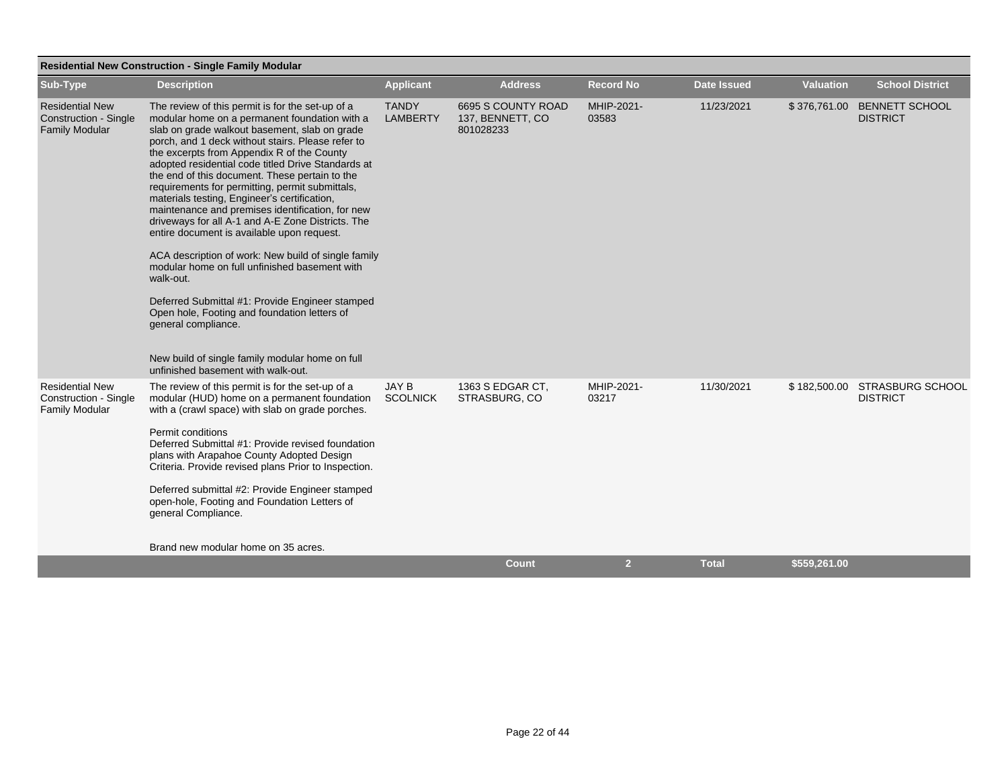|                                                                                 | <b>Residential New Construction - Single Family Modular</b>                                                                                                                                                                                                                                                                                                                                                                                                                                                                                                                                                                                                                                                                                                                                                                                                                                                                                                     |                                 |                                                     |                     |                    |                  |                                                |
|---------------------------------------------------------------------------------|-----------------------------------------------------------------------------------------------------------------------------------------------------------------------------------------------------------------------------------------------------------------------------------------------------------------------------------------------------------------------------------------------------------------------------------------------------------------------------------------------------------------------------------------------------------------------------------------------------------------------------------------------------------------------------------------------------------------------------------------------------------------------------------------------------------------------------------------------------------------------------------------------------------------------------------------------------------------|---------------------------------|-----------------------------------------------------|---------------------|--------------------|------------------|------------------------------------------------|
| Sub-Type                                                                        | <b>Description</b>                                                                                                                                                                                                                                                                                                                                                                                                                                                                                                                                                                                                                                                                                                                                                                                                                                                                                                                                              | <b>Applicant</b>                | <b>Address</b>                                      | <b>Record No</b>    | <b>Date Issued</b> | <b>Valuation</b> | <b>School District</b>                         |
| <b>Residential New</b><br><b>Construction - Single</b><br><b>Family Modular</b> | The review of this permit is for the set-up of a<br>modular home on a permanent foundation with a<br>slab on grade walkout basement, slab on grade<br>porch, and 1 deck without stairs. Please refer to<br>the excerpts from Appendix R of the County<br>adopted residential code titled Drive Standards at<br>the end of this document. These pertain to the<br>requirements for permitting, permit submittals,<br>materials testing, Engineer's certification,<br>maintenance and premises identification, for new<br>driveways for all A-1 and A-E Zone Districts. The<br>entire document is available upon request.<br>ACA description of work: New build of single family<br>modular home on full unfinished basement with<br>walk-out.<br>Deferred Submittal #1: Provide Engineer stamped<br>Open hole, Footing and foundation letters of<br>general compliance.<br>New build of single family modular home on full<br>unfinished basement with walk-out. | <b>TANDY</b><br><b>LAMBERTY</b> | 6695 S COUNTY ROAD<br>137, BENNETT, CO<br>801028233 | MHIP-2021-<br>03583 | 11/23/2021         |                  | \$376,761.00 BENNETT SCHOOL<br><b>DISTRICT</b> |
| <b>Residential New</b><br>Construction - Single<br><b>Family Modular</b>        | The review of this permit is for the set-up of a<br>modular (HUD) home on a permanent foundation<br>with a (crawl space) with slab on grade porches.<br>Permit conditions<br>Deferred Submittal #1: Provide revised foundation<br>plans with Arapahoe County Adopted Design<br>Criteria. Provide revised plans Prior to Inspection.<br>Deferred submittal #2: Provide Engineer stamped<br>open-hole, Footing and Foundation Letters of<br>general Compliance.<br>Brand new modular home on 35 acres.                                                                                                                                                                                                                                                                                                                                                                                                                                                            | <b>JAY B</b><br><b>SCOLNICK</b> | 1363 S EDGAR CT.<br>STRASBURG, CO                   | MHIP-2021-<br>03217 | 11/30/2021         | \$182,500.00     | STRASBURG SCHOOL<br><b>DISTRICT</b>            |
|                                                                                 |                                                                                                                                                                                                                                                                                                                                                                                                                                                                                                                                                                                                                                                                                                                                                                                                                                                                                                                                                                 |                                 | <b>Count</b>                                        | $\overline{2}$      | <b>Total</b>       | \$559,261.00     |                                                |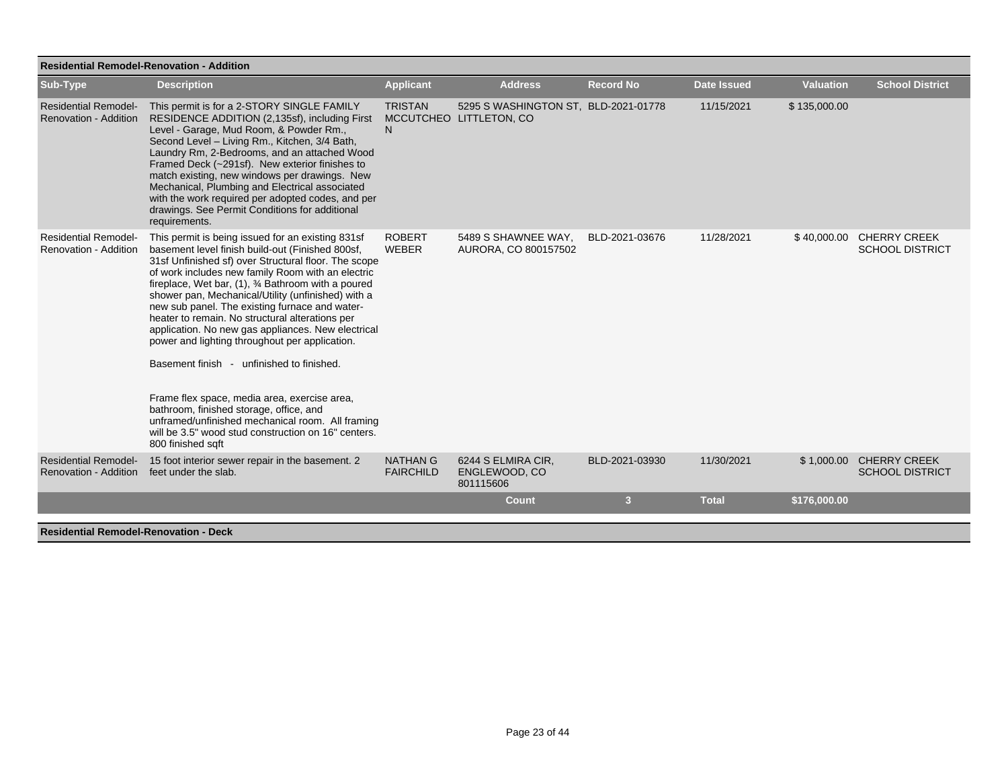| <b>Residential Remodel-Renovation - Addition</b>     |                                                                                                                                                                                                                                                                                                                                                                                                                                                                                                                                                                                                                                                                                                                                                                                                                      |                                     |                                                                 |                  |                    |                  |                                                    |  |  |
|------------------------------------------------------|----------------------------------------------------------------------------------------------------------------------------------------------------------------------------------------------------------------------------------------------------------------------------------------------------------------------------------------------------------------------------------------------------------------------------------------------------------------------------------------------------------------------------------------------------------------------------------------------------------------------------------------------------------------------------------------------------------------------------------------------------------------------------------------------------------------------|-------------------------------------|-----------------------------------------------------------------|------------------|--------------------|------------------|----------------------------------------------------|--|--|
| Sub-Type                                             | <b>Description</b>                                                                                                                                                                                                                                                                                                                                                                                                                                                                                                                                                                                                                                                                                                                                                                                                   | <b>Applicant</b>                    | <b>Address</b>                                                  | <b>Record No</b> | <b>Date Issued</b> | <b>Valuation</b> | <b>School District</b>                             |  |  |
| <b>Residential Remodel-</b><br>Renovation - Addition | This permit is for a 2-STORY SINGLE FAMILY<br>RESIDENCE ADDITION (2,135sf), including First<br>Level - Garage, Mud Room, & Powder Rm.,<br>Second Level - Living Rm., Kitchen, 3/4 Bath,<br>Laundry Rm, 2-Bedrooms, and an attached Wood<br>Framed Deck (~291sf). New exterior finishes to<br>match existing, new windows per drawings. New<br>Mechanical, Plumbing and Electrical associated<br>with the work required per adopted codes, and per<br>drawings. See Permit Conditions for additional<br>requirements.                                                                                                                                                                                                                                                                                                 | <b>TRISTAN</b><br>N.                | 5295 S WASHINGTON ST, BLD-2021-01778<br>MCCUTCHEO LITTLETON, CO |                  | 11/15/2021         | \$135,000.00     |                                                    |  |  |
| <b>Residential Remodel-</b><br>Renovation - Addition | This permit is being issued for an existing 831sf<br>basement level finish build-out (Finished 800sf,<br>31sf Unfinished sf) over Structural floor. The scope<br>of work includes new family Room with an electric<br>fireplace, Wet bar, (1), 3⁄4 Bathroom with a poured<br>shower pan, Mechanical/Utility (unfinished) with a<br>new sub panel. The existing furnace and water-<br>heater to remain. No structural alterations per<br>application. No new gas appliances. New electrical<br>power and lighting throughout per application.<br>Basement finish - unfinished to finished.<br>Frame flex space, media area, exercise area,<br>bathroom, finished storage, office, and<br>unframed/unfinished mechanical room. All framing<br>will be 3.5" wood stud construction on 16" centers.<br>800 finished sqft | <b>ROBERT</b><br><b>WEBER</b>       | 5489 S SHAWNEE WAY.<br>AURORA, CO 800157502                     | BLD-2021-03676   | 11/28/2021         |                  | \$40,000.00 CHERRY CREEK<br><b>SCHOOL DISTRICT</b> |  |  |
| <b>Residential Remodel-</b><br>Renovation - Addition | 15 foot interior sewer repair in the basement. 2<br>feet under the slab.                                                                                                                                                                                                                                                                                                                                                                                                                                                                                                                                                                                                                                                                                                                                             | <b>NATHAN G</b><br><b>FAIRCHILD</b> | 6244 S ELMIRA CIR,<br>ENGLEWOOD, CO<br>801115606                | BLD-2021-03930   | 11/30/2021         |                  | \$1,000.00 CHERRY CREEK<br><b>SCHOOL DISTRICT</b>  |  |  |
|                                                      |                                                                                                                                                                                                                                                                                                                                                                                                                                                                                                                                                                                                                                                                                                                                                                                                                      |                                     | <b>Count</b>                                                    | 3                | <b>Total</b>       | \$176,000.00     |                                                    |  |  |
| <b>Residential Remodel-Renovation - Deck</b>         |                                                                                                                                                                                                                                                                                                                                                                                                                                                                                                                                                                                                                                                                                                                                                                                                                      |                                     |                                                                 |                  |                    |                  |                                                    |  |  |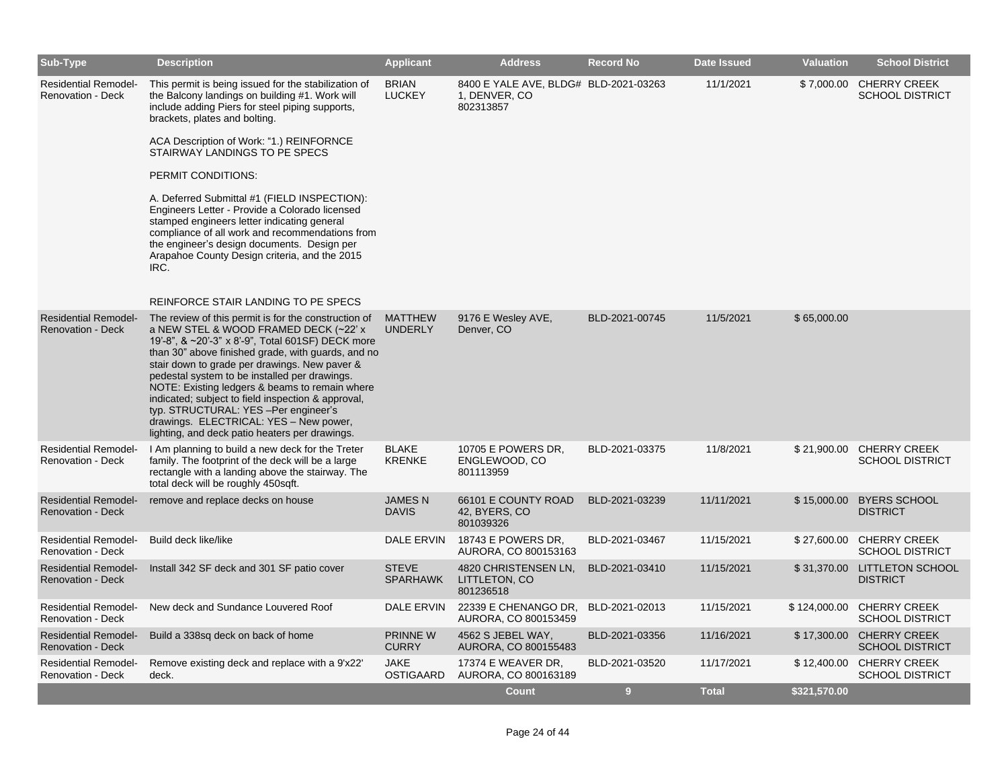| Sub-Type                                                | <b>Description</b>                                                                                                                                                                                                                                                                                                                                                                                                                                                                                                                                                                                        | <b>Applicant</b>                | <b>Address</b>                                                      | <b>Record No</b> | <b>Date Issued</b> | <b>Valuation</b> | <b>School District</b>                             |
|---------------------------------------------------------|-----------------------------------------------------------------------------------------------------------------------------------------------------------------------------------------------------------------------------------------------------------------------------------------------------------------------------------------------------------------------------------------------------------------------------------------------------------------------------------------------------------------------------------------------------------------------------------------------------------|---------------------------------|---------------------------------------------------------------------|------------------|--------------------|------------------|----------------------------------------------------|
| <b>Residential Remodel-</b><br><b>Renovation - Deck</b> | This permit is being issued for the stabilization of<br>the Balcony landings on building #1. Work will<br>include adding Piers for steel piping supports,<br>brackets, plates and bolting.<br>ACA Description of Work: "1.) REINFORNCE<br>STAIRWAY LANDINGS TO PE SPECS<br>PERMIT CONDITIONS:<br>A. Deferred Submittal #1 (FIELD INSPECTION):<br>Engineers Letter - Provide a Colorado licensed<br>stamped engineers letter indicating general<br>compliance of all work and recommendations from<br>the engineer's design documents. Design per<br>Arapahoe County Design criteria, and the 2015<br>IRC. | <b>BRIAN</b><br><b>LUCKEY</b>   | 8400 E YALE AVE, BLDG# BLD-2021-03263<br>1, DENVER, CO<br>802313857 |                  | 11/1/2021          |                  | \$7,000.00 CHERRY CREEK<br><b>SCHOOL DISTRICT</b>  |
|                                                         | REINFORCE STAIR LANDING TO PE SPECS                                                                                                                                                                                                                                                                                                                                                                                                                                                                                                                                                                       |                                 |                                                                     |                  |                    |                  |                                                    |
| <b>Residential Remodel-</b><br><b>Renovation - Deck</b> | The review of this permit is for the construction of<br>a NEW STEL & WOOD FRAMED DECK (~22' x<br>19'-8", & ~20'-3" x 8'-9", Total 601SF) DECK more<br>than 30" above finished grade, with guards, and no<br>stair down to grade per drawings. New paver &<br>pedestal system to be installed per drawings.<br>NOTE: Existing ledgers & beams to remain where<br>indicated; subject to field inspection & approval,<br>typ. STRUCTURAL: YES - Per engineer's<br>drawings. ELECTRICAL: YES - New power,<br>lighting, and deck patio heaters per drawings.                                                   | MATTHEW<br><b>UNDERLY</b>       | 9176 E Wesley AVE,<br>Denver, CO                                    | BLD-2021-00745   | 11/5/2021          | \$65,000.00      |                                                    |
| <b>Residential Remodel-</b><br><b>Renovation - Deck</b> | I Am planning to build a new deck for the Treter<br>family. The footprint of the deck will be a large<br>rectangle with a landing above the stairway. The<br>total deck will be roughly 450sqft.                                                                                                                                                                                                                                                                                                                                                                                                          | <b>BLAKE</b><br><b>KRENKE</b>   | 10705 E POWERS DR,<br>ENGLEWOOD, CO<br>801113959                    | BLD-2021-03375   | 11/8/2021          |                  | \$21,900.00 CHERRY CREEK<br><b>SCHOOL DISTRICT</b> |
| <b>Residential Remodel-</b><br><b>Renovation - Deck</b> | remove and replace decks on house                                                                                                                                                                                                                                                                                                                                                                                                                                                                                                                                                                         | <b>JAMESN</b><br><b>DAVIS</b>   | 66101 E COUNTY ROAD<br>42, BYERS, CO<br>801039326                   | BLD-2021-03239   | 11/11/2021         |                  | \$15,000.00 BYERS SCHOOL<br><b>DISTRICT</b>        |
| <b>Residential Remodel-</b><br><b>Renovation - Deck</b> | Build deck like/like                                                                                                                                                                                                                                                                                                                                                                                                                                                                                                                                                                                      | DALE ERVIN                      | 18743 E POWERS DR.<br>AURORA, CO 800153163                          | BLD-2021-03467   | 11/15/2021         | \$27,600.00      | <b>CHERRY CREEK</b><br><b>SCHOOL DISTRICT</b>      |
| <b>Residential Remodel-</b><br><b>Renovation - Deck</b> | Install 342 SF deck and 301 SF patio cover                                                                                                                                                                                                                                                                                                                                                                                                                                                                                                                                                                | <b>STEVE</b><br><b>SPARHAWK</b> | 4820 CHRISTENSEN LN,<br>LITTLETON, CO<br>801236518                  | BLD-2021-03410   | 11/15/2021         |                  | \$31,370.00 LITTLETON SCHOOL<br><b>DISTRICT</b>    |
| <b>Residential Remodel-</b><br><b>Renovation - Deck</b> | New deck and Sundance Louvered Roof                                                                                                                                                                                                                                                                                                                                                                                                                                                                                                                                                                       | DALE ERVIN                      | 22339 E CHENANGO DR,<br>AURORA, CO 800153459                        | BLD-2021-02013   | 11/15/2021         | \$124,000.00     | <b>CHERRY CREEK</b><br><b>SCHOOL DISTRICT</b>      |
| <b>Residential Remodel-</b><br><b>Renovation - Deck</b> | Build a 338sq deck on back of home                                                                                                                                                                                                                                                                                                                                                                                                                                                                                                                                                                        | <b>PRINNE W</b><br><b>CURRY</b> | 4562 S JEBEL WAY,<br>AURORA, CO 800155483                           | BLD-2021-03356   | 11/16/2021         |                  | \$17,300.00 CHERRY CREEK<br><b>SCHOOL DISTRICT</b> |
| <b>Residential Remodel-</b><br>Renovation - Deck        | Remove existing deck and replace with a 9'x22'<br>deck.                                                                                                                                                                                                                                                                                                                                                                                                                                                                                                                                                   | <b>JAKE</b><br>OSTIGAARD        | 17374 E WEAVER DR,<br>AURORA, CO 800163189                          | BLD-2021-03520   | 11/17/2021         |                  | \$12,400.00 CHERRY CREEK<br><b>SCHOOL DISTRICT</b> |
|                                                         |                                                                                                                                                                                                                                                                                                                                                                                                                                                                                                                                                                                                           |                                 | <b>Count</b>                                                        | 9                | <b>Total</b>       | \$321,570.00     |                                                    |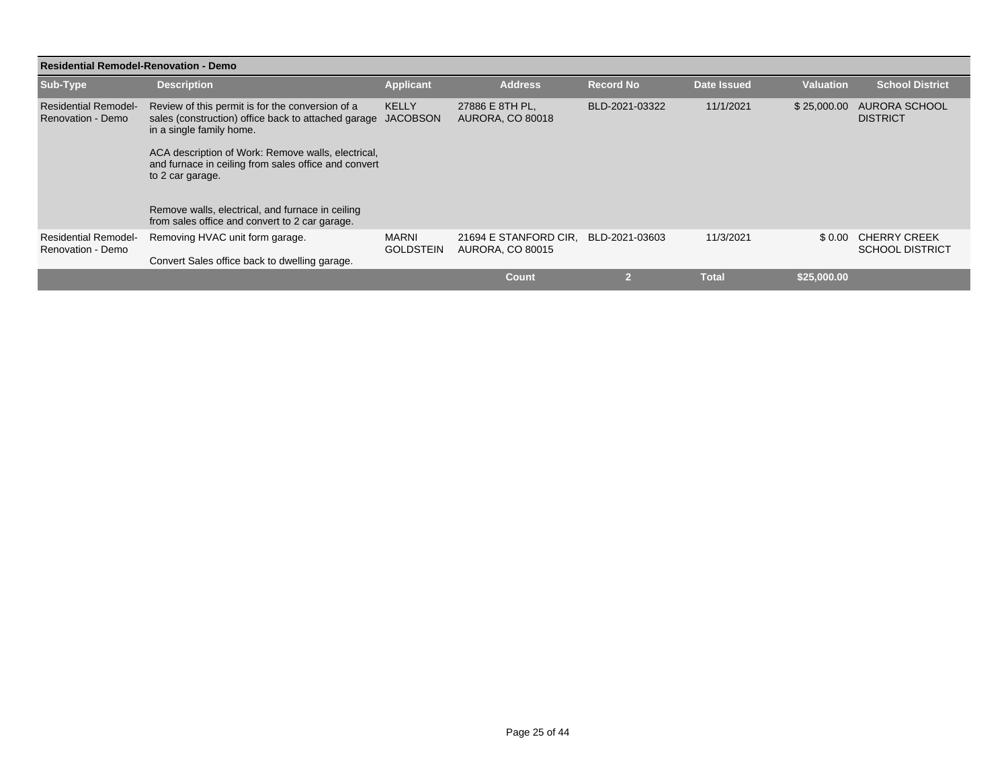| <b>Residential Remodel-Renovation - Demo</b>     |                                                                                                                                     |                                  |                                                  |                  |                    |                  |                                               |  |  |
|--------------------------------------------------|-------------------------------------------------------------------------------------------------------------------------------------|----------------------------------|--------------------------------------------------|------------------|--------------------|------------------|-----------------------------------------------|--|--|
| Sub-Type                                         | <b>Description</b>                                                                                                                  | <b>Applicant</b>                 | <b>Address</b>                                   | <b>Record No</b> | <b>Date Issued</b> | <b>Valuation</b> | <b>School District</b>                        |  |  |
| <b>Residential Remodel-</b><br>Renovation - Demo | Review of this permit is for the conversion of a<br>sales (construction) office back to attached garage<br>in a single family home. | <b>KELLY</b><br><b>JACOBSON</b>  | 27886 E 8TH PL.<br><b>AURORA, CO 80018</b>       | BLD-2021-03322   | 11/1/2021          | \$25,000.00      | AURORA SCHOOL<br><b>DISTRICT</b>              |  |  |
|                                                  | ACA description of Work: Remove walls, electrical,<br>and furnace in ceiling from sales office and convert<br>to 2 car garage.      |                                  |                                                  |                  |                    |                  |                                               |  |  |
|                                                  | Remove walls, electrical, and furnace in ceiling<br>from sales office and convert to 2 car garage.                                  |                                  |                                                  |                  |                    |                  |                                               |  |  |
| <b>Residential Remodel-</b><br>Renovation - Demo | Removing HVAC unit form garage.                                                                                                     | <b>MARNI</b><br><b>GOLDSTEIN</b> | 21694 E STANFORD CIR.<br><b>AURORA, CO 80015</b> | BLD-2021-03603   | 11/3/2021          | \$0.00           | <b>CHERRY CREEK</b><br><b>SCHOOL DISTRICT</b> |  |  |
|                                                  | Convert Sales office back to dwelling garage.                                                                                       |                                  |                                                  |                  |                    |                  |                                               |  |  |
|                                                  |                                                                                                                                     |                                  | <b>Count</b>                                     | $\mathcal{D}$    | <b>Total</b>       | \$25,000.00      |                                               |  |  |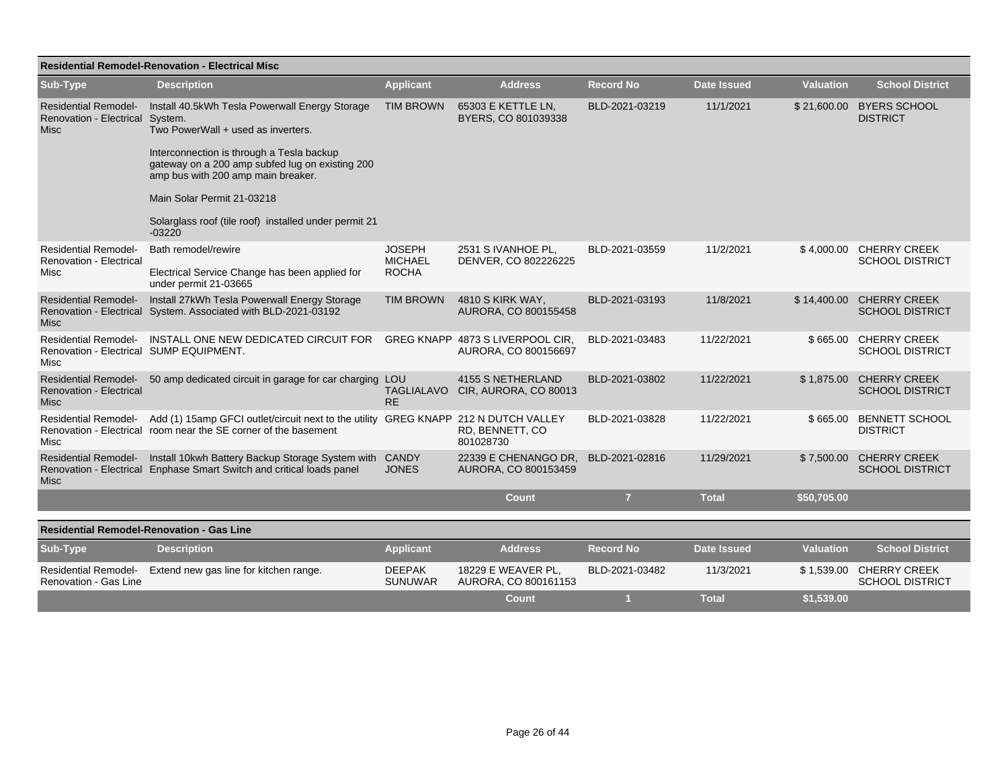|                                                                                | <b>Residential Remodel-Renovation - Electrical Misc</b>                                                                                                                                                                                                                                                                                  |                                                 |                                                              |                  |                    |                  |                                                   |  |  |  |  |
|--------------------------------------------------------------------------------|------------------------------------------------------------------------------------------------------------------------------------------------------------------------------------------------------------------------------------------------------------------------------------------------------------------------------------------|-------------------------------------------------|--------------------------------------------------------------|------------------|--------------------|------------------|---------------------------------------------------|--|--|--|--|
| Sub-Type                                                                       | <b>Description</b>                                                                                                                                                                                                                                                                                                                       | <b>Applicant</b>                                | <b>Address</b>                                               | <b>Record No</b> | <b>Date Issued</b> | <b>Valuation</b> | <b>School District</b>                            |  |  |  |  |
| <b>Residential Remodel-</b><br><b>Renovation - Electrical</b><br><b>Misc</b>   | Install 40.5kWh Tesla Powerwall Energy Storage<br>System.<br>Two PowerWall + used as inverters.<br>Interconnection is through a Tesla backup<br>gateway on a 200 amp subfed lug on existing 200<br>amp bus with 200 amp main breaker.<br>Main Solar Permit 21-03218<br>Solarglass roof (tile roof) installed under permit 21<br>$-03220$ | <b>TIM BROWN</b>                                | 65303 E KETTLE LN,<br>BYERS, CO 801039338                    | BLD-2021-03219   | 11/1/2021          | \$21,600.00      | <b>BYERS SCHOOL</b><br><b>DISTRICT</b>            |  |  |  |  |
| <b>Residential Remodel-</b><br><b>Renovation - Electrical</b><br>Misc          | Bath remodel/rewire<br>Electrical Service Change has been applied for<br>under permit 21-03665                                                                                                                                                                                                                                           | <b>JOSEPH</b><br><b>MICHAEL</b><br><b>ROCHA</b> | 2531 S IVANHOE PL.<br>DENVER, CO 802226225                   | BLD-2021-03559   | 11/2/2021          |                  | \$4,000.00 CHERRY CREEK<br><b>SCHOOL DISTRICT</b> |  |  |  |  |
| <b>Residential Remodel-</b><br>Renovation - Electrical<br>Misc                 | Install 27kWh Tesla Powerwall Energy Storage<br>System. Associated with BLD-2021-03192                                                                                                                                                                                                                                                   | <b>TIM BROWN</b>                                | 4810 S KIRK WAY,<br>AURORA, CO 800155458                     | BLD-2021-03193   | 11/8/2021          | \$14,400.00      | <b>CHERRY CREEK</b><br><b>SCHOOL DISTRICT</b>     |  |  |  |  |
| <b>Residential Remodel-</b><br>Renovation - Electrical SUMP EQUIPMENT.<br>Misc | INSTALL ONE NEW DEDICATED CIRCUIT FOR                                                                                                                                                                                                                                                                                                    |                                                 | GREG KNAPP 4873 S LIVERPOOL CIR.<br>AURORA, CO 800156697     | BLD-2021-03483   | 11/22/2021         | \$665.00         | <b>CHERRY CREEK</b><br><b>SCHOOL DISTRICT</b>     |  |  |  |  |
| <b>Residential Remodel-</b><br><b>Renovation - Electrical</b><br><b>Misc</b>   | 50 amp dedicated circuit in garage for car charging                                                                                                                                                                                                                                                                                      | LOU<br><b>RE</b>                                | <b>4155 S NETHERLAND</b><br>TAGLIALAVO CIR, AURORA, CO 80013 | BLD-2021-03802   | 11/22/2021         | \$1,875.00       | <b>CHERRY CREEK</b><br><b>SCHOOL DISTRICT</b>     |  |  |  |  |
| Misc                                                                           | Residential Remodel- Add (1) 15amp GFCI outlet/circuit next to the utility GREG KNAPP 212 N DUTCH VALLEY<br>Renovation - Electrical room near the SE corner of the basement                                                                                                                                                              |                                                 | RD, BENNETT, CO<br>801028730                                 | BLD-2021-03828   | 11/22/2021         | \$665.00         | <b>BENNETT SCHOOL</b><br><b>DISTRICT</b>          |  |  |  |  |
| <b>Residential Remodel-</b><br><b>Misc</b>                                     | Install 10kwh Battery Backup Storage System with<br>Renovation - Electrical Enphase Smart Switch and critical loads panel                                                                                                                                                                                                                | <b>CANDY</b><br><b>JONES</b>                    | 22339 E CHENANGO DR.<br>AURORA, CO 800153459                 | BLD-2021-02816   | 11/29/2021         | \$7,500.00       | <b>CHERRY CREEK</b><br><b>SCHOOL DISTRICT</b>     |  |  |  |  |
|                                                                                |                                                                                                                                                                                                                                                                                                                                          |                                                 | <b>Count</b>                                                 | $\overline{7}$   | <b>Total</b>       | \$50,705.00      |                                                   |  |  |  |  |
| <b>Residential Remodel-Renovation - Gas Line</b>                               |                                                                                                                                                                                                                                                                                                                                          |                                                 |                                                              |                  |                    |                  |                                                   |  |  |  |  |
| Sub-Type                                                                       | <b>Description</b>                                                                                                                                                                                                                                                                                                                       | <b>Applicant</b>                                | <b>Address</b>                                               | <b>Record No</b> | <b>Date Issued</b> | <b>Valuation</b> | <b>School District</b>                            |  |  |  |  |
| <b>Residential Remodel-</b><br>Renovation - Gas Line                           | Extend new gas line for kitchen range.                                                                                                                                                                                                                                                                                                   | <b>DEEPAK</b><br><b>SUNUWAR</b>                 | 18229 E WEAVER PL.<br>AURORA, CO 800161153                   | BLD-2021-03482   | 11/3/2021          | \$1,539.00       | <b>CHERRY CREEK</b><br><b>SCHOOL DISTRICT</b>     |  |  |  |  |
|                                                                                |                                                                                                                                                                                                                                                                                                                                          |                                                 | <b>Count</b>                                                 | $\blacksquare$   | <b>Total</b>       | \$1,539.00       |                                                   |  |  |  |  |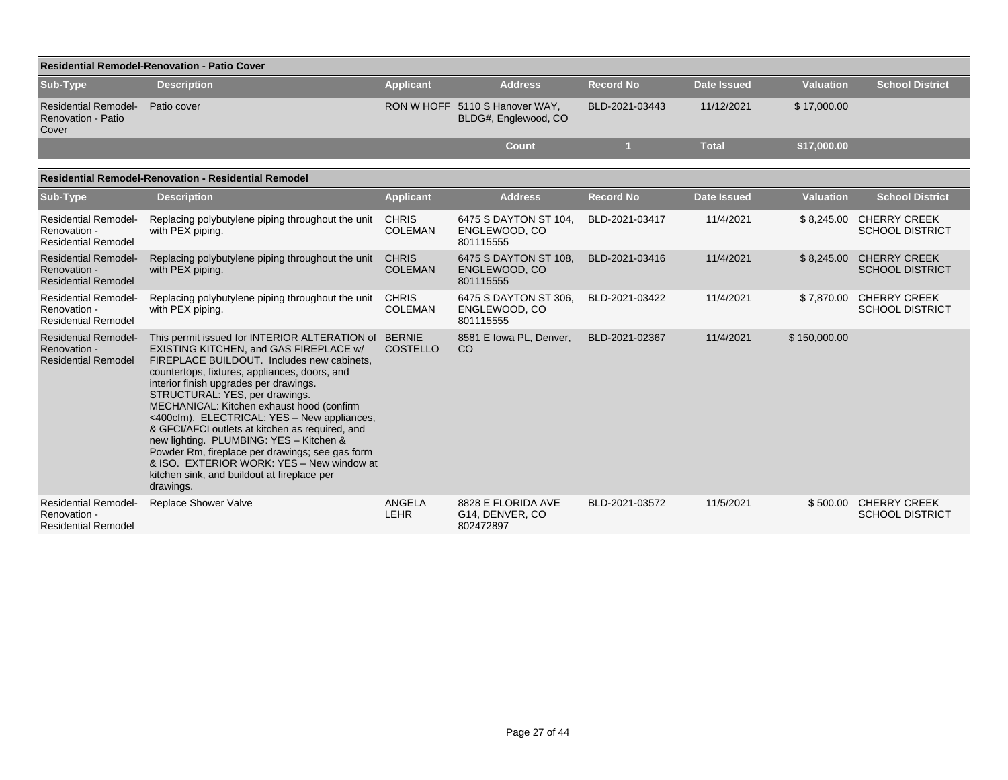|                                                                           | <b>Residential Remodel-Renovation - Patio Cover</b>                                                                                                                                                                                                                                                                                                                                                                                                                                                                                                                                                                             |                                |                                                        |                  |                    |                  |                                                   |  |  |  |  |  |  |
|---------------------------------------------------------------------------|---------------------------------------------------------------------------------------------------------------------------------------------------------------------------------------------------------------------------------------------------------------------------------------------------------------------------------------------------------------------------------------------------------------------------------------------------------------------------------------------------------------------------------------------------------------------------------------------------------------------------------|--------------------------------|--------------------------------------------------------|------------------|--------------------|------------------|---------------------------------------------------|--|--|--|--|--|--|
| Sub-Type                                                                  | <b>Description</b>                                                                                                                                                                                                                                                                                                                                                                                                                                                                                                                                                                                                              | <b>Applicant</b>               | <b>Address</b>                                         | <b>Record No</b> | <b>Date Issued</b> | <b>Valuation</b> | <b>School District</b>                            |  |  |  |  |  |  |
| <b>Residential Remodel-</b><br><b>Renovation - Patio</b><br>Cover         | Patio cover                                                                                                                                                                                                                                                                                                                                                                                                                                                                                                                                                                                                                     |                                | RON W HOFF 5110 S Hanover WAY,<br>BLDG#, Englewood, CO | BLD-2021-03443   | 11/12/2021         | \$17,000.00      |                                                   |  |  |  |  |  |  |
|                                                                           |                                                                                                                                                                                                                                                                                                                                                                                                                                                                                                                                                                                                                                 |                                | <b>Count</b>                                           | 1                | <b>Total</b>       | \$17,000.00      |                                                   |  |  |  |  |  |  |
| <b>Residential Remodel-Renovation - Residential Remodel</b>               |                                                                                                                                                                                                                                                                                                                                                                                                                                                                                                                                                                                                                                 |                                |                                                        |                  |                    |                  |                                                   |  |  |  |  |  |  |
| Sub-Type                                                                  | <b>Description</b>                                                                                                                                                                                                                                                                                                                                                                                                                                                                                                                                                                                                              | <b>Applicant</b>               | <b>Address</b>                                         | <b>Record No</b> | <b>Date Issued</b> | <b>Valuation</b> | <b>School District</b>                            |  |  |  |  |  |  |
| <b>Residential Remodel-</b><br>Renovation -<br><b>Residential Remodel</b> | Replacing polybutylene piping throughout the unit<br>with PEX piping.                                                                                                                                                                                                                                                                                                                                                                                                                                                                                                                                                           | <b>CHRIS</b><br><b>COLEMAN</b> | 6475 S DAYTON ST 104,<br>ENGLEWOOD, CO<br>801115555    | BLD-2021-03417   | 11/4/2021          |                  | \$8,245.00 CHERRY CREEK<br><b>SCHOOL DISTRICT</b> |  |  |  |  |  |  |
| <b>Residential Remodel-</b><br>Renovation -<br><b>Residential Remodel</b> | Replacing polybutylene piping throughout the unit<br>with PEX piping.                                                                                                                                                                                                                                                                                                                                                                                                                                                                                                                                                           | <b>CHRIS</b><br><b>COLEMAN</b> | 6475 S DAYTON ST 108.<br>ENGLEWOOD, CO<br>801115555    | BLD-2021-03416   | 11/4/2021          |                  | \$8,245.00 CHERRY CREEK<br><b>SCHOOL DISTRICT</b> |  |  |  |  |  |  |
| <b>Residential Remodel-</b><br>Renovation -<br><b>Residential Remodel</b> | Replacing polybutylene piping throughout the unit<br>with PEX piping.                                                                                                                                                                                                                                                                                                                                                                                                                                                                                                                                                           | <b>CHRIS</b><br><b>COLEMAN</b> | 6475 S DAYTON ST 306.<br>ENGLEWOOD, CO<br>801115555    | BLD-2021-03422   | 11/4/2021          |                  | \$7,870.00 CHERRY CREEK<br><b>SCHOOL DISTRICT</b> |  |  |  |  |  |  |
| <b>Residential Remodel-</b><br>Renovation -<br><b>Residential Remodel</b> | This permit issued for INTERIOR ALTERATION of BERNIE<br>EXISTING KITCHEN, and GAS FIREPLACE w/<br>FIREPLACE BUILDOUT. Includes new cabinets,<br>countertops, fixtures, appliances, doors, and<br>interior finish upgrades per drawings.<br>STRUCTURAL: YES, per drawings.<br>MECHANICAL: Kitchen exhaust hood (confirm<br><400cfm). ELECTRICAL: YES - New appliances,<br>& GFCI/AFCI outlets at kitchen as required, and<br>new lighting. PLUMBING: YES - Kitchen &<br>Powder Rm, fireplace per drawings; see gas form<br>& ISO. EXTERIOR WORK: YES - New window at<br>kitchen sink, and buildout at fireplace per<br>drawings. | <b>COSTELLO</b>                | 8581 E Iowa PL, Denver,<br><sub>CO</sub>               | BLD-2021-02367   | 11/4/2021          | \$150,000.00     |                                                   |  |  |  |  |  |  |
| <b>Residential Remodel-</b><br>Renovation -<br><b>Residential Remodel</b> | Replace Shower Valve                                                                                                                                                                                                                                                                                                                                                                                                                                                                                                                                                                                                            | <b>ANGELA</b><br><b>LEHR</b>   | 8828 E FLORIDA AVE<br>G14, DENVER, CO<br>802472897     | BLD-2021-03572   | 11/5/2021          |                  | \$500.00 CHERRY CREEK<br><b>SCHOOL DISTRICT</b>   |  |  |  |  |  |  |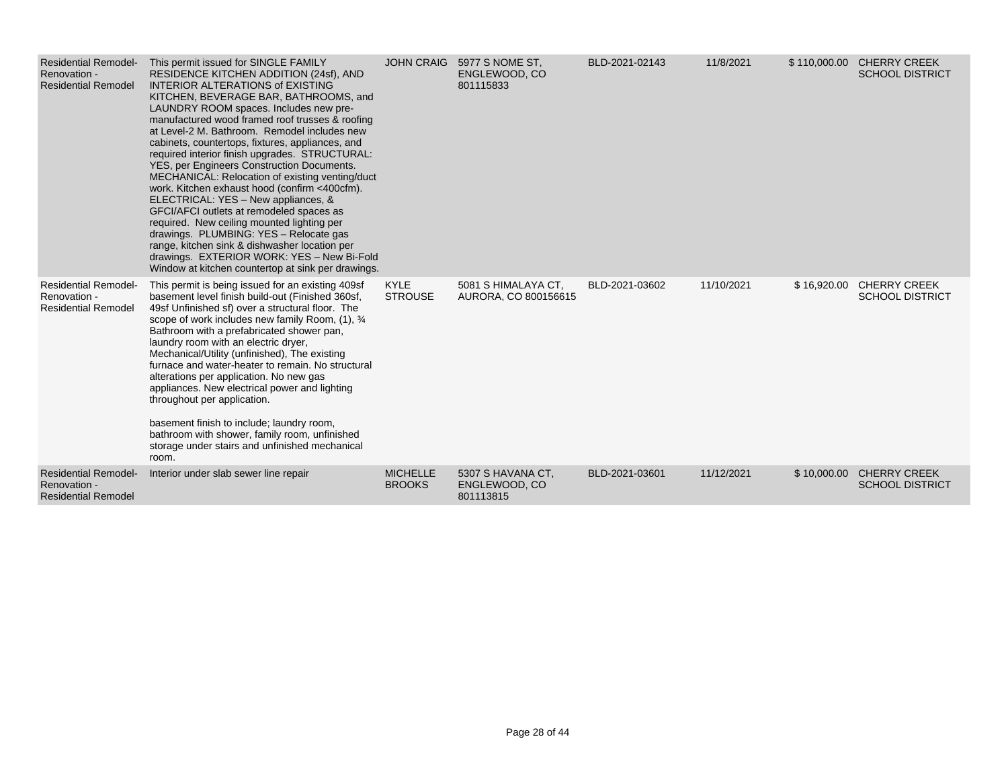| <b>Residential Remodel-</b><br>Renovation -<br><b>Residential Remodel</b> | This permit issued for SINGLE FAMILY<br>RESIDENCE KITCHEN ADDITION (24sf), AND<br><b>INTERIOR ALTERATIONS of EXISTING</b><br>KITCHEN, BEVERAGE BAR, BATHROOMS, and<br>LAUNDRY ROOM spaces. Includes new pre-<br>manufactured wood framed roof trusses & roofing<br>at Level-2 M. Bathroom. Remodel includes new<br>cabinets, countertops, fixtures, appliances, and<br>required interior finish upgrades. STRUCTURAL:<br>YES, per Engineers Construction Documents.<br>MECHANICAL: Relocation of existing venting/duct<br>work. Kitchen exhaust hood (confirm <400cfm).<br>ELECTRICAL: YES - New appliances, &<br>GFCI/AFCI outlets at remodeled spaces as<br>required. New ceiling mounted lighting per<br>drawings. PLUMBING: YES - Relocate gas<br>range, kitchen sink & dishwasher location per<br>drawings. EXTERIOR WORK: YES - New Bi-Fold<br>Window at kitchen countertop at sink per drawings. |                                  | JOHN CRAIG 5977 S NOME ST,<br>ENGLEWOOD, CO<br>801115833 | BLD-2021-02143 | 11/8/2021  |             | \$110,000.00 CHERRY CREEK<br><b>SCHOOL DISTRICT</b> |
|---------------------------------------------------------------------------|---------------------------------------------------------------------------------------------------------------------------------------------------------------------------------------------------------------------------------------------------------------------------------------------------------------------------------------------------------------------------------------------------------------------------------------------------------------------------------------------------------------------------------------------------------------------------------------------------------------------------------------------------------------------------------------------------------------------------------------------------------------------------------------------------------------------------------------------------------------------------------------------------------|----------------------------------|----------------------------------------------------------|----------------|------------|-------------|-----------------------------------------------------|
| <b>Residential Remodel-</b><br>Renovation -<br><b>Residential Remodel</b> | This permit is being issued for an existing 409sf<br>basement level finish build-out (Finished 360sf,<br>49sf Unfinished sf) over a structural floor. The<br>scope of work includes new family Room, (1), 3/4<br>Bathroom with a prefabricated shower pan,<br>laundry room with an electric dryer,<br>Mechanical/Utility (unfinished), The existing<br>furnace and water-heater to remain. No structural<br>alterations per application. No new gas<br>appliances. New electrical power and lighting<br>throughout per application.<br>basement finish to include; laundry room,<br>bathroom with shower, family room, unfinished<br>storage under stairs and unfinished mechanical<br>room.                                                                                                                                                                                                            | <b>KYLE</b><br><b>STROUSE</b>    | 5081 S HIMALAYA CT,<br>AURORA, CO 800156615              | BLD-2021-03602 | 11/10/2021 | \$16,920.00 | <b>CHERRY CREEK</b><br><b>SCHOOL DISTRICT</b>       |
| <b>Residential Remodel-</b><br>Renovation -<br><b>Residential Remodel</b> | Interior under slab sewer line repair                                                                                                                                                                                                                                                                                                                                                                                                                                                                                                                                                                                                                                                                                                                                                                                                                                                                   | <b>MICHELLE</b><br><b>BROOKS</b> | 5307 S HAVANA CT.<br>ENGLEWOOD, CO<br>801113815          | BLD-2021-03601 | 11/12/2021 | \$10,000.00 | <b>CHERRY CREEK</b><br><b>SCHOOL DISTRICT</b>       |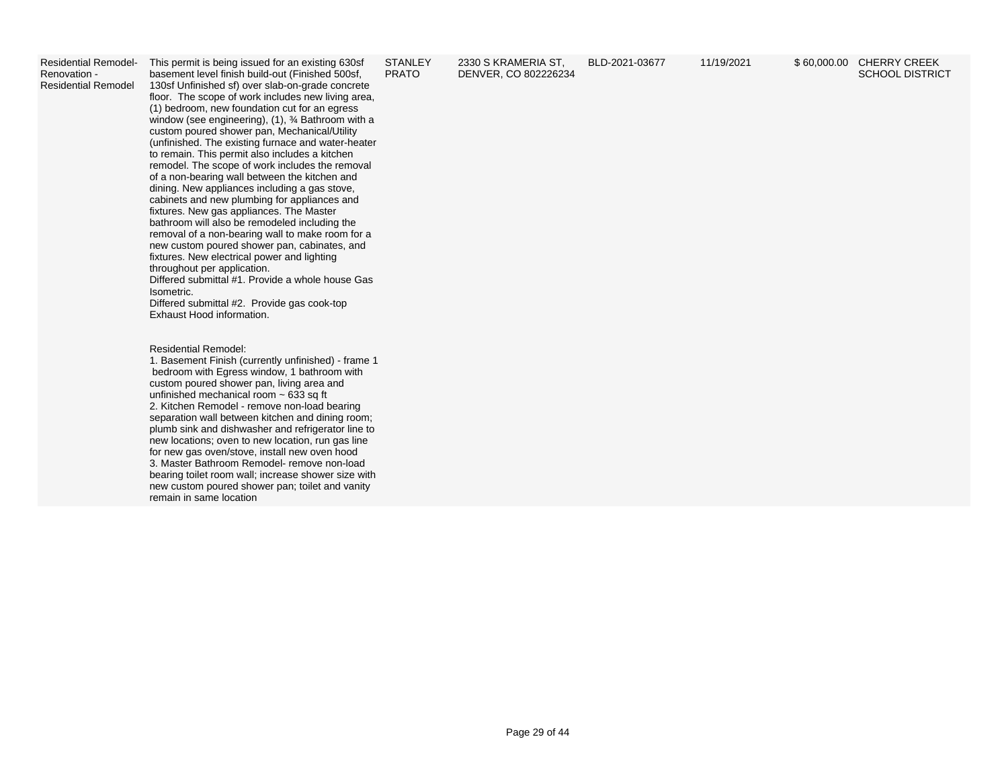Residential Remodel-Renovation - Residential Remodel

This permit is being issued for an existing 630sf basement level finish build-out (Finished 500sf, 130sf Unfinished sf) over slab-on-grade concrete floor. The scope of work includes new living area, (1) bedroom, new foundation cut for an egress window (see engineering), (1), <sup>3/</sup> Bathroom with a custom poured shower pan, Mechanical/Utility (unfinished. The existing furnace and water-heater to remain. This permit also includes a kitchen remodel. The scope of work includes the removal of a non-bearing wall between the kitchen and dining. New appliances including a gas stove, cabinets and new plumbing for appliances and fixtures. New gas appliances. The Master bathroom will also be remodeled including the removal of a non-bearing wall to make room for a new custom poured shower pan, cabinates, and fixtures. New electrical power and lighting throughout per application. Differed submittal #1. Provide a whole house Gas Isometric.

Differed submittal #2. Provide gas cook-top Exhaust Hood information.

Residential Remodel:

1. Basement Finish (currently unfinished) - frame 1 bedroom with Egress window, 1 bathroom with custom poured shower pan, living area and unfinished mechanical room  $\sim 633$  sq ft 2. Kitchen Remodel - remove non-load bearing separation wall between kitchen and dining room; plumb sink and dishwasher and refrigerator line to new locations; oven to new location, run gas line for new gas oven/stove, install new oven hood 3. Master Bathroom Remodel- remove non-load bearing toilet room wall; increase shower size with new custom poured shower pan; toilet and vanity remain in same location

**STANLEY** PRATO

2330 S KRAMERIA ST, DENVER, CO 802226234

BLD-2021-03677 11/19/2021 \$ 60,000.00 CHERRY CREEK SCHOOL DISTRICT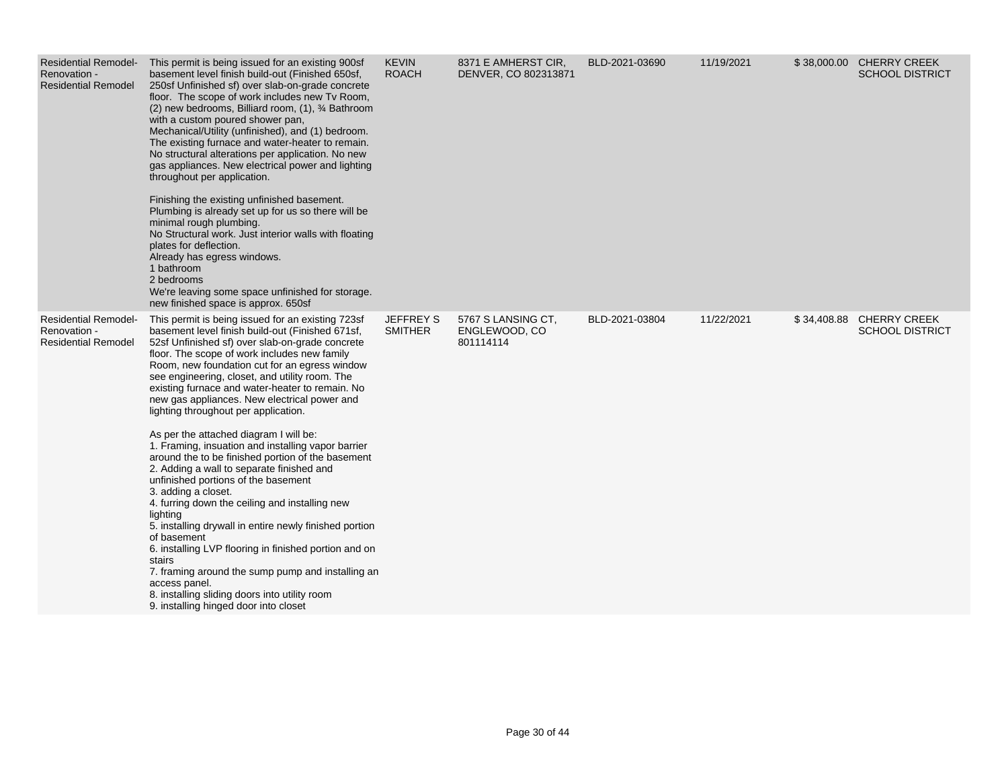| Renovation -<br><b>Residential Remodel</b>                                | Residential Remodel- This permit is being issued for an existing 900sf<br>basement level finish build-out (Finished 650sf,<br>250sf Unfinished sf) over slab-on-grade concrete<br>floor. The scope of work includes new Tv Room,<br>(2) new bedrooms, Billiard room, (1), 3⁄4 Bathroom<br>with a custom poured shower pan,<br>Mechanical/Utility (unfinished), and (1) bedroom.<br>The existing furnace and water-heater to remain.<br>No structural alterations per application. No new<br>gas appliances. New electrical power and lighting<br>throughout per application.<br>Finishing the existing unfinished basement.<br>Plumbing is already set up for us so there will be<br>minimal rough plumbing.<br>No Structural work. Just interior walls with floating<br>plates for deflection.<br>Already has egress windows.<br>1 bathroom<br>2 bedrooms<br>We're leaving some space unfinished for storage.<br>new finished space is approx. 650sf                                                                                                                                            | <b>KEVIN</b><br><b>ROACH</b>       | 8371 E AMHERST CIR,<br>DENVER, CO 802313871      | BLD-2021-03690 | 11/19/2021 | \$38,000.00 CHERRY CREEK<br><b>SCHOOL DISTRICT</b> |
|---------------------------------------------------------------------------|--------------------------------------------------------------------------------------------------------------------------------------------------------------------------------------------------------------------------------------------------------------------------------------------------------------------------------------------------------------------------------------------------------------------------------------------------------------------------------------------------------------------------------------------------------------------------------------------------------------------------------------------------------------------------------------------------------------------------------------------------------------------------------------------------------------------------------------------------------------------------------------------------------------------------------------------------------------------------------------------------------------------------------------------------------------------------------------------------|------------------------------------|--------------------------------------------------|----------------|------------|----------------------------------------------------|
| <b>Residential Remodel-</b><br>Renovation -<br><b>Residential Remodel</b> | This permit is being issued for an existing 723sf<br>basement level finish build-out (Finished 671sf,<br>52sf Unfinished sf) over slab-on-grade concrete<br>floor. The scope of work includes new family<br>Room, new foundation cut for an egress window<br>see engineering, closet, and utility room. The<br>existing furnace and water-heater to remain. No<br>new gas appliances. New electrical power and<br>lighting throughout per application.<br>As per the attached diagram I will be:<br>1. Framing, insuation and installing vapor barrier<br>around the to be finished portion of the basement<br>2. Adding a wall to separate finished and<br>unfinished portions of the basement<br>3. adding a closet.<br>4. furring down the ceiling and installing new<br>lighting<br>5. installing drywall in entire newly finished portion<br>of basement<br>6. installing LVP flooring in finished portion and on<br>stairs<br>7. framing around the sump pump and installing an<br>access panel.<br>8. installing sliding doors into utility room<br>9. installing hinged door into closet | <b>JEFFREY S</b><br><b>SMITHER</b> | 5767 S LANSING CT.<br>ENGLEWOOD, CO<br>801114114 | BLD-2021-03804 | 11/22/2021 | \$34,408.88 CHERRY CREEK<br><b>SCHOOL DISTRICT</b> |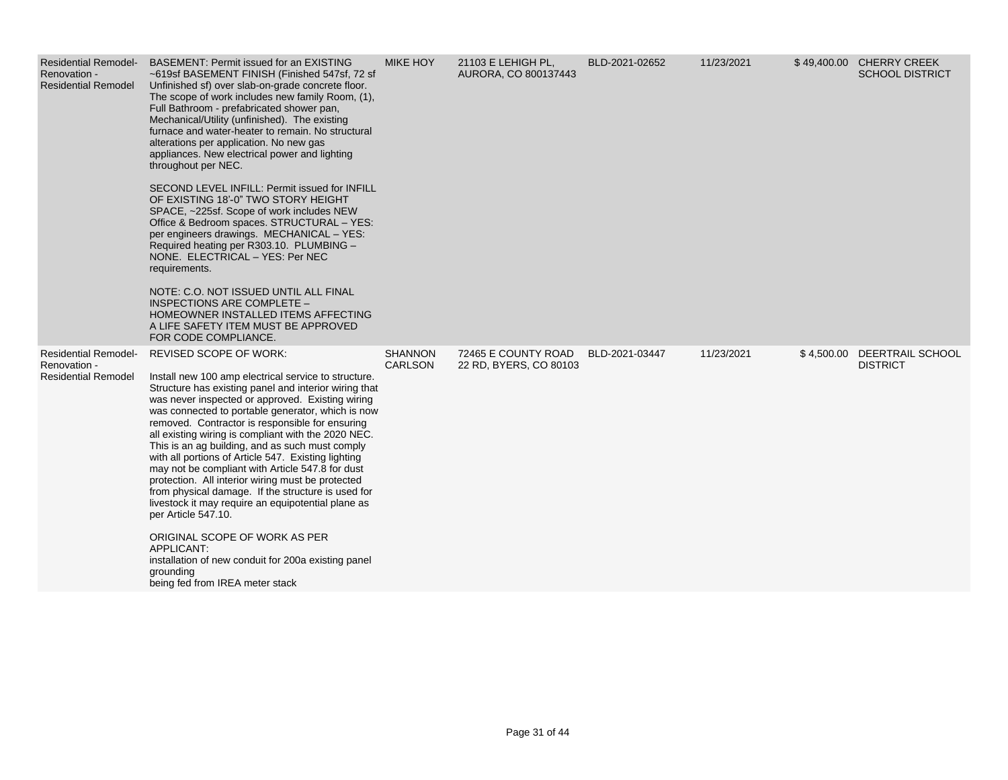| <b>Residential Remodel-</b><br>Renovation -<br><b>Residential Remodel</b> | BASEMENT: Permit issued for an EXISTING<br>~619sf BASEMENT FINISH (Finished 547sf, 72 sf<br>Unfinished sf) over slab-on-grade concrete floor.<br>The scope of work includes new family Room, (1),<br>Full Bathroom - prefabricated shower pan,<br>Mechanical/Utility (unfinished). The existing<br>furnace and water-heater to remain. No structural<br>alterations per application. No new gas<br>appliances. New electrical power and lighting<br>throughout per NEC.<br>SECOND LEVEL INFILL: Permit issued for INFILL<br>OF EXISTING 18'-0" TWO STORY HEIGHT<br>SPACE, ~225sf. Scope of work includes NEW<br>Office & Bedroom spaces. STRUCTURAL - YES:<br>per engineers drawings. MECHANICAL - YES:<br>Required heating per R303.10. PLUMBING -<br>NONE. ELECTRICAL - YES: Per NEC<br>requirements.<br>NOTE: C.O. NOT ISSUED UNTIL ALL FINAL<br>INSPECTIONS ARE COMPLETE -<br>HOMEOWNER INSTALLED ITEMS AFFECTING<br>A LIFE SAFETY ITEM MUST BE APPROVED<br>FOR CODE COMPLIANCE. | <b>MIKE HOY</b>           | 21103 E LEHIGH PL,<br>AURORA, CO 800137443    | BLD-2021-02652 | 11/23/2021 | \$49,400.00 CHERRY CREEK<br><b>SCHOOL DISTRICT</b> |
|---------------------------------------------------------------------------|--------------------------------------------------------------------------------------------------------------------------------------------------------------------------------------------------------------------------------------------------------------------------------------------------------------------------------------------------------------------------------------------------------------------------------------------------------------------------------------------------------------------------------------------------------------------------------------------------------------------------------------------------------------------------------------------------------------------------------------------------------------------------------------------------------------------------------------------------------------------------------------------------------------------------------------------------------------------------------------|---------------------------|-----------------------------------------------|----------------|------------|----------------------------------------------------|
| <b>Residential Remodel-</b><br>Renovation -<br><b>Residential Remodel</b> | <b>REVISED SCOPE OF WORK:</b><br>Install new 100 amp electrical service to structure.<br>Structure has existing panel and interior wiring that<br>was never inspected or approved. Existing wiring<br>was connected to portable generator, which is now<br>removed. Contractor is responsible for ensuring<br>all existing wiring is compliant with the 2020 NEC.<br>This is an ag building, and as such must comply<br>with all portions of Article 547. Existing lighting<br>may not be compliant with Article 547.8 for dust<br>protection. All interior wiring must be protected<br>from physical damage. If the structure is used for<br>livestock it may require an equipotential plane as<br>per Article 547.10.<br>ORIGINAL SCOPE OF WORK AS PER<br>APPLICANT:<br>installation of new conduit for 200a existing panel<br>grounding<br>being fed from IREA meter stack                                                                                                        | <b>SHANNON</b><br>CARLSON | 72465 E COUNTY ROAD<br>22 RD, BYERS, CO 80103 | BLD-2021-03447 | 11/23/2021 | \$4,500.00 DEERTRAIL SCHOOL<br><b>DISTRICT</b>     |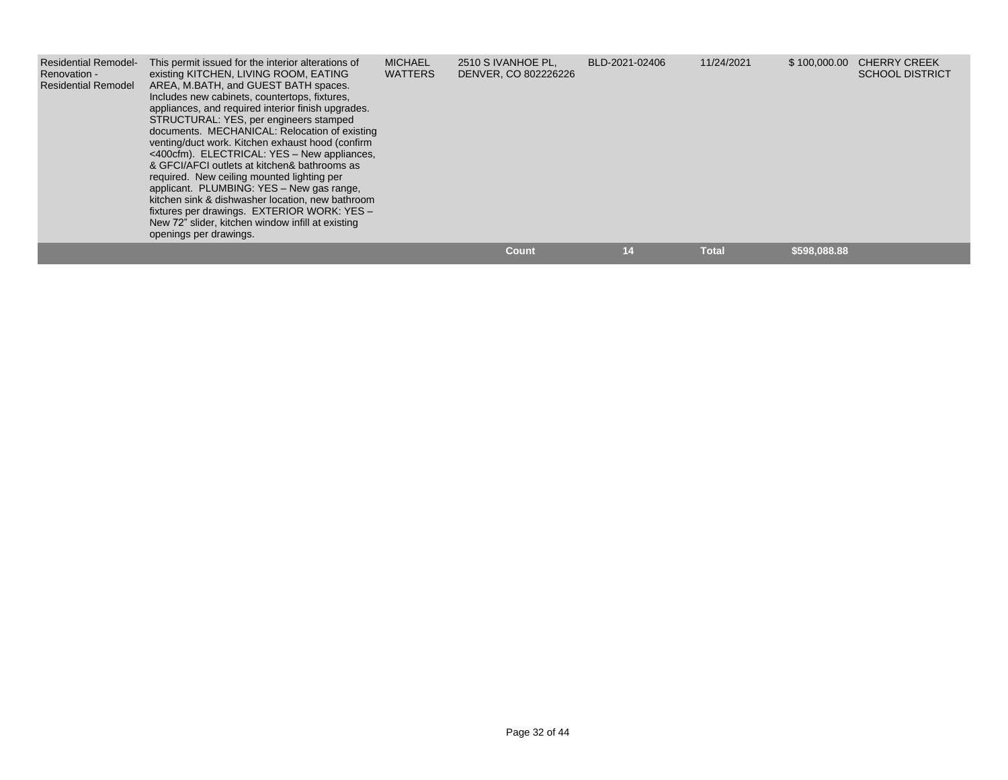| <b>Residential Remodel-</b><br>Renovation -<br><b>Residential Remodel</b> | This permit issued for the interior alterations of<br>existing KITCHEN, LIVING ROOM, EATING<br>AREA, M.BATH, and GUEST BATH spaces.<br>Includes new cabinets, countertops, fixtures,<br>appliances, and required interior finish upgrades.<br>STRUCTURAL: YES, per engineers stamped<br>documents. MECHANICAL: Relocation of existing<br>venting/duct work. Kitchen exhaust hood (confirm<br><400cfm). ELECTRICAL: YES - New appliances,<br>& GFCI/AFCI outlets at kitchen& bathrooms as<br>required. New ceiling mounted lighting per<br>applicant. PLUMBING: YES - New gas range,<br>kitchen sink & dishwasher location, new bathroom<br>fixtures per drawings. EXTERIOR WORK: YES -<br>New 72" slider, kitchen window infill at existing<br>openings per drawings. | <b>MICHAEL</b><br><b>WATTERS</b> | 2510 S IVANHOE PL.<br>DENVER, CO 802226226 | BLD-2021-02406 | 11/24/2021   | \$100,000.00 | <b>CHERRY CREEK</b><br><b>SCHOOL DISTRICT</b> |
|---------------------------------------------------------------------------|-----------------------------------------------------------------------------------------------------------------------------------------------------------------------------------------------------------------------------------------------------------------------------------------------------------------------------------------------------------------------------------------------------------------------------------------------------------------------------------------------------------------------------------------------------------------------------------------------------------------------------------------------------------------------------------------------------------------------------------------------------------------------|----------------------------------|--------------------------------------------|----------------|--------------|--------------|-----------------------------------------------|
|                                                                           |                                                                                                                                                                                                                                                                                                                                                                                                                                                                                                                                                                                                                                                                                                                                                                       |                                  | <b>Count</b>                               | 14             | <b>Total</b> | \$598,088.88 |                                               |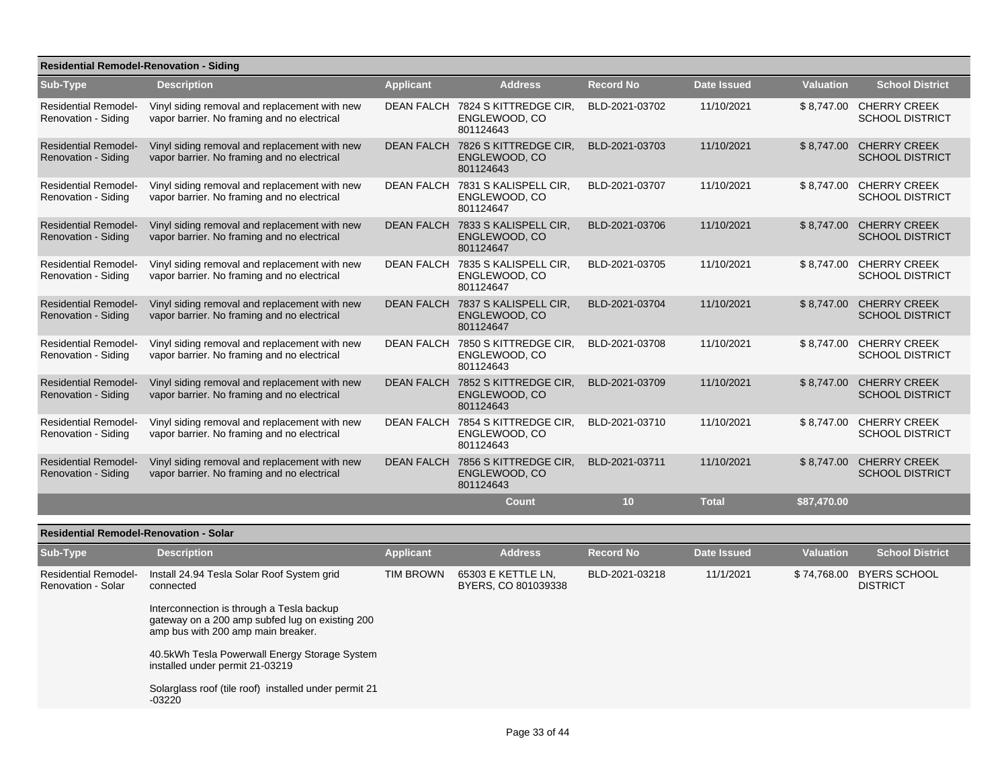| <b>Residential Remodel-Renovation - Siding</b>            |                                                                                              |                   |                                                     |                  |                    |                  |                                                   |  |  |
|-----------------------------------------------------------|----------------------------------------------------------------------------------------------|-------------------|-----------------------------------------------------|------------------|--------------------|------------------|---------------------------------------------------|--|--|
| Sub-Type                                                  | <b>Description</b>                                                                           | <b>Applicant</b>  | <b>Address</b>                                      | <b>Record No</b> | <b>Date Issued</b> | <b>Valuation</b> | <b>School District</b>                            |  |  |
| <b>Residential Remodel-</b><br>Renovation - Siding        | Vinyl siding removal and replacement with new<br>vapor barrier. No framing and no electrical | <b>DEAN FALCH</b> | 7824 S KITTREDGE CIR.<br>ENGLEWOOD, CO<br>801124643 | BLD-2021-03702   | 11/10/2021         |                  | \$8,747.00 CHERRY CREEK<br><b>SCHOOL DISTRICT</b> |  |  |
| <b>Residential Remodel-</b><br><b>Renovation - Siding</b> | Vinyl siding removal and replacement with new<br>vapor barrier. No framing and no electrical | <b>DEAN FALCH</b> | 7826 S KITTREDGE CIR,<br>ENGLEWOOD, CO<br>801124643 | BLD-2021-03703   | 11/10/2021         | \$8,747.00       | <b>CHERRY CREEK</b><br><b>SCHOOL DISTRICT</b>     |  |  |
| <b>Residential Remodel-</b><br>Renovation - Siding        | Vinyl siding removal and replacement with new<br>vapor barrier. No framing and no electrical | <b>DEAN FALCH</b> | 7831 S KALISPELL CIR.<br>ENGLEWOOD, CO<br>801124647 | BLD-2021-03707   | 11/10/2021         | \$8,747.00       | <b>CHERRY CREEK</b><br><b>SCHOOL DISTRICT</b>     |  |  |
| <b>Residential Remodel-</b><br><b>Renovation - Siding</b> | Vinyl siding removal and replacement with new<br>vapor barrier. No framing and no electrical | <b>DEAN FALCH</b> | 7833 S KALISPELL CIR.<br>ENGLEWOOD, CO<br>801124647 | BLD-2021-03706   | 11/10/2021         |                  | \$8,747.00 CHERRY CREEK<br><b>SCHOOL DISTRICT</b> |  |  |
| <b>Residential Remodel-</b><br>Renovation - Siding        | Vinyl siding removal and replacement with new<br>vapor barrier. No framing and no electrical | <b>DEAN FALCH</b> | 7835 S KALISPELL CIR.<br>ENGLEWOOD, CO<br>801124647 | BLD-2021-03705   | 11/10/2021         | \$8,747.00       | <b>CHERRY CREEK</b><br><b>SCHOOL DISTRICT</b>     |  |  |
| <b>Residential Remodel-</b><br><b>Renovation - Siding</b> | Vinyl siding removal and replacement with new<br>vapor barrier. No framing and no electrical | <b>DEAN FALCH</b> | 7837 S KALISPELL CIR.<br>ENGLEWOOD, CO<br>801124647 | BLD-2021-03704   | 11/10/2021         | \$8,747.00       | <b>CHERRY CREEK</b><br><b>SCHOOL DISTRICT</b>     |  |  |
| <b>Residential Remodel-</b><br>Renovation - Siding        | Vinyl siding removal and replacement with new<br>vapor barrier. No framing and no electrical | <b>DEAN FALCH</b> | 7850 S KITTREDGE CIR,<br>ENGLEWOOD, CO<br>801124643 | BLD-2021-03708   | 11/10/2021         |                  | \$8,747.00 CHERRY CREEK<br><b>SCHOOL DISTRICT</b> |  |  |
| <b>Residential Remodel-</b><br>Renovation - Siding        | Vinyl siding removal and replacement with new<br>vapor barrier. No framing and no electrical | <b>DEAN FALCH</b> | 7852 S KITTREDGE CIR.<br>ENGLEWOOD, CO<br>801124643 | BLD-2021-03709   | 11/10/2021         | \$8,747.00       | <b>CHERRY CREEK</b><br><b>SCHOOL DISTRICT</b>     |  |  |
| <b>Residential Remodel-</b><br>Renovation - Siding        | Vinyl siding removal and replacement with new<br>vapor barrier. No framing and no electrical | <b>DEAN FALCH</b> | 7854 S KITTREDGE CIR,<br>ENGLEWOOD, CO<br>801124643 | BLD-2021-03710   | 11/10/2021         | \$8,747.00       | <b>CHERRY CREEK</b><br><b>SCHOOL DISTRICT</b>     |  |  |
| <b>Residential Remodel-</b><br>Renovation - Siding        | Vinyl siding removal and replacement with new<br>vapor barrier. No framing and no electrical | <b>DEAN FALCH</b> | 7856 S KITTREDGE CIR,<br>ENGLEWOOD, CO<br>801124643 | BLD-2021-03711   | 11/10/2021         | \$8,747.00       | <b>CHERRY CREEK</b><br><b>SCHOOL DISTRICT</b>     |  |  |
|                                                           |                                                                                              |                   | <b>Count</b>                                        | 10               | <b>Total</b>       | \$87,470.00      |                                                   |  |  |
| <b>Residential Remodel-Renovation - Solar</b>             |                                                                                              |                   |                                                     |                  |                    |                  |                                                   |  |  |
|                                                           |                                                                                              |                   |                                                     |                  |                    |                  |                                                   |  |  |

| Sub-Type                                          | <b>Description</b>                                                                                                                 | <b>Applicant</b> | <b>Address</b>                            | <b>Record No</b> | Date Issued | <b>Valuation</b> | <b>School District</b>                 |
|---------------------------------------------------|------------------------------------------------------------------------------------------------------------------------------------|------------------|-------------------------------------------|------------------|-------------|------------------|----------------------------------------|
| <b>Residential Remodel-</b><br>Renovation - Solar | Install 24.94 Tesla Solar Roof System grid<br>connected                                                                            | <b>TIM BROWN</b> | 65303 E KETTLE LN,<br>BYERS, CO 801039338 | BLD-2021-03218   | 11/1/2021   | \$74,768.00      | <b>BYERS SCHOOL</b><br><b>DISTRICT</b> |
|                                                   | Interconnection is through a Tesla backup<br>gateway on a 200 amp subfed lug on existing 200<br>amp bus with 200 amp main breaker. |                  |                                           |                  |             |                  |                                        |
|                                                   | 40.5kWh Tesla Powerwall Energy Storage System<br>installed under permit 21-03219                                                   |                  |                                           |                  |             |                  |                                        |
|                                                   | Solarglass roof (tile roof) installed under permit 21<br>$-03220$                                                                  |                  |                                           |                  |             |                  |                                        |
|                                                   |                                                                                                                                    |                  |                                           |                  |             |                  |                                        |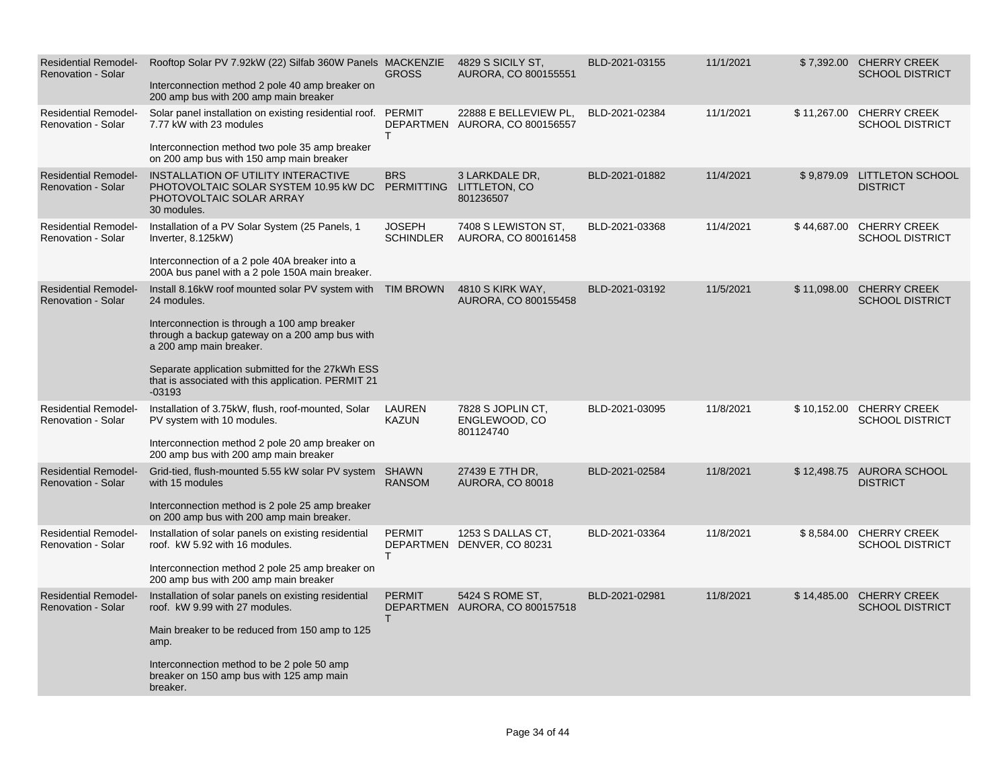| <b>Residential Remodel-</b><br><b>Renovation - Solar</b> | Rooftop Solar PV 7.92kW (22) Silfab 360W Panels MACKENZIE<br>Interconnection method 2 pole 40 amp breaker on<br>200 amp bus with 200 amp main breaker                                                                                                                                                                         | <b>GROSS</b>                      | 4829 S SICILY ST.<br>AURORA, CO 800155551               | BLD-2021-03155 | 11/1/2021 |             | \$7,392.00 CHERRY CREEK<br><b>SCHOOL DISTRICT</b>  |
|----------------------------------------------------------|-------------------------------------------------------------------------------------------------------------------------------------------------------------------------------------------------------------------------------------------------------------------------------------------------------------------------------|-----------------------------------|---------------------------------------------------------|----------------|-----------|-------------|----------------------------------------------------|
| <b>Residential Remodel-</b><br><b>Renovation - Solar</b> | Solar panel installation on existing residential roof. PERMIT<br>7.77 kW with 23 modules<br>Interconnection method two pole 35 amp breaker<br>on 200 amp bus with 150 amp main breaker                                                                                                                                        | т                                 | 22888 E BELLEVIEW PL.<br>DEPARTMEN AURORA, CO 800156557 | BLD-2021-02384 | 11/1/2021 |             | \$11,267.00 CHERRY CREEK<br><b>SCHOOL DISTRICT</b> |
| <b>Residential Remodel-</b><br><b>Renovation - Solar</b> | INSTALLATION OF UTILITY INTERACTIVE<br>PHOTOVOLTAIC SOLAR SYSTEM 10.95 kW DC PERMITTING LITTLETON, CO<br>PHOTOVOLTAIC SOLAR ARRAY<br>30 modules.                                                                                                                                                                              | <b>BRS</b>                        | 3 LARKDALE DR,<br>801236507                             | BLD-2021-01882 | 11/4/2021 |             | \$9,879.09 LITTLETON SCHOOL<br><b>DISTRICT</b>     |
| <b>Residential Remodel-</b><br>Renovation - Solar        | Installation of a PV Solar System (25 Panels, 1<br>Inverter, 8.125kW)<br>Interconnection of a 2 pole 40A breaker into a<br>200A bus panel with a 2 pole 150A main breaker.                                                                                                                                                    | <b>JOSEPH</b><br><b>SCHINDLER</b> | 7408 S LEWISTON ST.<br>AURORA, CO 800161458             | BLD-2021-03368 | 11/4/2021 |             | \$44,687.00 CHERRY CREEK<br><b>SCHOOL DISTRICT</b> |
| <b>Residential Remodel-</b><br><b>Renovation - Solar</b> | Install 8.16kW roof mounted solar PV system with TIM BROWN<br>24 modules.<br>Interconnection is through a 100 amp breaker<br>through a backup gateway on a 200 amp bus with<br>a 200 amp main breaker.<br>Separate application submitted for the 27kWh ESS<br>that is associated with this application. PERMIT 21<br>$-03193$ |                                   | 4810 S KIRK WAY,<br>AURORA, CO 800155458                | BLD-2021-03192 | 11/5/2021 |             | \$11,098.00 CHERRY CREEK<br><b>SCHOOL DISTRICT</b> |
| <b>Residential Remodel-</b><br>Renovation - Solar        | Installation of 3.75kW, flush, roof-mounted, Solar<br>PV system with 10 modules.<br>Interconnection method 2 pole 20 amp breaker on<br>200 amp bus with 200 amp main breaker                                                                                                                                                  | <b>LAUREN</b><br><b>KAZUN</b>     | 7828 S JOPLIN CT.<br>ENGLEWOOD, CO<br>801124740         | BLD-2021-03095 | 11/8/2021 |             | \$10,152.00 CHERRY CREEK<br><b>SCHOOL DISTRICT</b> |
| <b>Residential Remodel-</b><br><b>Renovation - Solar</b> | Grid-tied, flush-mounted 5.55 kW solar PV system SHAWN<br>with 15 modules<br>Interconnection method is 2 pole 25 amp breaker<br>on 200 amp bus with 200 amp main breaker.                                                                                                                                                     | <b>RANSOM</b>                     | 27439 E 7TH DR,<br><b>AURORA, CO 80018</b>              | BLD-2021-02584 | 11/8/2021 |             | \$12,498.75 AURORA SCHOOL<br><b>DISTRICT</b>       |
| <b>Residential Remodel-</b><br>Renovation - Solar        | Installation of solar panels on existing residential<br>roof. kW 5.92 with 16 modules.<br>Interconnection method 2 pole 25 amp breaker on<br>200 amp bus with 200 amp main breaker                                                                                                                                            | <b>PERMIT</b><br>т                | 1253 S DALLAS CT,<br>DEPARTMEN DENVER, CO 80231         | BLD-2021-03364 | 11/8/2021 |             | \$8,584.00 CHERRY CREEK<br><b>SCHOOL DISTRICT</b>  |
| <b>Residential Remodel-</b><br><b>Renovation - Solar</b> | Installation of solar panels on existing residential<br>roof. kW 9.99 with 27 modules.<br>Main breaker to be reduced from 150 amp to 125<br>amp.<br>Interconnection method to be 2 pole 50 amp<br>breaker on 150 amp bus with 125 amp main<br>breaker.                                                                        | <b>PERMIT</b><br>т                | 5424 S ROME ST,<br>DEPARTMEN AURORA, CO 800157518       | BLD-2021-02981 | 11/8/2021 | \$14,485.00 | <b>CHERRY CREEK</b><br><b>SCHOOL DISTRICT</b>      |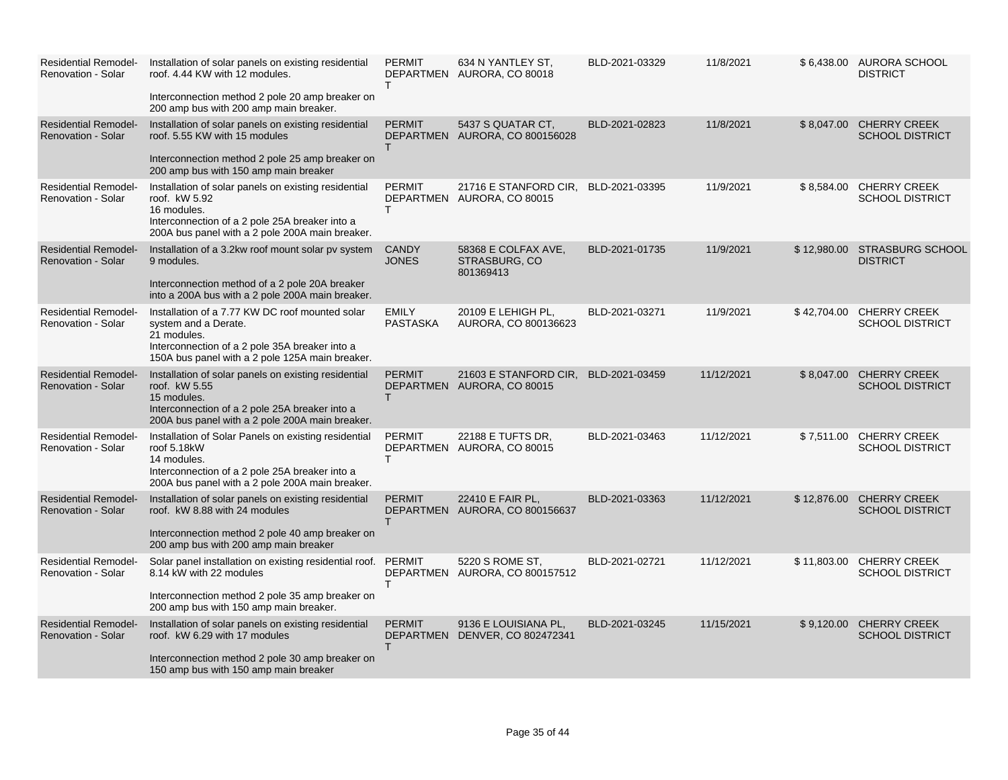| <b>Residential Remodel-</b><br>Renovation - Solar        | Installation of solar panels on existing residential<br>roof. 4.44 KW with 12 modules.<br>Interconnection method 2 pole 20 amp breaker on<br>200 amp bus with 200 amp main breaker.         | <b>PERMIT</b><br>T.             | 634 N YANTLEY ST,<br>DEPARTMEN AURORA, CO 80018        | BLD-2021-03329 | 11/8/2021  | \$6,438.00 AURORA SCHOOL<br><b>DISTRICT</b>        |
|----------------------------------------------------------|---------------------------------------------------------------------------------------------------------------------------------------------------------------------------------------------|---------------------------------|--------------------------------------------------------|----------------|------------|----------------------------------------------------|
| <b>Residential Remodel-</b><br><b>Renovation - Solar</b> | Installation of solar panels on existing residential<br>roof, 5.55 KW with 15 modules<br>Interconnection method 2 pole 25 amp breaker on<br>200 amp bus with 150 amp main breaker           | <b>PERMIT</b><br>T.             | 5437 S QUATAR CT,<br>DEPARTMEN AURORA, CO 800156028    | BLD-2021-02823 | 11/8/2021  | \$8,047.00 CHERRY CREEK<br><b>SCHOOL DISTRICT</b>  |
| <b>Residential Remodel-</b><br><b>Renovation - Solar</b> | Installation of solar panels on existing residential<br>roof. kW 5.92<br>16 modules.<br>Interconnection of a 2 pole 25A breaker into a<br>200A bus panel with a 2 pole 200A main breaker.   | <b>PERMIT</b><br>T.             | 21716 E STANFORD CIR,<br>DEPARTMEN AURORA, CO 80015    | BLD-2021-03395 | 11/9/2021  | \$8,584.00 CHERRY CREEK<br><b>SCHOOL DISTRICT</b>  |
| <b>Residential Remodel-</b><br><b>Renovation - Solar</b> | Installation of a 3.2kw roof mount solar pv system<br>9 modules.<br>Interconnection method of a 2 pole 20A breaker<br>into a 200A bus with a 2 pole 200A main breaker.                      | <b>CANDY</b><br><b>JONES</b>    | 58368 E COLFAX AVE,<br>STRASBURG, CO<br>801369413      | BLD-2021-01735 | 11/9/2021  | \$12,980.00 STRASBURG SCHOOL<br><b>DISTRICT</b>    |
| <b>Residential Remodel-</b><br>Renovation - Solar        | Installation of a 7.77 KW DC roof mounted solar<br>system and a Derate.<br>21 modules.<br>Interconnection of a 2 pole 35A breaker into a<br>150A bus panel with a 2 pole 125A main breaker. | <b>EMILY</b><br><b>PASTASKA</b> | 20109 E LEHIGH PL,<br>AURORA, CO 800136623             | BLD-2021-03271 | 11/9/2021  | \$42,704.00 CHERRY CREEK<br><b>SCHOOL DISTRICT</b> |
| <b>Residential Remodel-</b><br><b>Renovation - Solar</b> | Installation of solar panels on existing residential<br>roof. kW 5.55<br>15 modules.<br>Interconnection of a 2 pole 25A breaker into a<br>200A bus panel with a 2 pole 200A main breaker.   | <b>PERMIT</b><br>T.             | 21603 E STANFORD CIR.<br>DEPARTMEN AURORA, CO 80015    | BLD-2021-03459 | 11/12/2021 | \$8,047.00 CHERRY CREEK<br><b>SCHOOL DISTRICT</b>  |
| <b>Residential Remodel-</b><br>Renovation - Solar        | Installation of Solar Panels on existing residential<br>roof 5.18kW<br>14 modules.<br>Interconnection of a 2 pole 25A breaker into a<br>200A bus panel with a 2 pole 200A main breaker.     | <b>PERMIT</b><br>T.             | 22188 E TUFTS DR,<br>DEPARTMEN AURORA, CO 80015        | BLD-2021-03463 | 11/12/2021 | \$7,511.00 CHERRY CREEK<br><b>SCHOOL DISTRICT</b>  |
| <b>Residential Remodel-</b><br><b>Renovation - Solar</b> | Installation of solar panels on existing residential<br>roof. kW 8.88 with 24 modules<br>Interconnection method 2 pole 40 amp breaker on<br>200 amp bus with 200 amp main breaker           | <b>PERMIT</b><br>T.             | 22410 E FAIR PL,<br>DEPARTMEN AURORA, CO 800156637     | BLD-2021-03363 | 11/12/2021 | \$12,876.00 CHERRY CREEK<br><b>SCHOOL DISTRICT</b> |
| <b>Residential Remodel-</b><br><b>Renovation - Solar</b> | Solar panel installation on existing residential roof. PERMIT<br>8.14 kW with 22 modules<br>Interconnection method 2 pole 35 amp breaker on<br>200 amp bus with 150 amp main breaker.       | T.                              | 5220 S ROME ST.<br>DEPARTMEN AURORA, CO 800157512      | BLD-2021-02721 | 11/12/2021 | \$11,803.00 CHERRY CREEK<br><b>SCHOOL DISTRICT</b> |
| <b>Residential Remodel-</b><br><b>Renovation - Solar</b> | Installation of solar panels on existing residential<br>roof. kW 6.29 with 17 modules<br>Interconnection method 2 pole 30 amp breaker on<br>150 amp bus with 150 amp main breaker           | <b>PERMIT</b><br>T.             | 9136 E LOUISIANA PL,<br>DEPARTMEN DENVER, CO 802472341 | BLD-2021-03245 | 11/15/2021 | \$9,120.00 CHERRY CREEK<br><b>SCHOOL DISTRICT</b>  |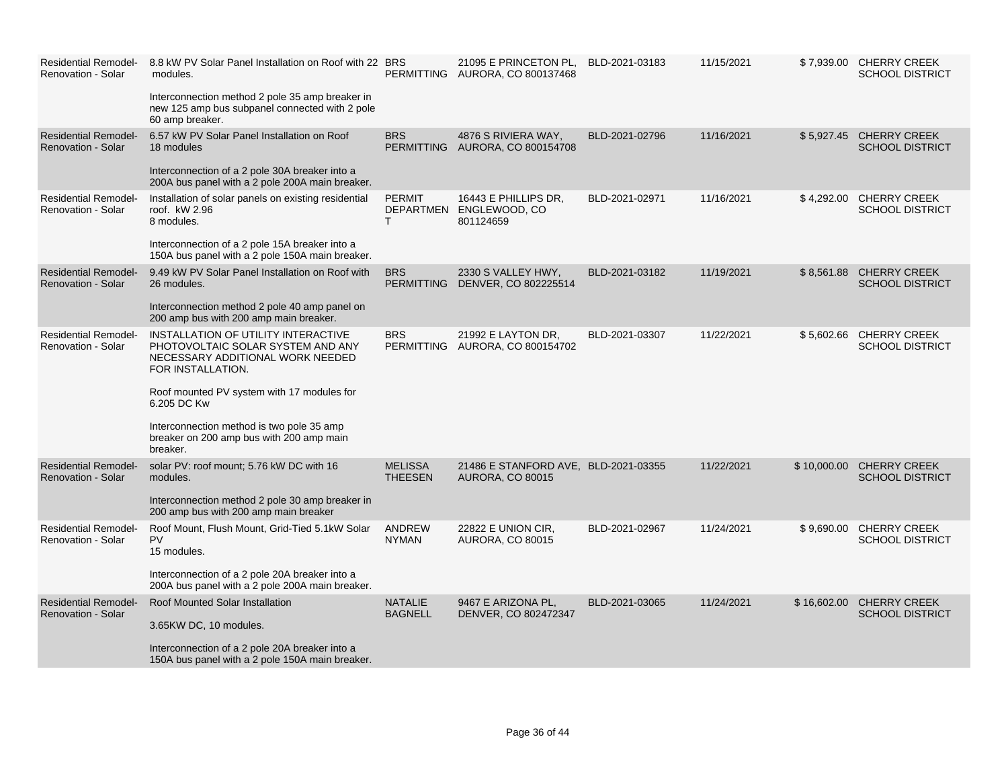| <b>Residential Remodel-</b><br><b>Renovation - Solar</b> | 8.8 kW PV Solar Panel Installation on Roof with 22 BRS<br>modules.<br>Interconnection method 2 pole 35 amp breaker in<br>new 125 amp bus subpanel connected with 2 pole<br>60 amp breaker.                                                                                                          |                                  | 21095 E PRINCETON PL,<br>PERMITTING AURORA, CO 800137468        | BLD-2021-03183 | 11/15/2021 |             | \$7,939.00 CHERRY CREEK<br><b>SCHOOL DISTRICT</b>  |
|----------------------------------------------------------|-----------------------------------------------------------------------------------------------------------------------------------------------------------------------------------------------------------------------------------------------------------------------------------------------------|----------------------------------|-----------------------------------------------------------------|----------------|------------|-------------|----------------------------------------------------|
| <b>Residential Remodel-</b><br><b>Renovation - Solar</b> | 6.57 kW PV Solar Panel Installation on Roof<br>18 modules<br>Interconnection of a 2 pole 30A breaker into a<br>200A bus panel with a 2 pole 200A main breaker.                                                                                                                                      | <b>BRS</b>                       | 4876 S RIVIERA WAY,<br>PERMITTING AURORA, CO 800154708          | BLD-2021-02796 | 11/16/2021 |             | \$5,927.45 CHERRY CREEK<br><b>SCHOOL DISTRICT</b>  |
| <b>Residential Remodel-</b><br><b>Renovation - Solar</b> | Installation of solar panels on existing residential<br>roof. kW 2.96<br>8 modules.<br>Interconnection of a 2 pole 15A breaker into a<br>150A bus panel with a 2 pole 150A main breaker.                                                                                                            | <b>PERMIT</b><br>T.              | 16443 E PHILLIPS DR,<br>DEPARTMEN ENGLEWOOD, CO<br>801124659    | BLD-2021-02971 | 11/16/2021 |             | \$4,292.00 CHERRY CREEK<br><b>SCHOOL DISTRICT</b>  |
| <b>Residential Remodel-</b><br>Renovation - Solar        | 9.49 kW PV Solar Panel Installation on Roof with<br>26 modules.<br>Interconnection method 2 pole 40 amp panel on<br>200 amp bus with 200 amp main breaker.                                                                                                                                          | <b>BRS</b>                       | 2330 S VALLEY HWY,<br>PERMITTING DENVER, CO 802225514           | BLD-2021-03182 | 11/19/2021 | \$8,561.88  | <b>CHERRY CREEK</b><br><b>SCHOOL DISTRICT</b>      |
| <b>Residential Remodel-</b><br><b>Renovation - Solar</b> | INSTALLATION OF UTILITY INTERACTIVE<br>PHOTOVOLTAIC SOLAR SYSTEM AND ANY<br>NECESSARY ADDITIONAL WORK NEEDED<br>FOR INSTALLATION.<br>Roof mounted PV system with 17 modules for<br>6.205 DC Kw<br>Interconnection method is two pole 35 amp<br>breaker on 200 amp bus with 200 amp main<br>breaker. | <b>BRS</b>                       | 21992 E LAYTON DR,<br>PERMITTING AURORA, CO 800154702           | BLD-2021-03307 | 11/22/2021 |             | \$5,602.66 CHERRY CREEK<br><b>SCHOOL DISTRICT</b>  |
| <b>Residential Remodel-</b><br>Renovation - Solar        | solar PV: roof mount; 5.76 kW DC with 16<br>modules.<br>Interconnection method 2 pole 30 amp breaker in<br>200 amp bus with 200 amp main breaker                                                                                                                                                    | <b>MELISSA</b><br><b>THEESEN</b> | 21486 E STANFORD AVE, BLD-2021-03355<br><b>AURORA, CO 80015</b> |                | 11/22/2021 |             | \$10,000.00 CHERRY CREEK<br><b>SCHOOL DISTRICT</b> |
| <b>Residential Remodel-</b><br><b>Renovation - Solar</b> | Roof Mount, Flush Mount, Grid-Tied 5.1kW Solar<br><b>PV</b><br>15 modules.<br>Interconnection of a 2 pole 20A breaker into a<br>200A bus panel with a 2 pole 200A main breaker.                                                                                                                     | <b>ANDREW</b><br><b>NYMAN</b>    | 22822 E UNION CIR,<br><b>AURORA, CO 80015</b>                   | BLD-2021-02967 | 11/24/2021 | \$9,690.00  | <b>CHERRY CREEK</b><br><b>SCHOOL DISTRICT</b>      |
| <b>Residential Remodel-</b><br><b>Renovation - Solar</b> | Roof Mounted Solar Installation<br>3.65KW DC, 10 modules.<br>Interconnection of a 2 pole 20A breaker into a<br>150A bus panel with a 2 pole 150A main breaker.                                                                                                                                      | <b>NATALIE</b><br><b>BAGNELL</b> | 9467 E ARIZONA PL,<br>DENVER, CO 802472347                      | BLD-2021-03065 | 11/24/2021 | \$16,602.00 | <b>CHERRY CREEK</b><br><b>SCHOOL DISTRICT</b>      |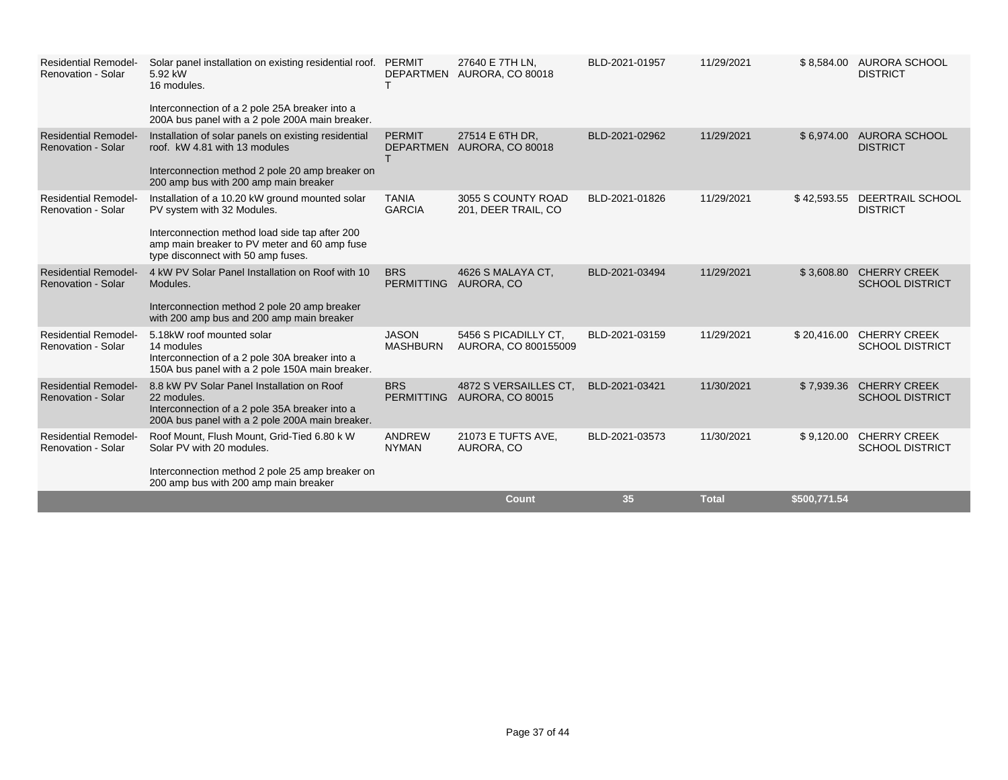| <b>Residential Remodel-</b><br><b>Renovation - Solar</b> | Solar panel installation on existing residential roof. PERMIT<br>5.92 kW<br>16 modules.<br>Interconnection of a 2 pole 25A breaker into a<br>200A bus panel with a 2 pole 200A main breaker.                          |                                 | 27640 E 7TH LN.<br>DEPARTMEN AURORA, CO 80018    | BLD-2021-01957 | 11/29/2021   | \$8,584.00   | AURORA SCHOOL<br><b>DISTRICT</b>              |
|----------------------------------------------------------|-----------------------------------------------------------------------------------------------------------------------------------------------------------------------------------------------------------------------|---------------------------------|--------------------------------------------------|----------------|--------------|--------------|-----------------------------------------------|
| <b>Residential Remodel-</b><br><b>Renovation - Solar</b> | Installation of solar panels on existing residential<br>roof. kW 4.81 with 13 modules<br>Interconnection method 2 pole 20 amp breaker on<br>200 amp bus with 200 amp main breaker                                     | <b>PERMIT</b>                   | 27514 E 6TH DR,<br>DEPARTMEN AURORA, CO 80018    | BLD-2021-02962 | 11/29/2021   | \$6,974.00   | AURORA SCHOOL<br><b>DISTRICT</b>              |
| <b>Residential Remodel-</b><br>Renovation - Solar        | Installation of a 10.20 kW ground mounted solar<br>PV system with 32 Modules.<br>Interconnection method load side tap after 200<br>amp main breaker to PV meter and 60 amp fuse<br>type disconnect with 50 amp fuses. | <b>TANIA</b><br><b>GARCIA</b>   | 3055 S COUNTY ROAD<br>201, DEER TRAIL, CO        | BLD-2021-01826 | 11/29/2021   | \$42,593.55  | DEERTRAIL SCHOOL<br><b>DISTRICT</b>           |
| <b>Residential Remodel-</b><br><b>Renovation - Solar</b> | 4 kW PV Solar Panel Installation on Roof with 10<br>Modules.<br>Interconnection method 2 pole 20 amp breaker<br>with 200 amp bus and 200 amp main breaker                                                             | <b>BRS</b><br><b>PERMITTING</b> | 4626 S MALAYA CT.<br>AURORA, CO                  | BLD-2021-03494 | 11/29/2021   | \$3,608.80   | <b>CHERRY CREEK</b><br><b>SCHOOL DISTRICT</b> |
| <b>Residential Remodel-</b><br><b>Renovation - Solar</b> | 5.18kW roof mounted solar<br>14 modules<br>Interconnection of a 2 pole 30A breaker into a<br>150A bus panel with a 2 pole 150A main breaker.                                                                          | <b>JASON</b><br><b>MASHBURN</b> | 5456 S PICADILLY CT.<br>AURORA, CO 800155009     | BLD-2021-03159 | 11/29/2021   | \$20,416.00  | <b>CHERRY CREEK</b><br><b>SCHOOL DISTRICT</b> |
| <b>Residential Remodel-</b><br><b>Renovation - Solar</b> | 8.8 kW PV Solar Panel Installation on Roof<br>22 modules.<br>Interconnection of a 2 pole 35A breaker into a<br>200A bus panel with a 2 pole 200A main breaker.                                                        | <b>BRS</b><br><b>PERMITTING</b> | 4872 S VERSAILLES CT.<br><b>AURORA, CO 80015</b> | BLD-2021-03421 | 11/30/2021   | \$7,939.36   | <b>CHERRY CREEK</b><br><b>SCHOOL DISTRICT</b> |
| <b>Residential Remodel-</b><br>Renovation - Solar        | Roof Mount, Flush Mount, Grid-Tied 6.80 k W<br>Solar PV with 20 modules.<br>Interconnection method 2 pole 25 amp breaker on<br>200 amp bus with 200 amp main breaker                                                  | ANDREW<br><b>NYMAN</b>          | 21073 E TUFTS AVE,<br>AURORA, CO                 | BLD-2021-03573 | 11/30/2021   | \$9,120.00   | <b>CHERRY CREEK</b><br><b>SCHOOL DISTRICT</b> |
|                                                          |                                                                                                                                                                                                                       |                                 | <b>Count</b>                                     | 35             | <b>Total</b> | \$500,771.54 |                                               |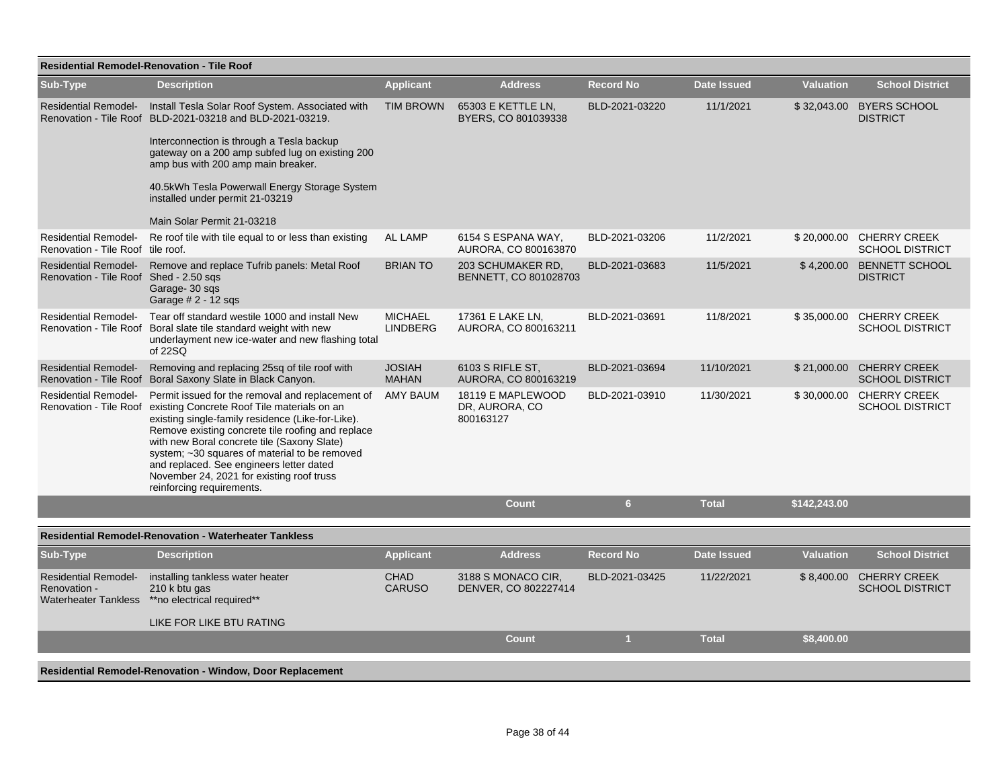| <b>Residential Remodel-Renovation - Tile Roof</b>                     |                                                                                                                                                                                                                                                                                                                                                                                                                                                        |                                   |                                                  |                  |                    |                  |                                                    |  |
|-----------------------------------------------------------------------|--------------------------------------------------------------------------------------------------------------------------------------------------------------------------------------------------------------------------------------------------------------------------------------------------------------------------------------------------------------------------------------------------------------------------------------------------------|-----------------------------------|--------------------------------------------------|------------------|--------------------|------------------|----------------------------------------------------|--|
| Sub-Type                                                              | <b>Description</b>                                                                                                                                                                                                                                                                                                                                                                                                                                     | <b>Applicant</b>                  | <b>Address</b>                                   | <b>Record No</b> | <b>Date Issued</b> | <b>Valuation</b> | <b>School District</b>                             |  |
| <b>Residential Remodel-</b>                                           | Install Tesla Solar Roof System. Associated with<br>Renovation - Tile Roof BLD-2021-03218 and BLD-2021-03219.<br>Interconnection is through a Tesla backup<br>gateway on a 200 amp subfed lug on existing 200<br>amp bus with 200 amp main breaker.<br>40.5kWh Tesla Powerwall Energy Storage System<br>installed under permit 21-03219<br>Main Solar Permit 21-03218                                                                                  | <b>TIM BROWN</b>                  | 65303 E KETTLE LN,<br>BYERS, CO 801039338        | BLD-2021-03220   | 11/1/2021          | \$32,043.00      | <b>BYERS SCHOOL</b><br><b>DISTRICT</b>             |  |
| <b>Residential Remodel-</b><br>Renovation - Tile Roof tile roof.      | Re roof tile with tile equal to or less than existing                                                                                                                                                                                                                                                                                                                                                                                                  | <b>AL LAMP</b>                    | 6154 S ESPANA WAY,<br>AURORA, CO 800163870       | BLD-2021-03206   | 11/2/2021          |                  | \$20,000.00 CHERRY CREEK<br><b>SCHOOL DISTRICT</b> |  |
| <b>Residential Remodel-</b><br>Renovation - Tile Roof Shed - 2.50 sqs | Remove and replace Tufrib panels: Metal Roof<br>Garage- 30 sgs<br>Garage # 2 - 12 sqs                                                                                                                                                                                                                                                                                                                                                                  | <b>BRIAN TO</b>                   | 203 SCHUMAKER RD,<br>BENNETT, CO 801028703       | BLD-2021-03683   | 11/5/2021          | \$4,200.00       | <b>BENNETT SCHOOL</b><br><b>DISTRICT</b>           |  |
|                                                                       | Residential Remodel- Tear off standard westile 1000 and install New<br>Renovation - Tile Roof Boral slate tile standard weight with new<br>underlayment new ice-water and new flashing total<br>of 22SQ                                                                                                                                                                                                                                                | <b>MICHAEL</b><br><b>LINDBERG</b> | 17361 E LAKE LN,<br>AURORA, CO 800163211         | BLD-2021-03691   | 11/8/2021          | \$35,000.00      | <b>CHERRY CREEK</b><br><b>SCHOOL DISTRICT</b>      |  |
| <b>Residential Remodel-</b>                                           | Removing and replacing 25sq of tile roof with<br>Renovation - Tile Roof Boral Saxony Slate in Black Canyon.                                                                                                                                                                                                                                                                                                                                            | <b>JOSIAH</b><br><b>MAHAN</b>     | 6103 S RIFLE ST,<br>AURORA, CO 800163219         | BLD-2021-03694   | 11/10/2021         | \$21,000.00      | <b>CHERRY CREEK</b><br><b>SCHOOL DISTRICT</b>      |  |
| <b>Residential Remodel-</b>                                           | Permit issued for the removal and replacement of<br>Renovation - Tile Roof existing Concrete Roof Tile materials on an<br>existing single-family residence (Like-for-Like).<br>Remove existing concrete tile roofing and replace<br>with new Boral concrete tile (Saxony Slate)<br>system; ~30 squares of material to be removed<br>and replaced. See engineers letter dated<br>November 24, 2021 for existing roof truss<br>reinforcing requirements. | <b>AMY BAUM</b>                   | 18119 E MAPLEWOOD<br>DR, AURORA, CO<br>800163127 | BLD-2021-03910   | 11/30/2021         |                  | \$30,000.00 CHERRY CREEK<br><b>SCHOOL DISTRICT</b> |  |
|                                                                       |                                                                                                                                                                                                                                                                                                                                                                                                                                                        |                                   | <b>Count</b>                                     | 6                | <b>Total</b>       | \$142,243.00     |                                                    |  |
|                                                                       | <b>Residential Remodel-Renovation - Waterheater Tankless</b>                                                                                                                                                                                                                                                                                                                                                                                           |                                   |                                                  |                  |                    |                  |                                                    |  |
| Sub-Type                                                              | <b>Description</b>                                                                                                                                                                                                                                                                                                                                                                                                                                     | <b>Applicant</b>                  | <b>Address</b>                                   | <b>Record No</b> | <b>Date Issued</b> | <b>Valuation</b> | <b>School District</b>                             |  |
| <b>Residential Remodel-</b><br>Renovation -                           | installing tankless water heater<br>210 k btu gas<br>Waterheater Tankless ** no electrical required**                                                                                                                                                                                                                                                                                                                                                  | <b>CHAD</b><br><b>CARUSO</b>      | 3188 S MONACO CIR,<br>DENVER, CO 802227414       | BLD-2021-03425   | 11/22/2021         | \$8,400.00       | <b>CHERRY CREEK</b><br><b>SCHOOL DISTRICT</b>      |  |
|                                                                       | LIKE FOR LIKE BTU RATING                                                                                                                                                                                                                                                                                                                                                                                                                               |                                   | Count                                            | $\mathbf{1}$     | <b>Total</b>       | \$8,400.00       |                                                    |  |
|                                                                       |                                                                                                                                                                                                                                                                                                                                                                                                                                                        |                                   |                                                  |                  |                    |                  |                                                    |  |
|                                                                       | <b>Residential Remodel-Renovation - Window, Door Replacement</b>                                                                                                                                                                                                                                                                                                                                                                                       |                                   |                                                  |                  |                    |                  |                                                    |  |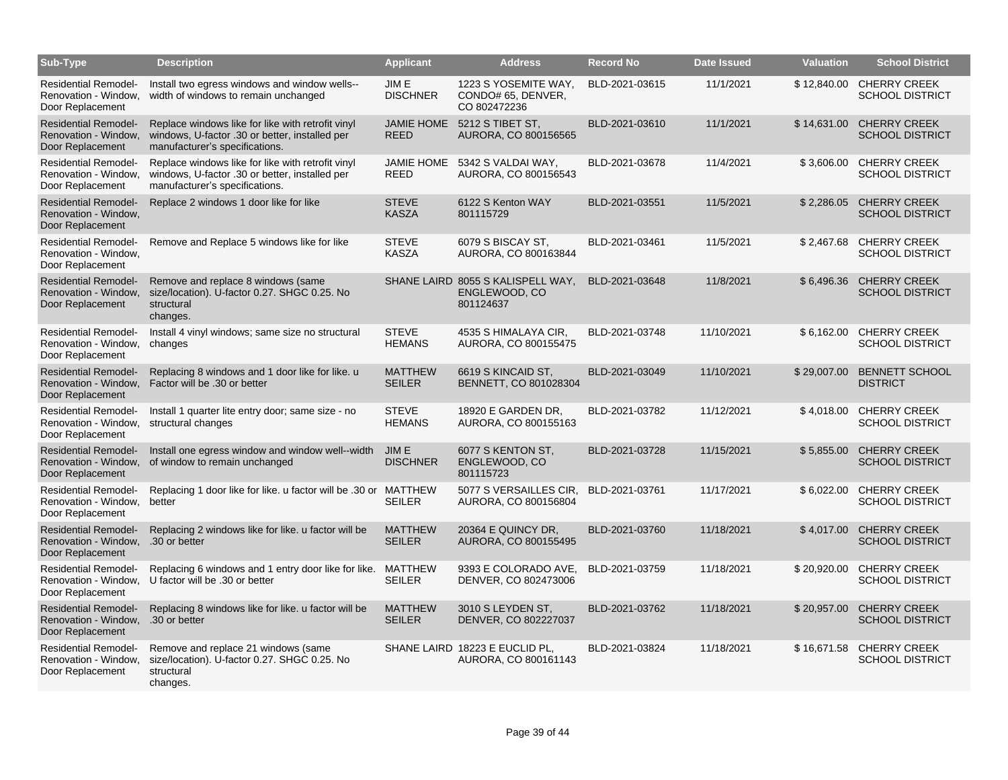| Sub-Type                                                                              | <b>Description</b>                                                                                                                    | <b>Applicant</b>                 | <b>Address</b>                                                  | <b>Record No</b> | <b>Date Issued</b> | <b>Valuation</b> | <b>School District</b>                             |
|---------------------------------------------------------------------------------------|---------------------------------------------------------------------------------------------------------------------------------------|----------------------------------|-----------------------------------------------------------------|------------------|--------------------|------------------|----------------------------------------------------|
| <b>Residential Remodel-</b><br>Renovation - Window.<br>Door Replacement               | Install two egress windows and window wells--<br>width of windows to remain unchanged                                                 | JIM E<br><b>DISCHNER</b>         | 1223 S YOSEMITE WAY,<br>CONDO# 65, DENVER,<br>CO 802472236      | BLD-2021-03615   | 11/1/2021          |                  | \$12,840.00 CHERRY CREEK<br><b>SCHOOL DISTRICT</b> |
| <b>Residential Remodel-</b><br>Renovation - Window,<br>Door Replacement               | Replace windows like for like with retrofit vinyl<br>windows, U-factor .30 or better, installed per<br>manufacturer's specifications. | <b>JAMIE HOME</b><br><b>REED</b> | 5212 S TIBET ST,<br>AURORA, CO 800156565                        | BLD-2021-03610   | 11/1/2021          | \$14,631.00      | <b>CHERRY CREEK</b><br><b>SCHOOL DISTRICT</b>      |
| <b>Residential Remodel-</b><br>Renovation - Window,<br>Door Replacement               | Replace windows like for like with retrofit vinyl<br>windows, U-factor .30 or better, installed per<br>manufacturer's specifications. | <b>JAMIE HOME</b><br><b>REED</b> | 5342 S VALDAI WAY,<br>AURORA, CO 800156543                      | BLD-2021-03678   | 11/4/2021          | \$3,606.00       | <b>CHERRY CREEK</b><br><b>SCHOOL DISTRICT</b>      |
| <b>Residential Remodel-</b><br>Renovation - Window,<br>Door Replacement               | Replace 2 windows 1 door like for like                                                                                                | <b>STEVE</b><br><b>KASZA</b>     | 6122 S Kenton WAY<br>801115729                                  | BLD-2021-03551   | 11/5/2021          |                  | \$2,286.05 CHERRY CREEK<br><b>SCHOOL DISTRICT</b>  |
| <b>Residential Remodel-</b><br>Renovation - Window,<br>Door Replacement               | Remove and Replace 5 windows like for like                                                                                            | <b>STEVE</b><br><b>KASZA</b>     | 6079 S BISCAY ST.<br>AURORA, CO 800163844                       | BLD-2021-03461   | 11/5/2021          | \$2,467.68       | <b>CHERRY CREEK</b><br><b>SCHOOL DISTRICT</b>      |
| <b>Residential Remodel-</b><br>Renovation - Window,<br>Door Replacement               | Remove and replace 8 windows (same<br>size/location). U-factor 0.27. SHGC 0.25. No<br>structural<br>changes.                          |                                  | SHANE LAIRD 8055 S KALISPELL WAY,<br>ENGLEWOOD, CO<br>801124637 | BLD-2021-03648   | 11/8/2021          | \$6,496.36       | <b>CHERRY CREEK</b><br><b>SCHOOL DISTRICT</b>      |
| <b>Residential Remodel-</b><br>Renovation - Window,<br>Door Replacement               | Install 4 vinyl windows; same size no structural<br>changes                                                                           | <b>STEVE</b><br><b>HEMANS</b>    | 4535 S HIMALAYA CIR,<br>AURORA, CO 800155475                    | BLD-2021-03748   | 11/10/2021         | \$6,162.00       | <b>CHERRY CREEK</b><br><b>SCHOOL DISTRICT</b>      |
| <b>Residential Remodel-</b><br>Renovation - Window,<br>Door Replacement               | Replacing 8 windows and 1 door like for like. u<br>Factor will be .30 or better                                                       | <b>MATTHEW</b><br><b>SEILER</b>  | 6619 S KINCAID ST,<br>BENNETT, CO 801028304                     | BLD-2021-03049   | 11/10/2021         | \$29,007.00      | <b>BENNETT SCHOOL</b><br><b>DISTRICT</b>           |
| <b>Residential Remodel-</b><br>Renovation - Window,<br>Door Replacement               | Install 1 quarter lite entry door; same size - no<br>structural changes                                                               | <b>STEVE</b><br><b>HEMANS</b>    | 18920 E GARDEN DR.<br>AURORA, CO 800155163                      | BLD-2021-03782   | 11/12/2021         | \$4,018.00       | <b>CHERRY CREEK</b><br><b>SCHOOL DISTRICT</b>      |
| <b>Residential Remodel-</b><br>Renovation - Window.<br>Door Replacement               | Install one egress window and window well--width<br>of window to remain unchanged                                                     | JIM E<br><b>DISCHNER</b>         | 6077 S KENTON ST,<br>ENGLEWOOD, CO<br>801115723                 | BLD-2021-03728   | 11/15/2021         | \$5,855.00       | <b>CHERRY CREEK</b><br><b>SCHOOL DISTRICT</b>      |
| <b>Residential Remodel-</b><br>Renovation - Window,<br>Door Replacement               | Replacing 1 door like for like. u factor will be .30 or MATTHEW<br>better                                                             | <b>SEILER</b>                    | 5077 S VERSAILLES CIR, BLD-2021-03761<br>AURORA, CO 800156804   |                  | 11/17/2021         | \$6,022.00       | <b>CHERRY CREEK</b><br><b>SCHOOL DISTRICT</b>      |
| <b>Residential Remodel-</b><br>Renovation - Window, .30 or better<br>Door Replacement | Replacing 2 windows like for like, u factor will be                                                                                   | <b>MATTHEW</b><br><b>SEILER</b>  | 20364 E QUINCY DR.<br>AURORA, CO 800155495                      | BLD-2021-03760   | 11/18/2021         | \$4,017.00       | <b>CHERRY CREEK</b><br><b>SCHOOL DISTRICT</b>      |
| <b>Residential Remodel-</b><br>Renovation - Window,<br>Door Replacement               | Replacing 6 windows and 1 entry door like for like.<br>U factor will be .30 or better                                                 | <b>MATTHEW</b><br><b>SEILER</b>  | 9393 E COLORADO AVE,<br>DENVER, CO 802473006                    | BLD-2021-03759   | 11/18/2021         | \$20,920.00      | <b>CHERRY CREEK</b><br><b>SCHOOL DISTRICT</b>      |
| <b>Residential Remodel-</b><br>Renovation - Window,<br>Door Replacement               | Replacing 8 windows like for like, u factor will be<br>.30 or better                                                                  | <b>MATTHEW</b><br><b>SEILER</b>  | 3010 S LEYDEN ST.<br>DENVER, CO 802227037                       | BLD-2021-03762   | 11/18/2021         | \$20,957.00      | <b>CHERRY CREEK</b><br><b>SCHOOL DISTRICT</b>      |
| <b>Residential Remodel-</b><br>Renovation - Window,<br>Door Replacement               | Remove and replace 21 windows (same<br>size/location). U-factor 0.27. SHGC 0.25. No<br>structural<br>changes.                         |                                  | SHANE LAIRD 18223 E EUCLID PL,<br>AURORA, CO 800161143          | BLD-2021-03824   | 11/18/2021         |                  | \$16,671.58 CHERRY CREEK<br><b>SCHOOL DISTRICT</b> |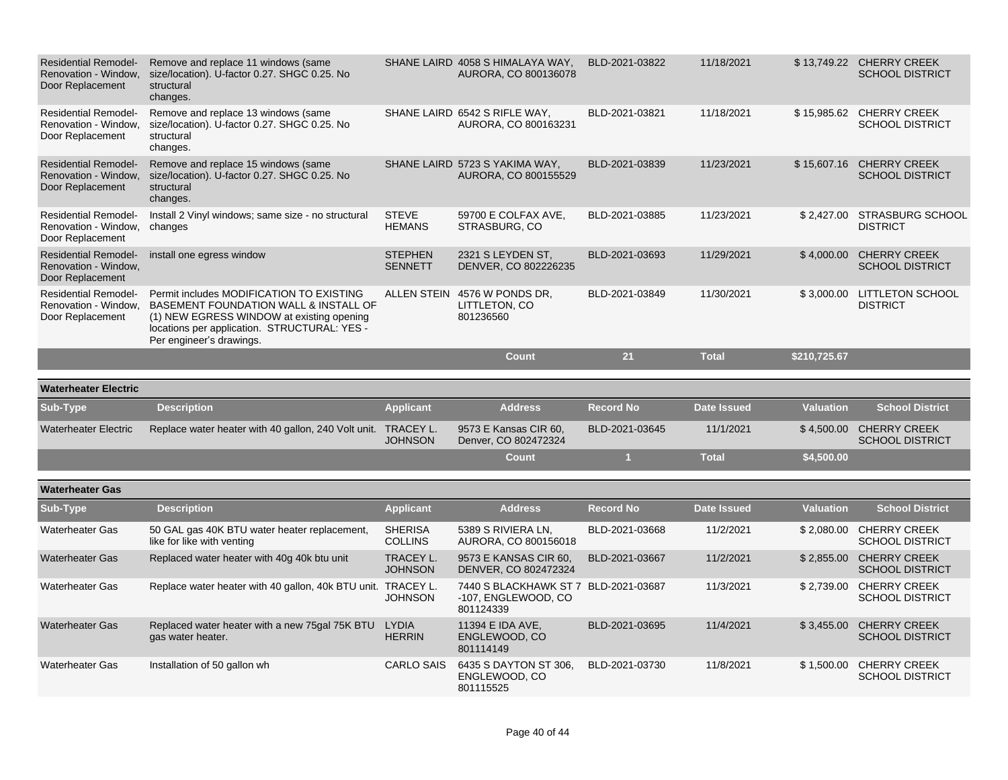| <b>Residential Remodel-</b><br>Renovation - Window.<br>Door Replacement | Remove and replace 11 windows (same<br>size/location). U-factor 0.27. SHGC 0.25. No<br>structural<br>changes.                                                                                              |                                  | SHANE LAIRD 4058 S HIMALAYA WAY,<br>AURORA, CO 800136078                 | BLD-2021-03822   | 11/18/2021         |                  | \$13,749.22 CHERRY CREEK<br><b>SCHOOL DISTRICT</b> |
|-------------------------------------------------------------------------|------------------------------------------------------------------------------------------------------------------------------------------------------------------------------------------------------------|----------------------------------|--------------------------------------------------------------------------|------------------|--------------------|------------------|----------------------------------------------------|
| <b>Residential Remodel-</b><br>Renovation - Window.<br>Door Replacement | Remove and replace 13 windows (same<br>size/location). U-factor 0.27. SHGC 0.25. No<br>structural<br>changes.                                                                                              |                                  | SHANE LAIRD 6542 S RIFLE WAY,<br>AURORA, CO 800163231                    | BLD-2021-03821   | 11/18/2021         | \$15,985.62      | <b>CHERRY CREEK</b><br><b>SCHOOL DISTRICT</b>      |
| <b>Residential Remodel-</b><br>Renovation - Window.<br>Door Replacement | Remove and replace 15 windows (same<br>size/location). U-factor 0.27. SHGC 0.25. No<br>structural<br>changes.                                                                                              |                                  | SHANE LAIRD 5723 S YAKIMA WAY,<br>AURORA, CO 800155529                   | BLD-2021-03839   | 11/23/2021         | \$15,607.16      | <b>CHERRY CREEK</b><br><b>SCHOOL DISTRICT</b>      |
| <b>Residential Remodel-</b><br>Renovation - Window,<br>Door Replacement | Install 2 Vinyl windows; same size - no structural<br>changes                                                                                                                                              | <b>STEVE</b><br><b>HEMANS</b>    | 59700 E COLFAX AVE,<br>STRASBURG, CO                                     | BLD-2021-03885   | 11/23/2021         | \$2,427.00       | <b>STRASBURG SCHOOL</b><br><b>DISTRICT</b>         |
| <b>Residential Remodel-</b><br>Renovation - Window,<br>Door Replacement | install one egress window                                                                                                                                                                                  | <b>STEPHEN</b><br><b>SENNETT</b> | 2321 S LEYDEN ST.<br>DENVER, CO 802226235                                | BLD-2021-03693   | 11/29/2021         |                  | \$4,000.00 CHERRY CREEK<br><b>SCHOOL DISTRICT</b>  |
| <b>Residential Remodel-</b><br>Renovation - Window.<br>Door Replacement | Permit includes MODIFICATION TO EXISTING<br>BASEMENT FOUNDATION WALL & INSTALL OF<br>(1) NEW EGRESS WINDOW at existing opening<br>locations per application. STRUCTURAL: YES -<br>Per engineer's drawings. | ALLEN STEIN                      | 4576 W PONDS DR,<br>LITTLETON, CO<br>801236560                           | BLD-2021-03849   | 11/30/2021         |                  | \$3,000.00 LITTLETON SCHOOL<br><b>DISTRICT</b>     |
|                                                                         |                                                                                                                                                                                                            |                                  | <b>Count</b>                                                             | 21               | <b>Total</b>       | \$210,725.67     |                                                    |
|                                                                         |                                                                                                                                                                                                            |                                  |                                                                          |                  |                    |                  |                                                    |
| <b>Waterheater Electric</b>                                             |                                                                                                                                                                                                            |                                  |                                                                          |                  |                    |                  |                                                    |
| Sub-Type                                                                | <b>Description</b>                                                                                                                                                                                         | <b>Applicant</b>                 | <b>Address</b>                                                           | <b>Record No</b> | <b>Date Issued</b> | <b>Valuation</b> | <b>School District</b>                             |
| <b>Waterheater Electric</b>                                             | Replace water heater with 40 gallon, 240 Volt unit. TRACEY L.                                                                                                                                              | <b>JOHNSON</b>                   | 9573 E Kansas CIR 60,<br>Denver, CO 802472324                            | BLD-2021-03645   | 11/1/2021          |                  | \$4,500.00 CHERRY CREEK<br><b>SCHOOL DISTRICT</b>  |
|                                                                         |                                                                                                                                                                                                            |                                  | <b>Count</b>                                                             | $\overline{1}$   | <b>Total</b>       | \$4,500.00       |                                                    |
| <b>Waterheater Gas</b>                                                  |                                                                                                                                                                                                            |                                  |                                                                          |                  |                    |                  |                                                    |
| Sub-Type                                                                | <b>Description</b>                                                                                                                                                                                         | <b>Applicant</b>                 | <b>Address</b>                                                           | <b>Record No</b> | <b>Date Issued</b> | <b>Valuation</b> | <b>School District</b>                             |
| <b>Waterheater Gas</b>                                                  | 50 GAL gas 40K BTU water heater replacement,<br>like for like with venting                                                                                                                                 | <b>SHERISA</b><br><b>COLLINS</b> | 5389 S RIVIERA LN,<br>AURORA, CO 800156018                               | BLD-2021-03668   | 11/2/2021          | \$2,080.00       | <b>CHERRY CREEK</b><br><b>SCHOOL DISTRICT</b>      |
| <b>Waterheater Gas</b>                                                  | Replaced water heater with 40g 40k btu unit                                                                                                                                                                | TRACEY L.<br><b>JOHNSON</b>      | 9573 E KANSAS CIR 60,<br>DENVER, CO 802472324                            | BLD-2021-03667   | 11/2/2021          |                  | \$2,855.00 CHERRY CREEK<br><b>SCHOOL DISTRICT</b>  |
| <b>Waterheater Gas</b>                                                  | Replace water heater with 40 gallon, 40k BTU unit. TRACEY L.                                                                                                                                               | <b>JOHNSON</b>                   | 7440 S BLACKHAWK ST 7 BLD-2021-03687<br>-107, ENGLEWOOD, CO<br>801124339 |                  | 11/3/2021          | \$2,739.00       | <b>CHERRY CREEK</b><br><b>SCHOOL DISTRICT</b>      |
| <b>Waterheater Gas</b>                                                  | Replaced water heater with a new 75gal 75K BTU<br>gas water heater.                                                                                                                                        | <b>LYDIA</b><br><b>HERRIN</b>    | 11394 E IDA AVE,<br>ENGLEWOOD, CO<br>801114149                           | BLD-2021-03695   | 11/4/2021          | \$3,455.00       | <b>CHERRY CREEK</b><br><b>SCHOOL DISTRICT</b>      |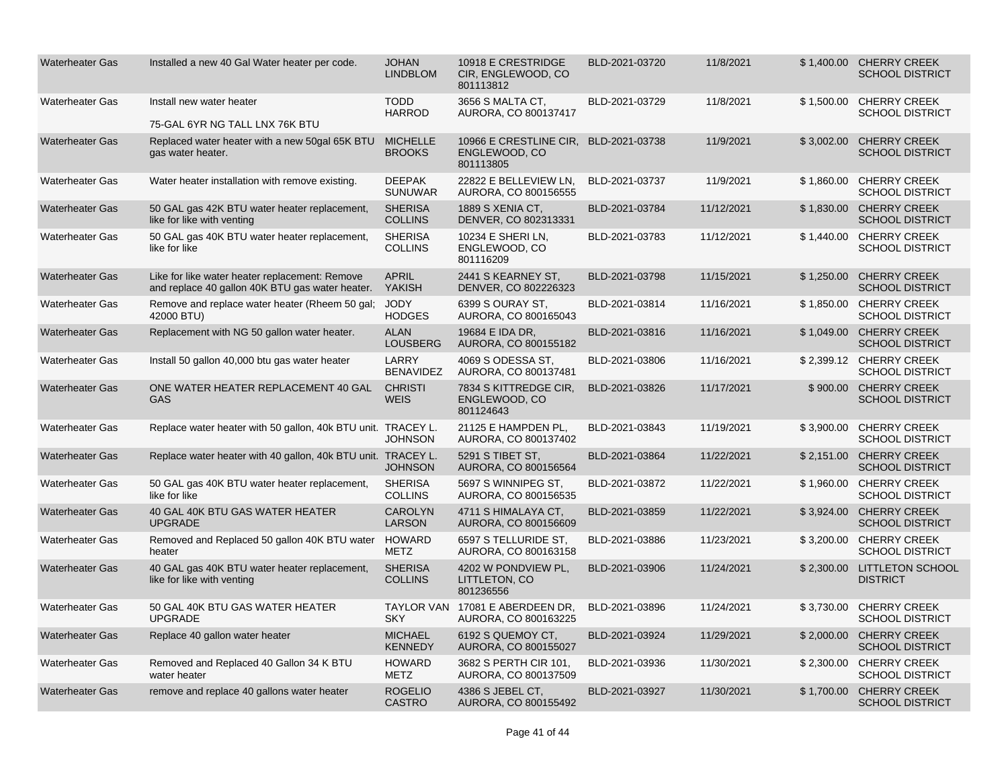| <b>Waterheater Gas</b> | Installed a new 40 Gal Water heater per code.                                                     | <b>JOHAN</b><br><b>LINDBLOM</b>  | 10918 E CRESTRIDGE<br>CIR, ENGLEWOOD, CO<br>801113812   | BLD-2021-03720 | 11/8/2021  |            | \$1,400.00 CHERRY CREEK<br><b>SCHOOL DISTRICT</b> |
|------------------------|---------------------------------------------------------------------------------------------------|----------------------------------|---------------------------------------------------------|----------------|------------|------------|---------------------------------------------------|
| <b>Waterheater Gas</b> | Install new water heater<br>75-GAL 6YR NG TALL LNX 76K BTU                                        | <b>TODD</b><br><b>HARROD</b>     | 3656 S MALTA CT,<br>AURORA, CO 800137417                | BLD-2021-03729 | 11/8/2021  | \$1.500.00 | <b>CHERRY CREEK</b><br><b>SCHOOL DISTRICT</b>     |
| <b>Waterheater Gas</b> | Replaced water heater with a new 50gal 65K BTU<br>gas water heater.                               | <b>MICHELLE</b><br><b>BROOKS</b> | 10966 E CRESTLINE CIR,<br>ENGLEWOOD, CO<br>801113805    | BLD-2021-03738 | 11/9/2021  | \$3,002.00 | <b>CHERRY CREEK</b><br><b>SCHOOL DISTRICT</b>     |
| <b>Waterheater Gas</b> | Water heater installation with remove existing.                                                   | <b>DEEPAK</b><br><b>SUNUWAR</b>  | 22822 E BELLEVIEW LN,<br>AURORA, CO 800156555           | BLD-2021-03737 | 11/9/2021  | \$1,860.00 | <b>CHERRY CREEK</b><br><b>SCHOOL DISTRICT</b>     |
| <b>Waterheater Gas</b> | 50 GAL gas 42K BTU water heater replacement,<br>like for like with venting                        | <b>SHERISA</b><br><b>COLLINS</b> | 1889 S XENIA CT.<br>DENVER, CO 802313331                | BLD-2021-03784 | 11/12/2021 |            | \$1,830.00 CHERRY CREEK<br><b>SCHOOL DISTRICT</b> |
| <b>Waterheater Gas</b> | 50 GAL gas 40K BTU water heater replacement,<br>like for like                                     | <b>SHERISA</b><br><b>COLLINS</b> | 10234 E SHERI LN,<br>ENGLEWOOD, CO<br>801116209         | BLD-2021-03783 | 11/12/2021 | \$1,440.00 | <b>CHERRY CREEK</b><br><b>SCHOOL DISTRICT</b>     |
| <b>Waterheater Gas</b> | Like for like water heater replacement: Remove<br>and replace 40 gallon 40K BTU gas water heater. | <b>APRIL</b><br>YAKISH           | 2441 S KEARNEY ST,<br>DENVER, CO 802226323              | BLD-2021-03798 | 11/15/2021 |            | \$1.250.00 CHERRY CREEK<br><b>SCHOOL DISTRICT</b> |
| <b>Waterheater Gas</b> | Remove and replace water heater (Rheem 50 gal;<br>42000 BTU)                                      | <b>JODY</b><br><b>HODGES</b>     | 6399 S OURAY ST.<br>AURORA, CO 800165043                | BLD-2021-03814 | 11/16/2021 | \$1,850.00 | <b>CHERRY CREEK</b><br><b>SCHOOL DISTRICT</b>     |
| <b>Waterheater Gas</b> | Replacement with NG 50 gallon water heater.                                                       | <b>ALAN</b><br>LOUSBERG          | 19684 E IDA DR,<br>AURORA, CO 800155182                 | BLD-2021-03816 | 11/16/2021 | \$1,049.00 | <b>CHERRY CREEK</b><br><b>SCHOOL DISTRICT</b>     |
| <b>Waterheater Gas</b> | Install 50 gallon 40,000 btu gas water heater                                                     | <b>LARRY</b><br><b>BENAVIDEZ</b> | 4069 S ODESSA ST,<br>AURORA, CO 800137481               | BLD-2021-03806 | 11/16/2021 |            | \$2.399.12 CHERRY CREEK<br><b>SCHOOL DISTRICT</b> |
| <b>Waterheater Gas</b> | ONE WATER HEATER REPLACEMENT 40 GAL<br>GAS                                                        | <b>CHRISTI</b><br><b>WEIS</b>    | 7834 S KITTREDGE CIR,<br>ENGLEWOOD, CO<br>801124643     | BLD-2021-03826 | 11/17/2021 | \$900.00   | <b>CHERRY CREEK</b><br><b>SCHOOL DISTRICT</b>     |
| <b>Waterheater Gas</b> | Replace water heater with 50 gallon, 40k BTU unit. TRACEY L.                                      | <b>JOHNSON</b>                   | 21125 E HAMPDEN PL,<br>AURORA, CO 800137402             | BLD-2021-03843 | 11/19/2021 | \$3,900.00 | <b>CHERRY CREEK</b><br><b>SCHOOL DISTRICT</b>     |
| <b>Waterheater Gas</b> | Replace water heater with 40 gallon, 40k BTU unit. TRACEY L.                                      | <b>JOHNSON</b>                   | 5291 S TIBET ST.<br>AURORA, CO 800156564                | BLD-2021-03864 | 11/22/2021 | \$2,151.00 | <b>CHERRY CREEK</b><br><b>SCHOOL DISTRICT</b>     |
| <b>Waterheater Gas</b> | 50 GAL gas 40K BTU water heater replacement,<br>like for like                                     | <b>SHERISA</b><br><b>COLLINS</b> | 5697 S WINNIPEG ST,<br>AURORA, CO 800156535             | BLD-2021-03872 | 11/22/2021 | \$1,960.00 | <b>CHERRY CREEK</b><br><b>SCHOOL DISTRICT</b>     |
| <b>Waterheater Gas</b> | 40 GAL 40K BTU GAS WATER HEATER<br><b>UPGRADE</b>                                                 | <b>CAROLYN</b><br><b>LARSON</b>  | 4711 S HIMALAYA CT,<br>AURORA, CO 800156609             | BLD-2021-03859 | 11/22/2021 | \$3.924.00 | <b>CHERRY CREEK</b><br><b>SCHOOL DISTRICT</b>     |
| <b>Waterheater Gas</b> | Removed and Replaced 50 gallon 40K BTU water HOWARD<br>heater                                     | <b>METZ</b>                      | 6597 S TELLURIDE ST.<br>AURORA, CO 800163158            | BLD-2021-03886 | 11/23/2021 |            | \$3,200.00 CHERRY CREEK<br><b>SCHOOL DISTRICT</b> |
| <b>Waterheater Gas</b> | 40 GAL gas 40K BTU water heater replacement,<br>like for like with venting                        | <b>SHERISA</b><br><b>COLLINS</b> | 4202 W PONDVIEW PL.<br>LITTLETON, CO<br>801236556       | BLD-2021-03906 | 11/24/2021 |            | \$2,300.00 LITTLETON SCHOOL<br><b>DISTRICT</b>    |
| <b>Waterheater Gas</b> | 50 GAL 40K BTU GAS WATER HEATER<br><b>UPGRADE</b>                                                 | <b>SKY</b>                       | TAYLOR VAN 17081 E ABERDEEN DR,<br>AURORA, CO 800163225 | BLD-2021-03896 | 11/24/2021 | \$3,730.00 | <b>CHERRY CREEK</b><br><b>SCHOOL DISTRICT</b>     |
| <b>Waterheater Gas</b> | Replace 40 gallon water heater                                                                    | <b>MICHAEL</b><br><b>KENNEDY</b> | 6192 S QUEMOY CT.<br>AURORA, CO 800155027               | BLD-2021-03924 | 11/29/2021 | \$2,000.00 | <b>CHERRY CREEK</b><br><b>SCHOOL DISTRICT</b>     |
| <b>Waterheater Gas</b> | Removed and Replaced 40 Gallon 34 K BTU<br>water heater                                           | <b>HOWARD</b><br>METZ            | 3682 S PERTH CIR 101,<br>AURORA, CO 800137509           | BLD-2021-03936 | 11/30/2021 |            | \$2,300.00 CHERRY CREEK<br><b>SCHOOL DISTRICT</b> |
| <b>Waterheater Gas</b> | remove and replace 40 gallons water heater                                                        | <b>ROGELIO</b><br><b>CASTRO</b>  | 4386 S JEBEL CT.<br>AURORA, CO 800155492                | BLD-2021-03927 | 11/30/2021 |            | \$1,700.00 CHERRY CREEK<br><b>SCHOOL DISTRICT</b> |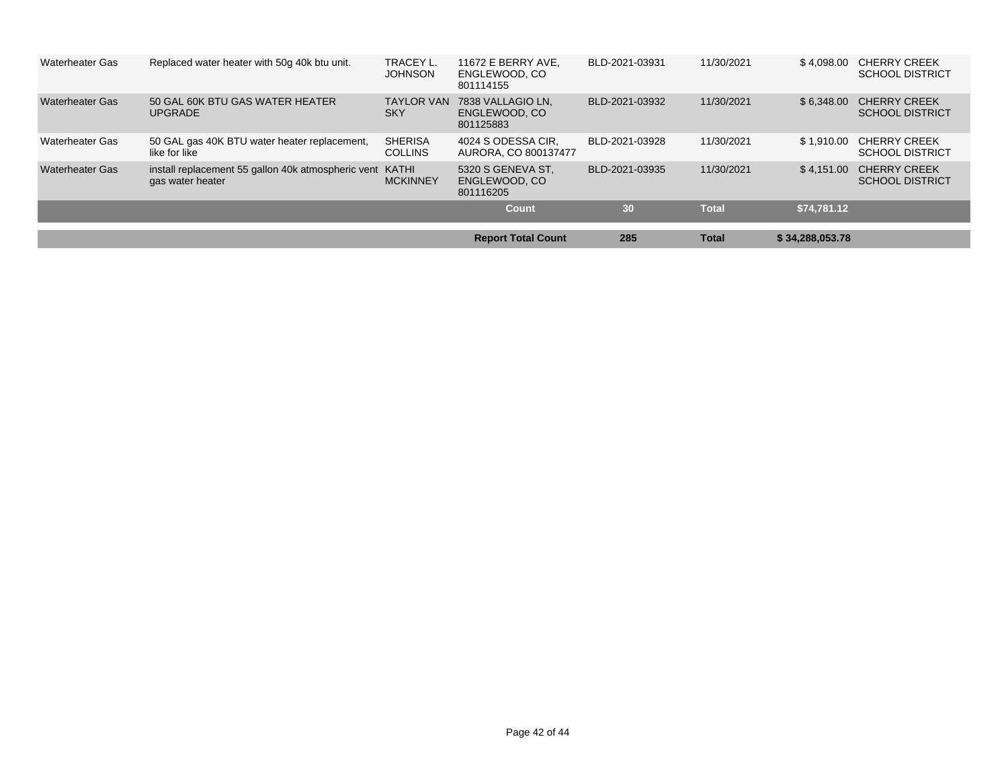| <b>Waterheater Gas</b> | Replaced water heater with 50g 40k btu unit.                           | TRACEY L.<br><b>JOHNSON</b>      | 11672 E BERRY AVE.<br>ENGLEWOOD, CO<br>801114155 | BLD-2021-03931 | 11/30/2021   | \$4.098.00      | <b>CHERRY CREEK</b><br><b>SCHOOL DISTRICT</b> |
|------------------------|------------------------------------------------------------------------|----------------------------------|--------------------------------------------------|----------------|--------------|-----------------|-----------------------------------------------|
| <b>Waterheater Gas</b> | 50 GAL 60K BTU GAS WATER HEATER<br><b>UPGRADE</b>                      | <b>TAYLOR VAN</b><br><b>SKY</b>  | 7838 VALLAGIO LN.<br>ENGLEWOOD, CO<br>801125883  | BLD-2021-03932 | 11/30/2021   | \$6.348.00      | <b>CHERRY CREEK</b><br><b>SCHOOL DISTRICT</b> |
| <b>Waterheater Gas</b> | 50 GAL gas 40K BTU water heater replacement,<br>like for like          | <b>SHERISA</b><br><b>COLLINS</b> | 4024 S ODESSA CIR.<br>AURORA, CO 800137477       | BLD-2021-03928 | 11/30/2021   | \$1.910.00      | <b>CHERRY CREEK</b><br><b>SCHOOL DISTRICT</b> |
| <b>Waterheater Gas</b> | install replacement 55 gallon 40k atmospheric vent<br>gas water heater | KATHI<br><b>MCKINNEY</b>         | 5320 S GENEVA ST.<br>ENGLEWOOD, CO<br>801116205  | BLD-2021-03935 | 11/30/2021   | \$4.151.00      | <b>CHERRY CREEK</b><br><b>SCHOOL DISTRICT</b> |
|                        |                                                                        |                                  | Count                                            | 30             | <b>Total</b> | \$74,781.12     |                                               |
|                        |                                                                        |                                  |                                                  |                |              |                 |                                               |
|                        |                                                                        |                                  | <b>Report Total Count</b>                        | 285            | <b>Total</b> | \$34,288,053.78 |                                               |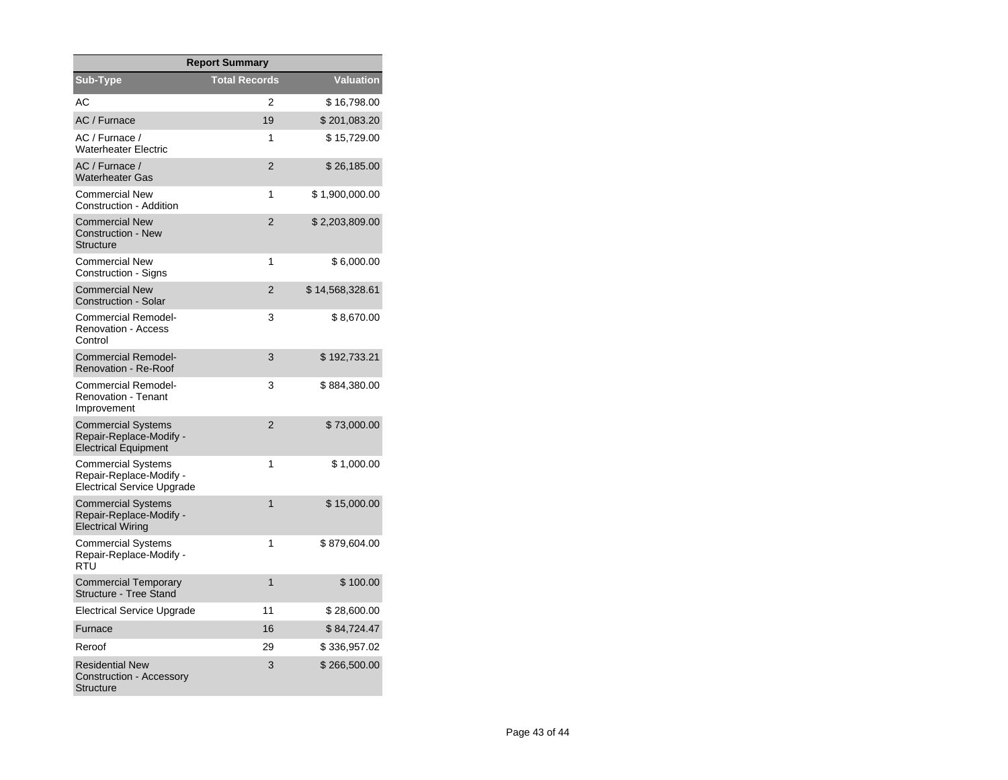| <b>Report Summary</b>                                                                     |                      |                  |  |  |  |  |  |
|-------------------------------------------------------------------------------------------|----------------------|------------------|--|--|--|--|--|
| Sub-Type                                                                                  | <b>Total Records</b> | <b>Valuation</b> |  |  |  |  |  |
| АC                                                                                        | 2                    | \$16,798.00      |  |  |  |  |  |
| AC / Furnace                                                                              | 19                   | \$201,083.20     |  |  |  |  |  |
| AC / Furnace /<br><b>Waterheater Electric</b>                                             | 1                    | \$15,729.00      |  |  |  |  |  |
| AC / Furnace /<br><b>Waterheater Gas</b>                                                  | $\overline{2}$       | \$26,185.00      |  |  |  |  |  |
| <b>Commercial New</b><br>Construction - Addition                                          | 1                    | \$1,900,000.00   |  |  |  |  |  |
| <b>Commercial New</b><br><b>Construction - New</b><br><b>Structure</b>                    | $\overline{2}$       | \$2,203,809.00   |  |  |  |  |  |
| <b>Commercial New</b><br>Construction - Signs                                             | 1                    | \$6,000.00       |  |  |  |  |  |
| <b>Commercial New</b><br><b>Construction - Solar</b>                                      | $\overline{2}$       | \$14,568,328.61  |  |  |  |  |  |
| <b>Commercial Remodel-</b><br><b>Renovation - Access</b><br>Control                       | 3                    | \$8,670.00       |  |  |  |  |  |
| <b>Commercial Remodel-</b><br><b>Renovation - Re-Roof</b>                                 | 3                    | \$192,733.21     |  |  |  |  |  |
| <b>Commercial Remodel-</b><br><b>Renovation - Tenant</b><br>Improvement                   | 3                    | \$884,380.00     |  |  |  |  |  |
| <b>Commercial Systems</b><br>Repair-Replace-Modify -<br><b>Electrical Equipment</b>       | $\overline{2}$       | \$73,000.00      |  |  |  |  |  |
| <b>Commercial Systems</b><br>Repair-Replace-Modify -<br><b>Electrical Service Upgrade</b> | 1                    | \$1,000.00       |  |  |  |  |  |
| <b>Commercial Systems</b><br>Repair-Replace-Modify -<br><b>Electrical Wiring</b>          | 1                    | \$15,000.00      |  |  |  |  |  |
| <b>Commercial Systems</b><br>Repair-Replace-Modify -<br>RTU                               | 1                    | \$879,604.00     |  |  |  |  |  |
| <b>Commercial Temporary</b><br><b>Structure - Tree Stand</b>                              | 1                    | \$100.00         |  |  |  |  |  |
| <b>Electrical Service Upgrade</b>                                                         | 11                   | \$28,600.00      |  |  |  |  |  |
| Furnace                                                                                   | 16                   | \$84,724.47      |  |  |  |  |  |
| Reroof                                                                                    | 29                   | \$336,957.02     |  |  |  |  |  |
| <b>Residential New</b><br>Construction - Accessory<br>Structure                           | 3                    | \$266,500.00     |  |  |  |  |  |